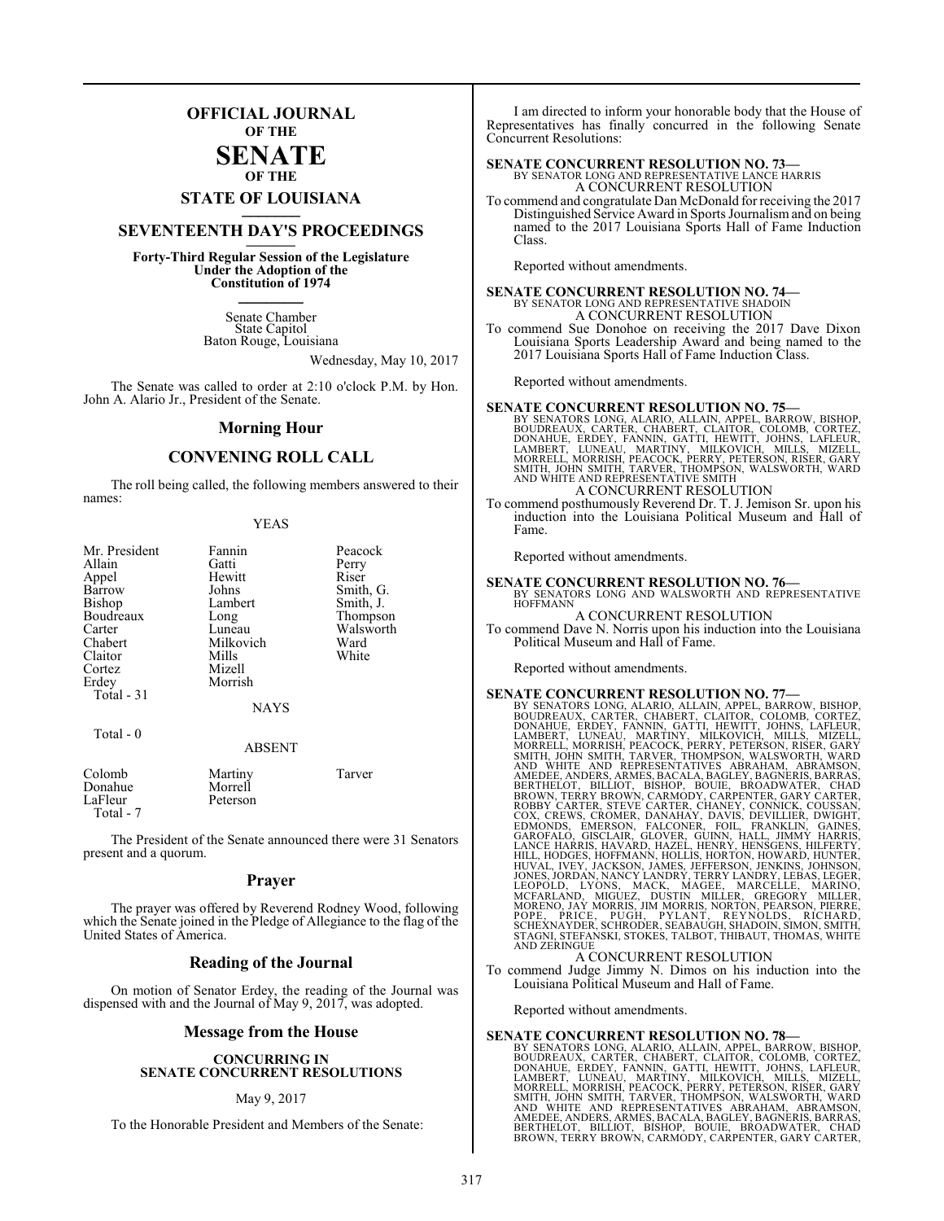## **OFFICIAL JOURNAL OF THE**

#### **SENATE OF THE**

# **STATE OF LOUISIANA \_\_\_\_\_\_\_**

## **SEVENTEENTH DAY'S PROCEEDINGS \_\_\_\_\_\_\_**

**Forty-Third Regular Session of the Legislature Under the Adoption of the Constitution of 1974 \_\_\_\_\_\_\_**

> Senate Chamber State Capitol Baton Rouge, Louisiana

> > Wednesday, May 10, 2017

The Senate was called to order at 2:10 o'clock P.M. by Hon. John A. Alario Jr., President of the Senate.

#### **Morning Hour**

#### **CONVENING ROLL CALL**

The roll being called, the following members answered to their names:

| Mr. President<br>Allain<br>Appel<br>Barrow<br><b>Bishop</b><br>Boudreaux<br>Carter<br>Chabert<br>Claitor<br>Cortez<br>Erdey<br>Total $-31$<br>Total - 0 | Fannin<br>Gatti<br>Hewitt<br>Johns<br>Lambert<br>Long<br>Luneau<br>Milkovich<br>Mills<br>Mizell<br>Morrish<br><b>NAYS</b><br><b>ABSENT</b> | Peacock<br>Perry<br>Riser<br>Smith, G.<br>Smith, J.<br>Thompson<br>Walsworth<br>Ward<br>White |
|---------------------------------------------------------------------------------------------------------------------------------------------------------|--------------------------------------------------------------------------------------------------------------------------------------------|-----------------------------------------------------------------------------------------------|
| Colomb<br>Donahue<br>LaFleur                                                                                                                            | Martiny<br>Morrell<br>Peterson                                                                                                             | Tarver                                                                                        |

The President of the Senate announced there were 31 Senators present and a quorum.

Total - 7

#### **Prayer**

The prayer was offered by Reverend Rodney Wood, following which the Senate joined in the Pledge of Allegiance to the flag of the United States of America.

#### **Reading of the Journal**

On motion of Senator Erdey, the reading of the Journal was dispensed with and the Journal of May 9, 2017, was adopted.

#### **Message from the House**

#### **CONCURRING IN SENATE CONCURRENT RESOLUTIONS**

#### May 9, 2017

To the Honorable President and Members of the Senate:

I am directed to inform your honorable body that the House of Representatives has finally concurred in the following Senate Concurrent Resolutions:

## **SENATE CONCURRENT RESOLUTION NO. 73—**<br>BY SENATOR LONG AND REPRESENTATIVE LANCE HARRIS A CONCURRENT RESOLUTION

To commend and congratulate Dan McDonald for receiving the 2017 Distinguished Service Award in Sports Journalismand on being named to the 2017 Louisiana Sports Hall of Fame Induction Class.

Reported without amendments.

#### **SENATE CONCURRENT RESOLUTION NO. 74—** BY SENATOR LONG AND REPRESENTATIVE SHADOIN A CONCURRENT RESOLUTION

To commend Sue Donohoe on receiving the 2017 Dave Dixon Louisiana Sports Leadership Award and being named to the 2017 Louisiana Sports Hall of Fame Induction Class.

Reported without amendments.

SENATE CONCURRENT RESOLUTION NO. 75—BY SENATORS LONG, ALARIO, ALLAIN, APPEL, BARROW, BISHOP, BOUDREAUX, CARTER, CHARBERT, CLAITOR, COLOMB, CORTEZ, DONAHUE, ERDEY, FANNIN, GATTI, HEWITT, JOHNS, LAFLEUR, LAMBERT, LUNEAU, MAR A CONCURRENT RESOLUTION

To commend posthumously Reverend Dr. T. J. Jemison Sr. upon his induction into the Louisiana Political Museum and Hall of Fame.

Reported without amendments.

### **SENATE CONCURRENT RESOLUTION NO. 76—**<br>BY SENATORS LONG AND WALSWORTH AND REPRESENTATIVE **HOFFMANN**

#### A CONCURRENT RESOLUTION

To commend Dave N. Norris upon his induction into the Louisiana Political Museum and Hall of Fame.

Reported without amendments.

**SENATE CONCURRENT RESOLUTION NO. 77—**<br>BY SENATORS LONG, ALARIO, ALIAIN, APPEL, BARROW, BISHOP, BOUDREAUX, CARTER, CHABERT, CLAITOR, COLOMB, CORTEZ,<br>LAMBERT, LUNEAU, MARTINY, GATTI, HEWITT, JOHNS, LAFLEUR,<br>LAMBERT, LUNEAU,

To commend Judge Jimmy N. Dimos on his induction into the Louisiana Political Museum and Hall of Fame.

Reported without amendments.

SENATE CONCURRENT RESOLUTION NO. 78<br>BY SENATORS LONG, ALARIO, ALLAIN, APPEL, BARROW, BISHOP, BOUDREAUX, CARTER, CHABERT, CLAITOR, COLOMB, CORTEZ,<br>DONAHUE, ERDEY, FANNIN, GATTI, HEWITT, JOHNS, LAFLEUR,<br>LAMBERT, LUNEAU, MART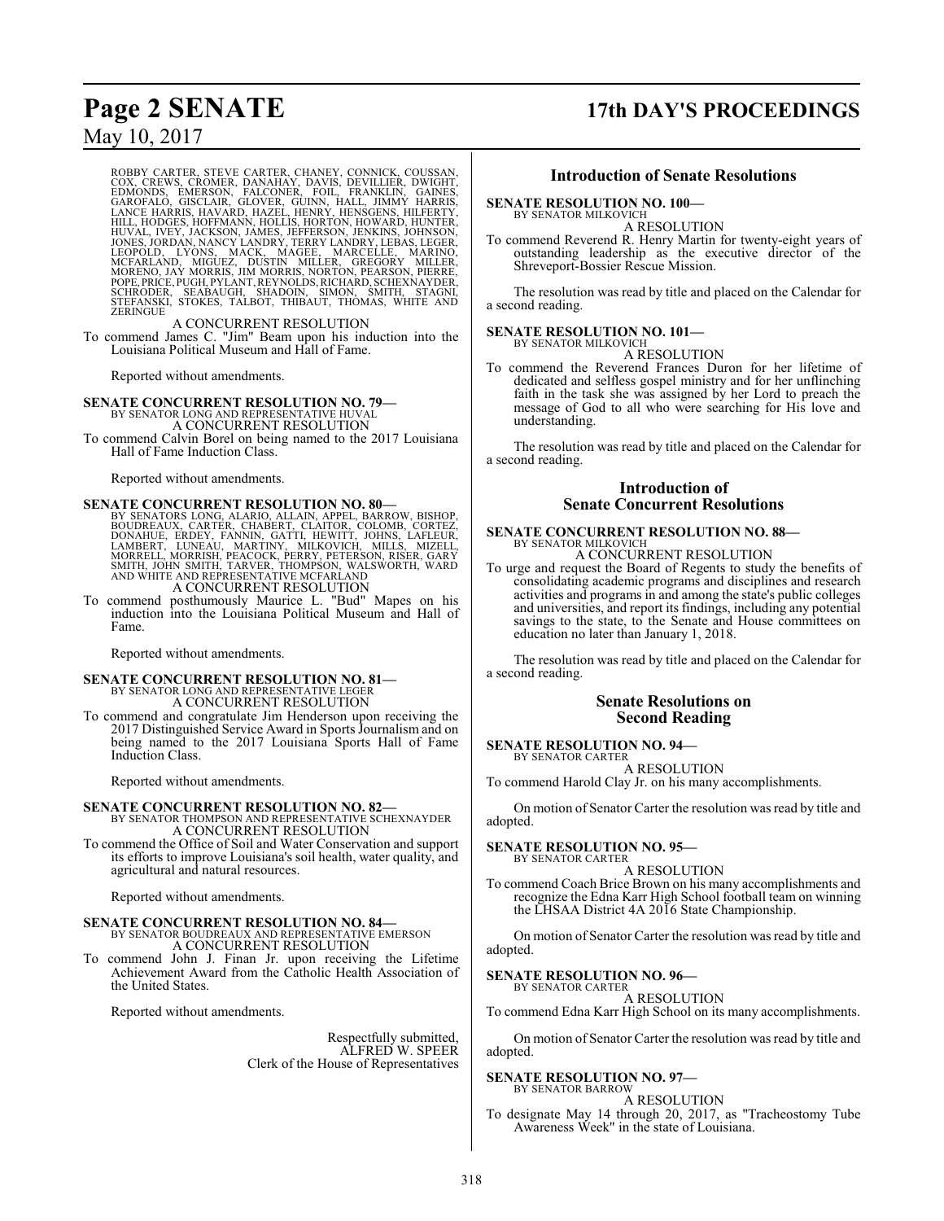# **Page 2 SENATE 17th DAY'S PROCEEDINGS**

## May 10, 2017

ROBBY CARTER, STEVE CARTER, CHANEY, CONNICK, COUSSAN, COX, CREWS, CROMER, DANAHAY, DAVIS, DEVILLIER, DWIGHT, GAINES, GAROFALO, GISCLAIR, GLOVER, GUINN, HALL, JIMMY HARRIS, GAROFALO, GISCLAIR, GLOVER, GUINN, HALL, JIMMY HAR

A CONCURRENT RESOLUTION To commend James C. "Jim" Beam upon his induction into the Louisiana Political Museum and Hall of Fame.

Reported without amendments.

- **SENATE CONCURRENT RESOLUTION NO. 79—** BY SENATOR LONG AND REPRESENTATIVE HUVAL A CONCURRENT RESOLUTION
- To commend Calvin Borel on being named to the 2017 Louisiana Hall of Fame Induction Class.

Reported without amendments.

**SENATE CONCURRENT RESOLUTION NO. 80**<br>BY SENATORS LONG, ALARIO, ALLAIN, APPEL, BARROW, BISHOP, BOUDREAUX, CARTER, CHAIBERT, CLAITOR, COLOMB, CORTEZ,<br>DONAHUE, ERDEY, FANNIN, GATTI, HEWITT, JOHNS, LAFLEUR,<br>LAMBERT, LUNEAU, M A CONCURRENT RESOLUTION

To commend posthumously Maurice L. "Bud" Mapes on his induction into the Louisiana Political Museum and Hall of Fame.

Reported without amendments.

## **SENATE CONCURRENT RESOLUTION NO. 81—** BY SENATOR LONG AND REPRESENTATIVE LEGER A CONCURRENT RESOLUTION

To commend and congratulate Jim Henderson upon receiving the 2017 Distinguished Service Award in Sports Journalism and on being named to the 2017 Louisiana Sports Hall of Fame Induction Class.

Reported without amendments.

- **SENATE CONCURRENT RESOLUTION NO. 82—** BY SENATOR THOMPSON AND REPRESENTATIVE SCHEXNAYDER A CONCURRENT RESOLUTION
- To commend the Office of Soil and Water Conservation and support its efforts to improve Louisiana's soil health, water quality, and agricultural and natural resources.

Reported without amendments.

## **SENATE CONCURRENT RESOLUTION NO. 84—** BY SENATOR BOUDREAUX AND REPRESENTATIVE EMERSON A CONCURRENT RESOLUTION

To commend John J. Finan Jr. upon receiving the Lifetime Achievement Award from the Catholic Health Association of the United States.

Reported without amendments.

Respectfully submitted, ALFRED W. SPEER Clerk of the House of Representatives

#### **Introduction of Senate Resolutions**

#### **SENATE RESOLUTION NO. 100—**

BY SENATOR MILKOVICH

A RESOLUTION To commend Reverend R. Henry Martin for twenty-eight years of outstanding leadership as the executive director of the Shreveport-Bossier Rescue Mission.

The resolution was read by title and placed on the Calendar for a second reading.

#### **SENATE RESOLUTION NO. 101—** BY SENATOR MILKOVICH

A RESOLUTION

To commend the Reverend Frances Duron for her lifetime of dedicated and selfless gospel ministry and for her unflinching faith in the task she was assigned by her Lord to preach the message of God to all who were searching for His love and understanding.

The resolution was read by title and placed on the Calendar for a second reading.

#### **Introduction of Senate Concurrent Resolutions**

#### **SENATE CONCURRENT RESOLUTION NO. 88—** BY SENATOR MILKOVICH

A CONCURRENT RESOLUTION

To urge and request the Board of Regents to study the benefits of consolidating academic programs and disciplines and research activities and programs in and among the state's public colleges and universities, and report its findings, including any potential savings to the state, to the Senate and House committees on education no later than January 1, 2018.

The resolution was read by title and placed on the Calendar for a second reading.

#### **Senate Resolutions on Second Reading**

## **SENATE RESOLUTION NO. 94—**

BY SENATOR CARTER A RESOLUTION To commend Harold Clay Jr. on his many accomplishments.

On motion of Senator Carter the resolution was read by title and adopted.

#### **SENATE RESOLUTION NO. 95—** BY SENATOR CARTER

A RESOLUTION

To commend Coach Brice Brown on his many accomplishments and recognize the Edna Karr High School football team on winning the LHSAA District 4A 2016 State Championship.

On motion of Senator Carter the resolution was read by title and adopted.

#### **SENATE RESOLUTION NO. 96—**

BY SENATOR CARTER A RESOLUTION

To commend Edna Karr High School on its many accomplishments.

On motion of Senator Carter the resolution was read by title and adopted.

#### **SENATE RESOLUTION NO. 97—**

BY SENATOR BARROW A RESOLUTION

To designate May 14 through 20, 2017, as "Tracheostomy Tube Awareness Week" in the state of Louisiana.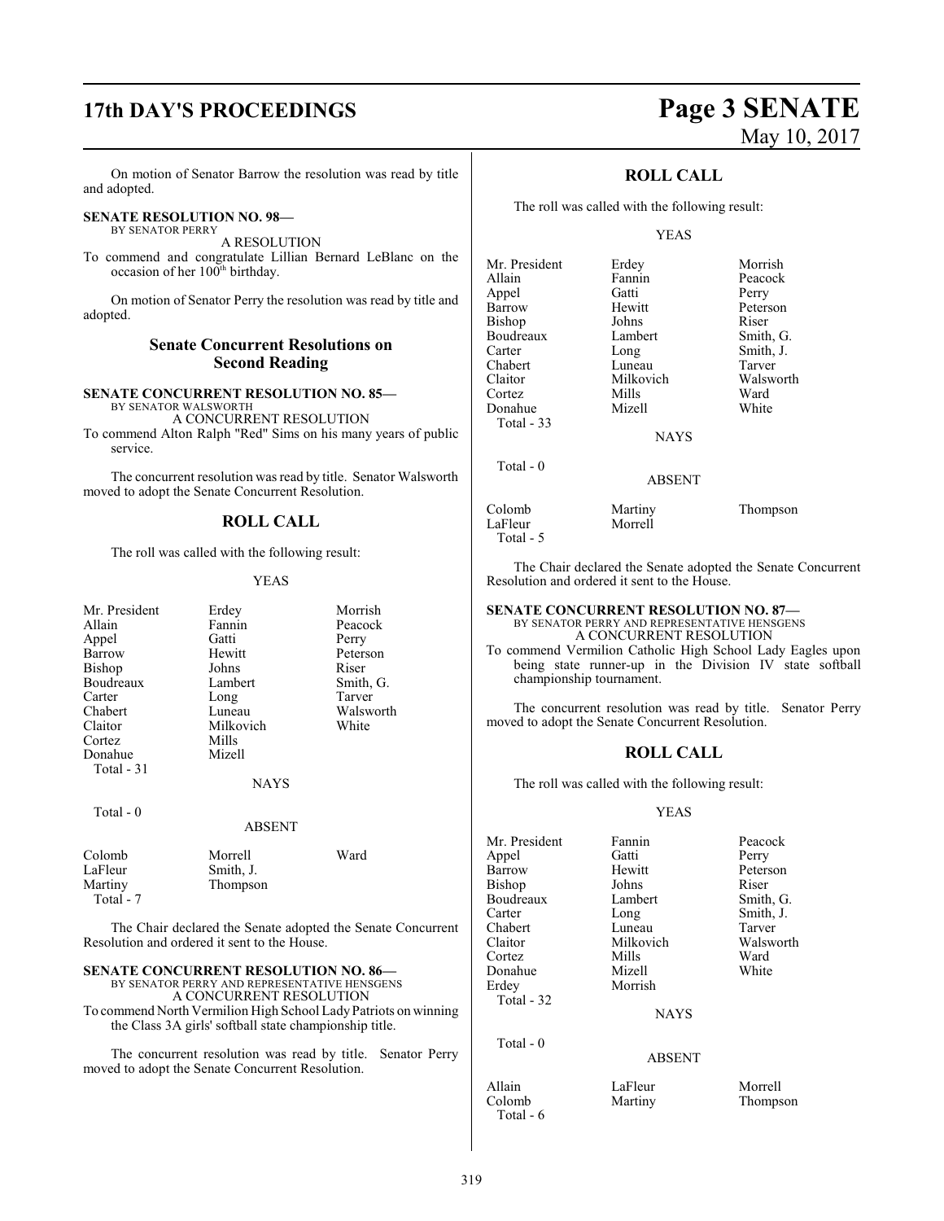# **17th DAY'S PROCEEDINGS Page 3 SENATE**

On motion of Senator Barrow the resolution was read by title and adopted.

### **SENATE RESOLUTION NO. 98—**

BY SENATOR PERRY A RESOLUTION

To commend and congratulate Lillian Bernard LeBlanc on the occasion of her 100<sup>th</sup> birthday.

On motion of Senator Perry the resolution was read by title and adopted.

#### **Senate Concurrent Resolutions on Second Reading**

#### **SENATE CONCURRENT RESOLUTION NO. 85—** BY SENATOR WALSWORTH

A CONCURRENT RESOLUTION To commend Alton Ralph "Red" Sims on his many years of public service.

The concurrent resolution was read by title. Senator Walsworth moved to adopt the Senate Concurrent Resolution.

#### **ROLL CALL**

The roll was called with the following result:

#### YEAS

| Mr. President<br>Allain<br>Appel<br>Barrow<br>Bishop<br>Boudreaux<br>Carter | Erdey<br>Fannin<br>Gatti<br>Hewitt<br>Johns<br>Lambert<br>Long | Morrish<br>Peacock<br>Perry<br>Peterson<br>Riser<br>Smith, G.<br>Tarver |
|-----------------------------------------------------------------------------|----------------------------------------------------------------|-------------------------------------------------------------------------|
| Chabert<br>Claitor<br>Cortez<br>Donahue<br>Total $-31$                      | Luneau<br>Milkovich<br>Mills<br>Mizell<br><b>NAYS</b>          | Walsworth<br>White                                                      |
| Total $-0$                                                                  | <b>ABSENT</b>                                                  |                                                                         |
| Colomb<br>LaFleur<br>Martiny<br>Total - 7                                   | Morrell<br>Smith, J.<br>Thompson                               | Ward                                                                    |

The Chair declared the Senate adopted the Senate Concurrent Resolution and ordered it sent to the House.

#### **SENATE CONCURRENT RESOLUTION NO. 86—**

BY SENATOR PERRY AND REPRESENTATIVE HENSGENS A CONCURRENT RESOLUTION To commend North Vermilion High School LadyPatriots on winning the Class 3A girls' softball state championship title.

The concurrent resolution was read by title. Senator Perry moved to adopt the Senate Concurrent Resolution.

# May 10, 2017

#### **ROLL CALL**

The roll was called with the following result:

#### YEAS

| Mr. President     | Erdey         | Morrish   |
|-------------------|---------------|-----------|
|                   |               |           |
| Allain            | Fannin        | Peacock   |
| Appel             | Gatti         | Perry     |
| Barrow            | Hewitt        | Peterson  |
| Bishop            | Johns         | Riser     |
| Boudreaux         | Lambert       | Smith, G. |
| Carter            | Long          | Smith, J. |
| Chabert           | Luneau        | Tarver    |
| Claitor           | Milkovich     | Walsworth |
| Cortez            | Mills         | Ward      |
| Donahue           | Mizell        | White     |
| <b>Total - 33</b> |               |           |
|                   | <b>NAYS</b>   |           |
| Total $-0$        |               |           |
|                   | <b>ABSENT</b> |           |
|                   |               |           |

Colomb Martiny Thompson Total - 5

LaFleur

The Chair declared the Senate adopted the Senate Concurrent Resolution and ordered it sent to the House.

#### **SENATE CONCURRENT RESOLUTION NO. 87—** BY SENATOR PERRY AND REPRESENTATIVE HENSGENS A CONCURRENT RESOLUTION

To commend Vermilion Catholic High School Lady Eagles upon being state runner-up in the Division IV state softball championship tournament.

The concurrent resolution was read by title. Senator Perry moved to adopt the Senate Concurrent Resolution.

#### **ROLL CALL**

The roll was called with the following result:

#### YEAS

| Mr. President | Fannin        | Peacock   |
|---------------|---------------|-----------|
| Appel         | Gatti         | Perry     |
| Barrow        | Hewitt        | Peterson  |
| <b>Bishop</b> | Johns         | Riser     |
| Boudreaux     | Lambert       | Smith, G. |
| Carter        | Long          | Smith, J. |
| Chabert       | Luneau        | Tarver    |
| Claitor       | Milkovich     | Walsworth |
| Cortez        | Mills         | Ward      |
| Donahue       | Mizell        | White     |
| Erdey         | Morrish       |           |
| Total - 32    |               |           |
|               | <b>NAYS</b>   |           |
| Total - 0     |               |           |
|               | <b>ABSENT</b> |           |
| Allain        | LaFleur       | Morrell   |
| Colomb        | Martiny       | Thomnson  |

Total - 6

Martiny Thompson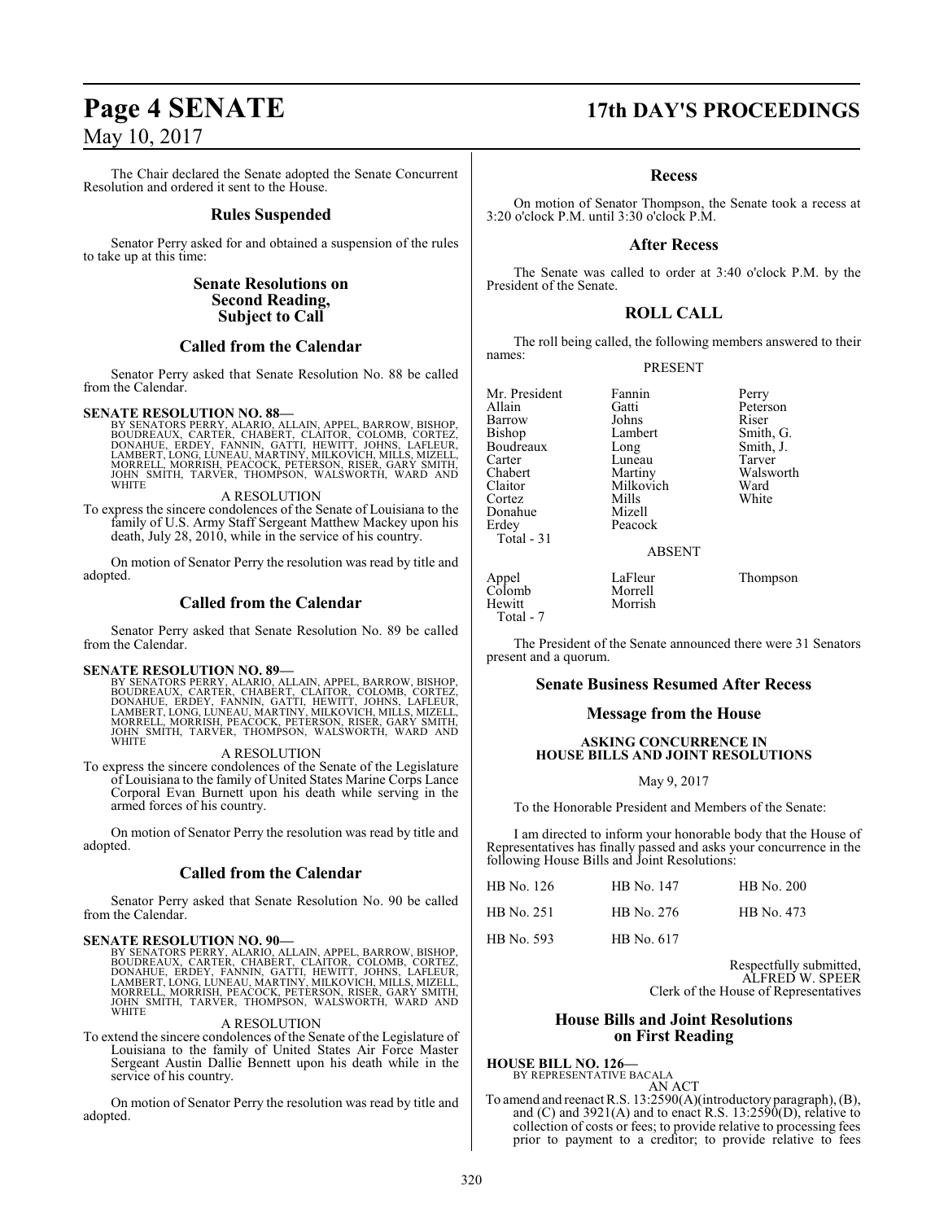The Chair declared the Senate adopted the Senate Concurrent Resolution and ordered it sent to the House.

#### **Rules Suspended**

Senator Perry asked for and obtained a suspension of the rules to take up at this time:

#### **Senate Resolutions on Second Reading, Subject to Call**

#### **Called from the Calendar**

Senator Perry asked that Senate Resolution No. 88 be called from the Calendar.

SENATE RESOLUTION NO. 88—<br>BY SENATORS PERRY, ALARIO, ALLAIN, APPEL, BARROW, BISHOP, BOUDREAUX, CARTER, CHABERT, CLAITOR, COLOMB, CORTEZ,<br>DONAHUE, ERDEY, FANNIN, GATTI, HEWITT, JOHNS, LAFLEUR,<br>LAMBERT, LONG, LUNEAU, MARTINY

#### A RESOLUTION

To express the sincere condolences of the Senate of Louisiana to the family of U.S. Army Staff Sergeant Matthew Mackey upon his death, July 28, 2010, while in the service of his country.

On motion of Senator Perry the resolution was read by title and adopted.

#### **Called from the Calendar**

Senator Perry asked that Senate Resolution No. 89 be called from the Calendar.

**SENATE RESOLUTION NO. 89—**<br>BY SENATORS PERRY, ALARIO, ALLAIN, APPEL, BARROW, BISHOP, BOUDREAUX, CARTER, CHABERT, CLAITOR, COLOMB, CORTEZ,<br>DONAHUE, ERDEY, FANNIN, GATTI, HEWITT, JOHNS, LAFLEUR,<br>LAMBERT, LONG, LUNEAU, MARTI

#### A RESOLUTION

To express the sincere condolences of the Senate of the Legislature of Louisiana to the family of United States Marine Corps Lance Corporal Evan Burnett upon his death while serving in the armed forces of his country.

On motion of Senator Perry the resolution was read by title and adopted.

#### **Called from the Calendar**

Senator Perry asked that Senate Resolution No. 90 be called from the Calendar.

SENATE RESOLUTION NO. 90—<br>BY SENATORS PERRY, ALARIO, ALLAIN, APPEL, BARROW, BISHOP, BOUDREAUX, CARTER, CHABERT, CLAITOR, COLOMB, CORTEZ,<br>DONAHUE, ERDEY, FANNIN, GATTI, HEWITT, JOHNS, LAFLEUR,<br>LAMBERT, LONG, LUNEAU, MARTINY

#### A RESOLUTION

To extend the sincere condolences of the Senate of the Legislature of Louisiana to the family of United States Air Force Master Sergeant Austin Dallie Bennett upon his death while in the service of his country.

On motion of Senator Perry the resolution was read by title and adopted.

# **Page 4 SENATE 17th DAY'S PROCEEDINGS**

#### **Recess**

On motion of Senator Thompson, the Senate took a recess at 3:20 o'clock P.M. until 3:30 o'clock P.M.

#### **After Recess**

The Senate was called to order at 3:40 o'clock P.M. by the President of the Senate.

### **ROLL CALL**

The roll being called, the following members answered to their names:

#### PRESENT

Mr. President Fannin Perry<br>Allain Gatti Peters Barrow Johns<br>Bishop Lambert Boudreaux Long Smith,<br>Carter Luneau Tarver Carter Luneau<br>
Chabert Martiny Claitor Milkovich<br>Cortez Mills Donahue<br>Erdey Total - 31

Mills White<br>Mizell Peacock

Morrish

Gatti Peterson<br>
Iohns Riser Lambert Smith, G.<br>
Long Smith, J. Walsworth<br>Ward

#### ABSENT

Appel LaFleur Thompson Colomb<br>Hewitt Total - 7

The President of the Senate announced there were 31 Senators present and a quorum.

#### **Senate Business Resumed After Recess**

#### **Message from the House**

#### **ASKING CONCURRENCE IN HOUSE BILLS AND JOINT RESOLUTIONS**

#### May 9, 2017

To the Honorable President and Members of the Senate:

I am directed to inform your honorable body that the House of Representatives has finally passed and asks your concurrence in the following House Bills and Joint Resolutions:

| HB No. 126        | HB No. 147 | HB No. 200 |
|-------------------|------------|------------|
| HB No. 251        | HB No. 276 | HB No. 473 |
| <b>HB</b> No. 593 | HB No. 617 |            |

Respectfully submitted, ALFRED W. SPEER Clerk of the House of Representatives

#### **House Bills and Joint Resolutions on First Reading**

**HOUSE BILL NO. 126—** BY REPRESENTATIVE BACALA

AN ACT To amend and reenact R.S. 13:2590(A)(introductory paragraph), (B), and (C) and  $3921(A)$  and to enact R.S.  $13:2590(D)$ , relative to collection of costs or fees; to provide relative to processing fees prior to payment to a creditor; to provide relative to fees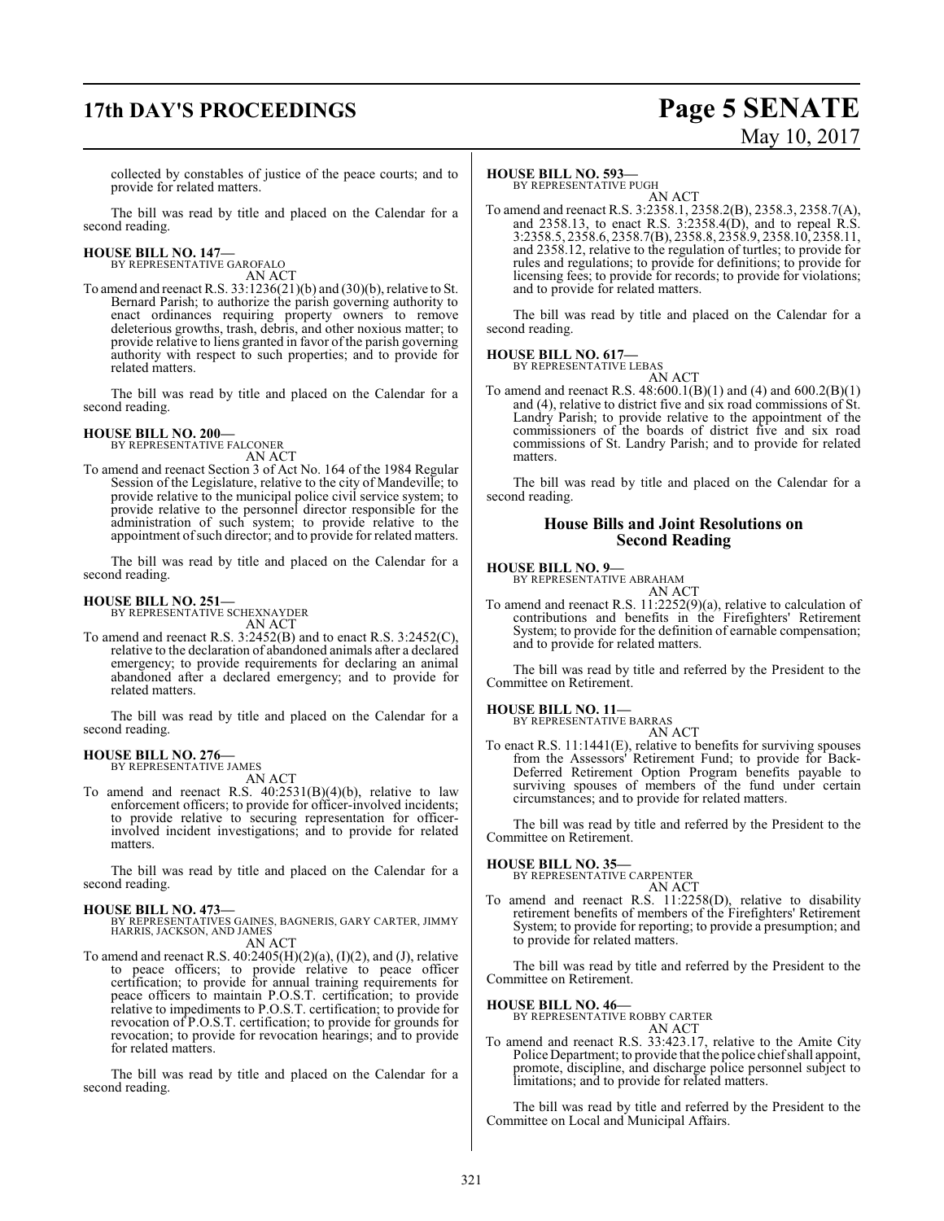# **17th DAY'S PROCEEDINGS Page 5 SENATE**

# May 10, 2017

collected by constables of justice of the peace courts; and to provide for related matters.

The bill was read by title and placed on the Calendar for a second reading.

**HOUSE BILL NO. 147—** BY REPRESENTATIVE GAROFALO

AN ACT

To amend and reenact R.S. 33:1236(21)(b) and (30)(b), relative to St. Bernard Parish; to authorize the parish governing authority to enact ordinances requiring property owners to remove deleterious growths, trash, debris, and other noxious matter; to provide relative to liens granted in favor of the parish governing authority with respect to such properties; and to provide for related matters.

The bill was read by title and placed on the Calendar for a second reading.

# **HOUSE BILL NO. 200—** BY REPRESENTATIVE FALCONER

AN ACT

To amend and reenact Section 3 of Act No. 164 of the 1984 Regular Session of the Legislature, relative to the city of Mandeville; to provide relative to the municipal police civil service system; to provide relative to the personnel director responsible for the administration of such system; to provide relative to the appointment of such director; and to provide for related matters.

The bill was read by title and placed on the Calendar for a second reading.

#### **HOUSE BILL NO. 251—**

BY REPRESENTATIVE SCHEXNAYDER AN ACT

To amend and reenact R.S. 3:2452(B) and to enact R.S. 3:2452(C), relative to the declaration of abandoned animals after a declared emergency; to provide requirements for declaring an animal abandoned after a declared emergency; and to provide for related matters.

The bill was read by title and placed on the Calendar for a second reading.

#### **HOUSE BILL NO. 276—**

BY REPRESENTATIVE JAMES AN ACT

To amend and reenact R.S.  $40:2531(B)(4)(b)$ , relative to law enforcement officers; to provide for officer-involved incidents; to provide relative to securing representation for officerinvolved incident investigations; and to provide for related matters.

The bill was read by title and placed on the Calendar for a second reading.

#### **HOUSE BILL NO. 473—**

BY REPRESENTATIVES GAINES, BAGNERIS, GARY CARTER, JIMMY HARRIS, JACKSON, AND JAMES

AN ACT

To amend and reenact R.S.  $40:2405(H)(2)(a)$ ,  $(I)(2)$ , and  $(J)$ , relative to peace officers; to provide relative to peace officer certification; to provide for annual training requirements for peace officers to maintain P.O.S.T. certification; to provide relative to impediments to P.O.S.T. certification; to provide for revocation of P.O.S.T. certification; to provide for grounds for revocation; to provide for revocation hearings; and to provide for related matters.

The bill was read by title and placed on the Calendar for a second reading.

#### **HOUSE BILL NO. 593—**

BY REPRESENTATIVE PUGH AN ACT

To amend and reenact R.S. 3:2358.1, 2358.2(B), 2358.3, 2358.7(A), and 2358.13, to enact R.S. 3:2358.4(D), and to repeal R.S. 3:2358.5, 2358.6, 2358.7(B), 2358.8, 2358.9, 2358.10, 2358.11, and 2358.12, relative to the regulation of turtles; to provide for rules and regulations; to provide for definitions; to provide for licensing fees; to provide for records; to provide for violations; and to provide for related matters.

The bill was read by title and placed on the Calendar for a second reading.

#### **HOUSE BILL NO. 617—**

BY REPRESENTATIVE LEBAS AN ACT

To amend and reenact R.S. 48:600.1(B)(1) and (4) and 600.2(B)(1) and (4), relative to district five and six road commissions of St. Landry Parish; to provide relative to the appointment of the commissioners of the boards of district five and six road commissions of St. Landry Parish; and to provide for related matters.

The bill was read by title and placed on the Calendar for a second reading.

#### **House Bills and Joint Resolutions on Second Reading**

**HOUSE BILL NO. 9—** BY REPRESENTATIVE ABRAHAM

AN ACT

To amend and reenact R.S. 11:2252(9)(a), relative to calculation of contributions and benefits in the Firefighters' Retirement System; to provide for the definition of earnable compensation; and to provide for related matters.

The bill was read by title and referred by the President to the Committee on Retirement.

# **HOUSE BILL NO. 11—** BY REPRESENTATIVE BARRAS

AN ACT

To enact R.S. 11:1441(E), relative to benefits for surviving spouses from the Assessors' Retirement Fund; to provide for Back-Deferred Retirement Option Program benefits payable to surviving spouses of members of the fund under certain circumstances; and to provide for related matters.

The bill was read by title and referred by the President to the Committee on Retirement.

#### **HOUSE BILL NO. 35—**

BY REPRESENTATIVE CARPENTER AN ACT

AN ACT 
$$
11.2255
$$

To amend and reenact R.S. 11:2258(D), relative to disability retirement benefits of members of the Firefighters' Retirement System; to provide for reporting; to provide a presumption; and to provide for related matters.

The bill was read by title and referred by the President to the Committee on Retirement.

#### **HOUSE BILL NO. 46—**

BY REPRESENTATIVE ROBBY CARTER AN ACT

To amend and reenact R.S. 33:423.17, relative to the Amite City Police Department; to provide that the police chiefshall appoint, promote, discipline, and discharge police personnel subject to limitations; and to provide for related matters.

The bill was read by title and referred by the President to the Committee on Local and Municipal Affairs.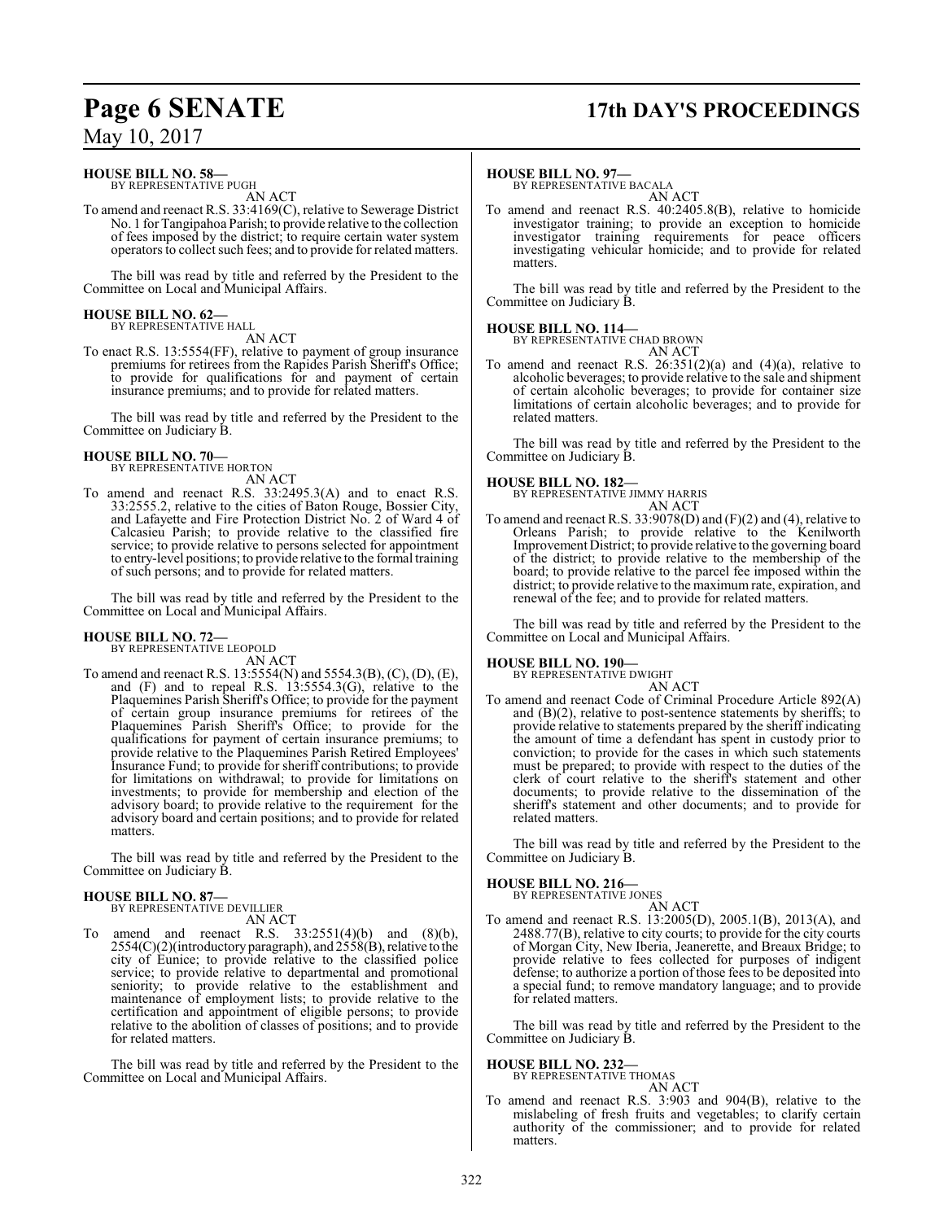# **Page 6 SENATE 17th DAY'S PROCEEDINGS**

**HOUSE BILL NO. 58—** BY REPRESENTATIVE PUGH

AN ACT

To amend and reenact R.S. 33:4169(C), relative to Sewerage District No. 1 for Tangipahoa Parish; to provide relative to the collection of fees imposed by the district; to require certain water system operators to collect such fees; and to provide for related matters.

The bill was read by title and referred by the President to the Committee on Local and Municipal Affairs.

# **HOUSE BILL NO. 62—** BY REPRESENTATIVE HALL

AN ACT

To enact R.S. 13:5554(FF), relative to payment of group insurance premiums for retirees from the Rapides Parish Sheriff's Office; to provide for qualifications for and payment of certain insurance premiums; and to provide for related matters.

The bill was read by title and referred by the President to the Committee on Judiciary B.

#### **HOUSE BILL NO. 70—** BY REPRESENTATIVE HORTON

AN ACT

To amend and reenact R.S. 33:2495.3(A) and to enact R.S. 33:2555.2, relative to the cities of Baton Rouge, Bossier City, and Lafayette and Fire Protection District No. 2 of Ward 4 of Calcasieu Parish; to provide relative to the classified fire service; to provide relative to persons selected for appointment to entry-level positions; to provide relative to the formal training of such persons; and to provide for related matters.

The bill was read by title and referred by the President to the Committee on Local and Municipal Affairs.

# **HOUSE BILL NO. 72—** BY REPRESENTATIVE LEOPOLD

AN ACT

To amend and reenact R.S. 13:5554(N) and 5554.3(B), (C), (D), (E), and (F) and to repeal R.S. 13:5554.3(G), relative to the Plaquemines Parish Sheriff's Office; to provide for the payment of certain group insurance premiums for retirees of the Plaquemines Parish Sheriff's Office; to provide for the qualifications for payment of certain insurance premiums; to provide relative to the Plaquemines Parish Retired Employees' Insurance Fund; to provide for sheriff contributions; to provide for limitations on withdrawal; to provide for limitations on investments; to provide for membership and election of the advisory board; to provide relative to the requirement for the advisory board and certain positions; and to provide for related matters.

The bill was read by title and referred by the President to the Committee on Judiciary B.

**HOUSE BILL NO. 87—** BY REPRESENTATIVE DEVILLIER AN ACT

To amend and reenact R.S.  $33:2551(4)(b)$  and  $(8)(b)$ ,  $2554(C)(2)$ (introductory paragraph), and  $2558(B)$ , relative to the city of Eunice; to provide relative to the classified police service; to provide relative to departmental and promotional seniority; to provide relative to the establishment and maintenance of employment lists; to provide relative to the certification and appointment of eligible persons; to provide relative to the abolition of classes of positions; and to provide for related matters.

The bill was read by title and referred by the President to the Committee on Local and Municipal Affairs.

#### **HOUSE BILL NO. 97—**

BY REPRESENTATIVE BACALA AN ACT

To amend and reenact R.S. 40:2405.8(B), relative to homicide investigator training; to provide an exception to homicide investigator training requirements for peace officers investigating vehicular homicide; and to provide for related matters.

The bill was read by title and referred by the President to the Committee on Judiciary B.

**HOUSE BILL NO. 114—** BY REPRESENTATIVE CHAD BROWN

AN ACT

To amend and reenact R.S.  $26:351(2)(a)$  and  $(4)(a)$ , relative to alcoholic beverages; to provide relative to the sale and shipment of certain alcoholic beverages; to provide for container size limitations of certain alcoholic beverages; and to provide for related matters.

The bill was read by title and referred by the President to the Committee on Judiciary B.

#### **HOUSE BILL NO. 182—**

BY REPRESENTATIVE JIMMY HARRIS AN ACT

To amend and reenact R.S. 33:9078(D) and (F)(2) and (4), relative to Orleans Parish; to provide relative to the Kenilworth Improvement District; to provide relative to the governing board of the district; to provide relative to the membership of the board; to provide relative to the parcel fee imposed within the district; to provide relative to the maximum rate, expiration, and renewal of the fee; and to provide for related matters.

The bill was read by title and referred by the President to the Committee on Local and Municipal Affairs.

#### **HOUSE BILL NO. 190—**

BY REPRESENTATIVE DWIGHT

- AN ACT
- To amend and reenact Code of Criminal Procedure Article 892(A) and (B)(2), relative to post-sentence statements by sheriffs; to provide relative to statements prepared by the sheriff indicating the amount of time a defendant has spent in custody prior to conviction; to provide for the cases in which such statements must be prepared; to provide with respect to the duties of the clerk of court relative to the sheriff's statement and other documents; to provide relative to the dissemination of the sheriff's statement and other documents; and to provide for related matters.

The bill was read by title and referred by the President to the Committee on Judiciary B.

#### **HOUSE BILL NO. 216—**

BY REPRESENTATIVE JONES AN ACT

To amend and reenact R.S. 13:2005(D), 2005.1(B), 2013(A), and 2488.77(B), relative to city courts; to provide for the city courts of Morgan City, New Iberia, Jeanerette, and Breaux Bridge; to provide relative to fees collected for purposes of indigent defense; to authorize a portion of those fees to be deposited into a special fund; to remove mandatory language; and to provide for related matters.

The bill was read by title and referred by the President to the Committee on Judiciary B.

# **HOUSE BILL NO. 232—** BY REPRESENTATIVE THOMAS

AN ACT To amend and reenact R.S. 3:903 and 904(B), relative to the mislabeling of fresh fruits and vegetables; to clarify certain authority of the commissioner; and to provide for related matters.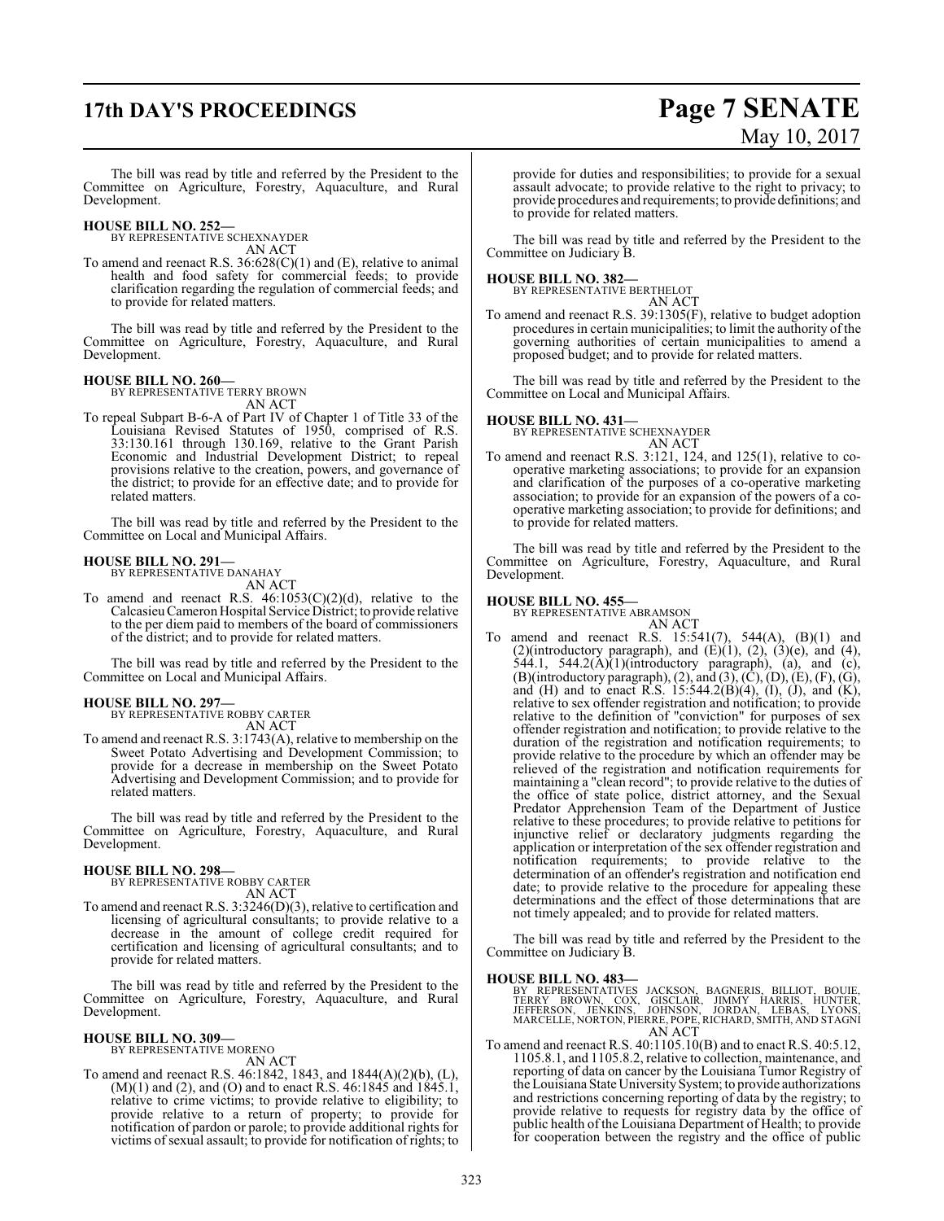# **17th DAY'S PROCEEDINGS Page 7 SENATE**

# May 10, 2017

The bill was read by title and referred by the President to the Committee on Agriculture, Forestry, Aquaculture, and Rural Development.

**HOUSE BILL NO. 252—** BY REPRESENTATIVE SCHEXNAYDER

AN ACT

To amend and reenact R.S. 36:628(C)(1) and (E), relative to animal health and food safety for commercial feeds; to provide clarification regarding the regulation of commercial feeds; and to provide for related matters.

The bill was read by title and referred by the President to the Committee on Agriculture, Forestry, Aquaculture, and Rural Development.

#### **HOUSE BILL NO. 260—**

BY REPRESENTATIVE TERRY BROWN AN ACT

To repeal Subpart B-6-A of Part IV of Chapter 1 of Title 33 of the Louisiana Revised Statutes of 1950, comprised of R.S. 33:130.161 through 130.169, relative to the Grant Parish Economic and Industrial Development District; to repeal provisions relative to the creation, powers, and governance of the district; to provide for an effective date; and to provide for related matters.

The bill was read by title and referred by the President to the Committee on Local and Municipal Affairs.

#### **HOUSE BILL NO. 291—**

BY REPRESENTATIVE DANAHAY AN ACT

To amend and reenact R.S.  $46:1053(C)(2)(d)$ , relative to the CalcasieuCameron Hospital Service District; to provide relative to the per diem paid to members of the board of commissioners of the district; and to provide for related matters.

The bill was read by title and referred by the President to the Committee on Local and Municipal Affairs.

#### **HOUSE BILL NO. 297—**

BY REPRESENTATIVE ROBBY CARTER AN ACT

To amend and reenact R.S. 3:1743(A), relative to membership on the Sweet Potato Advertising and Development Commission; to provide for a decrease in membership on the Sweet Potato Advertising and Development Commission; and to provide for related matters.

The bill was read by title and referred by the President to the Committee on Agriculture, Forestry, Aquaculture, and Rural Development.

# **HOUSE BILL NO. 298—** BY REPRESENTATIVE ROBBY CARTER

AN ACT

To amend and reenact R.S. 3:3246(D)(3), relative to certification and licensing of agricultural consultants; to provide relative to a decrease in the amount of college credit required for certification and licensing of agricultural consultants; and to provide for related matters.

The bill was read by title and referred by the President to the Committee on Agriculture, Forestry, Aquaculture, and Rural Development.

#### **HOUSE BILL NO. 309—**

BY REPRESENTATIVE MORENO AN ACT

To amend and reenact R.S. 46:1842, 1843, and 1844(A)(2)(b), (L),  $(M)(1)$  and (2), and (O) and to enact R.S. 46:1845 and 1845.1, relative to crime victims; to provide relative to eligibility; to provide relative to a return of property; to provide for notification of pardon or parole; to provide additional rights for victims of sexual assault; to provide for notification of rights; to provide for duties and responsibilities; to provide for a sexual assault advocate; to provide relative to the right to privacy; to provide procedures and requirements; to provide definitions; and to provide for related matters.

The bill was read by title and referred by the President to the Committee on Judiciary B.

**HOUSE BILL NO. 382—** BY REPRESENTATIVE BERTHELOT AN ACT

To amend and reenact R.S. 39:1305(F), relative to budget adoption procedures in certain municipalities; to limit the authority of the governing authorities of certain municipalities to amend a proposed budget; and to provide for related matters.

The bill was read by title and referred by the President to the Committee on Local and Municipal Affairs.

## **HOUSE BILL NO. 431—** BY REPRESENTATIVE SCHEXNAYDER

AN ACT

To amend and reenact R.S. 3:121, 124, and 125(1), relative to cooperative marketing associations; to provide for an expansion and clarification of the purposes of a co-operative marketing association; to provide for an expansion of the powers of a cooperative marketing association; to provide for definitions; and to provide for related matters.

The bill was read by title and referred by the President to the Committee on Agriculture, Forestry, Aquaculture, and Rural Development.

# **HOUSE BILL NO. 455—** BY REPRESENTATIVE ABRAMSON

AN ACT To amend and reenact R.S.  $15:541(7)$ ,  $544(A)$ ,  $(B)(1)$  and (2)(introductory paragraph), and  $(E)(1)$ ,  $(2)$ ,  $(3)(e)$ , and  $(4)$ , 544.1, 544.2(A) $(1)$ (introductory paragraph), (a), and (c),  $(B)$ (introductory paragraph), (2), and (3), (C), (D), (E), (F), (G), and (H) and to enact R.S.  $15:544.2(B)(4)$ , (I), (J), and (K), relative to sex offender registration and notification; to provide relative to the definition of "conviction" for purposes of sex offender registration and notification; to provide relative to the duration of the registration and notification requirements; to provide relative to the procedure by which an offender may be relieved of the registration and notification requirements for maintaining a "clean record"; to provide relative to the duties of the office of state police, district attorney, and the Sexual Predator Apprehension Team of the Department of Justice relative to these procedures; to provide relative to petitions for injunctive relief or declaratory judgments regarding the application or interpretation of the sex offender registration and notification requirements; to provide relative to the determination of an offender's registration and notification end date; to provide relative to the procedure for appealing these determinations and the effect of those determinations that are not timely appealed; and to provide for related matters.

The bill was read by title and referred by the President to the Committee on Judiciary B.

#### **HOUSE BILL NO. 483—**

BY REPRESENTATIVES JACKSON, BAGNERIS, BILLIOT, BOUIE,<br>TERRY BROWN, COX, GISCLAIR, JIMMY HARRIS, HUNTER,<br>JEFFERSON, JENKINS, JOHNSON, JORDAN, LEBAS, LYONS,<br>MARCELLE,NORTON,PIERRE,POPE,RICHARD,SMITH,AND STAGNI<br>AN ACT

To amend and reenact R.S. 40:1105.10(B) and to enact R.S. 40:5.12, 1105.8.1, and 1105.8.2, relative to collection, maintenance, and reporting of data on cancer by the Louisiana Tumor Registry of the Louisiana State University System; to provide authorizations and restrictions concerning reporting of data by the registry; to provide relative to requests for registry data by the office of public health of the Louisiana Department of Health; to provide for cooperation between the registry and the office of public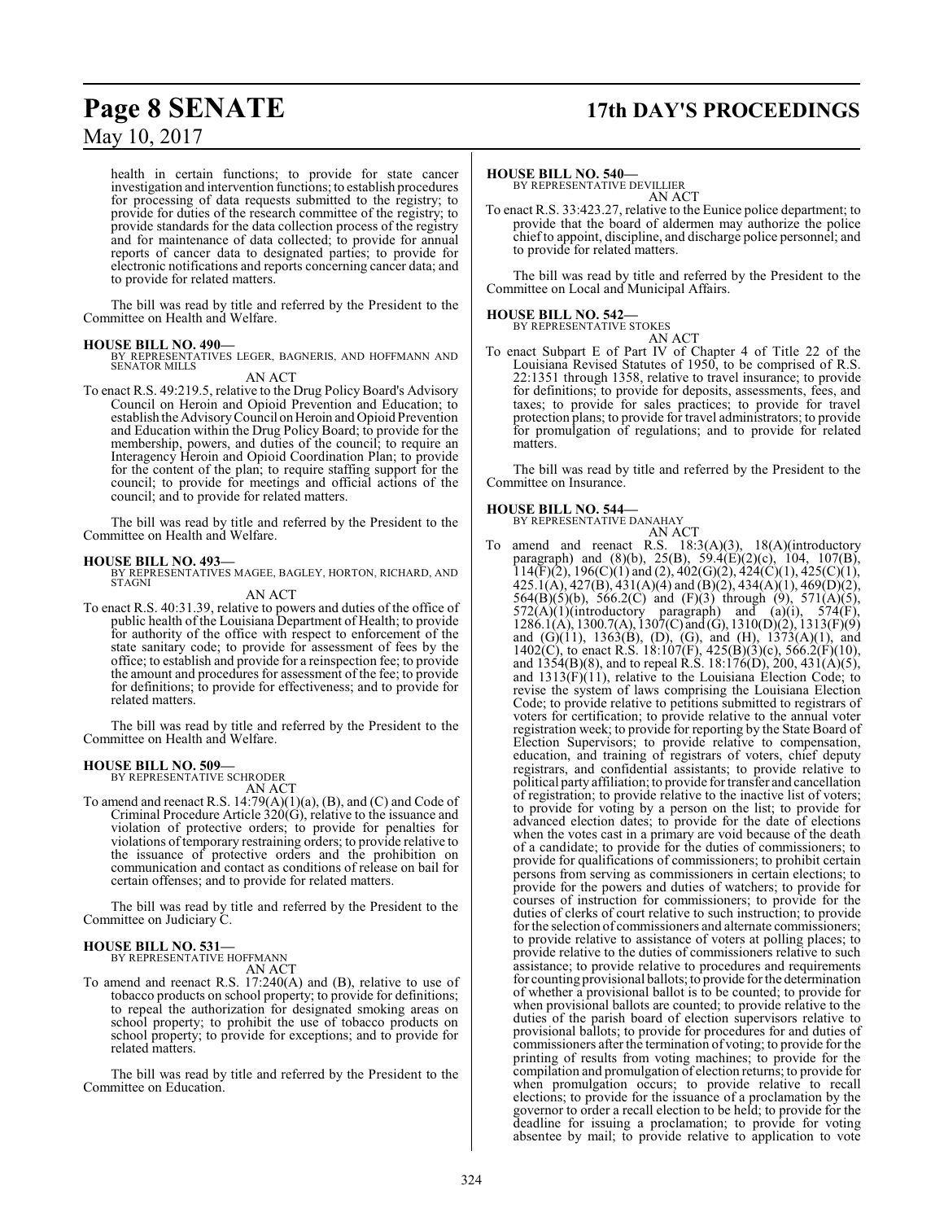# **Page 8 SENATE 17th DAY'S PROCEEDINGS**

May 10, 2017

health in certain functions; to provide for state cancer investigation and intervention functions; to establish procedures for processing of data requests submitted to the registry; to provide for duties of the research committee of the registry; to provide standards for the data collection process of the registry and for maintenance of data collected; to provide for annual reports of cancer data to designated parties; to provide for electronic notifications and reports concerning cancer data; and to provide for related matters.

The bill was read by title and referred by the President to the Committee on Health and Welfare.

#### **HOUSE BILL NO. 490—**

BY REPRESENTATIVES LEGER, BAGNERIS, AND HOFFMANN AND SENATOR MILLS

AN ACT

To enact R.S. 49:219.5, relative to the Drug Policy Board's Advisory Council on Heroin and Opioid Prevention and Education; to establish the Advisory Council on Heroin and Opioid Prevention and Education within the Drug Policy Board; to provide for the membership, powers, and duties of the council; to require an Interagency Heroin and Opioid Coordination Plan; to provide for the content of the plan; to require staffing support for the council; to provide for meetings and official actions of the council; and to provide for related matters.

The bill was read by title and referred by the President to the Committee on Health and Welfare.

**HOUSE BILL NO. 493—** BY REPRESENTATIVES MAGEE, BAGLEY, HORTON, RICHARD, AND STAGNI

- AN ACT
- To enact R.S. 40:31.39, relative to powers and duties of the office of public health of the Louisiana Department of Health; to provide for authority of the office with respect to enforcement of the state sanitary code; to provide for assessment of fees by the office; to establish and provide for a reinspection fee; to provide the amount and procedures for assessment of the fee; to provide for definitions; to provide for effectiveness; and to provide for related matters.

The bill was read by title and referred by the President to the Committee on Health and Welfare.

#### **HOUSE BILL NO. 509—**

BY REPRESENTATIVE SCHRODER AN ACT

To amend and reenact R.S. 14:79(A)(1)(a), (B), and (C) and Code of Criminal Procedure Article  $320(\overrightarrow{G})$ , relative to the issuance and violation of protective orders; to provide for penalties for violations of temporary restraining orders; to provide relative to the issuance of protective orders and the prohibition on communication and contact as conditions of release on bail for certain offenses; and to provide for related matters.

The bill was read by title and referred by the President to the Committee on Judiciary C.

#### **HOUSE BILL NO. 531—**

BY REPRESENTATIVE HOFFMANN AN ACT

To amend and reenact R.S. 17:240(A) and (B), relative to use of tobacco products on school property; to provide for definitions; to repeal the authorization for designated smoking areas on school property; to prohibit the use of tobacco products on school property; to provide for exceptions; and to provide for related matters.

The bill was read by title and referred by the President to the Committee on Education.

#### **HOUSE BILL NO. 540—**

BY REPRESENTATIVE DEVILLIER AN ACT

To enact R.S. 33:423.27, relative to the Eunice police department; to provide that the board of aldermen may authorize the police chief to appoint, discipline, and discharge police personnel; and to provide for related matters.

The bill was read by title and referred by the President to the Committee on Local and Municipal Affairs.

# **HOUSE BILL NO. 542—** BY REPRESENTATIVE STOKES

AN ACT To enact Subpart E of Part IV of Chapter 4 of Title 22 of the Louisiana Revised Statutes of 1950, to be comprised of R.S. 22:1351 through 1358, relative to travel insurance; to provide for definitions; to provide for deposits, assessments, fees, and taxes; to provide for sales practices; to provide for travel protection plans; to provide for travel administrators; to provide for promulgation of regulations; and to provide for related

The bill was read by title and referred by the President to the Committee on Insurance.

#### **HOUSE BILL NO. 544—**

matters.

BY REPRESENTATIVE DANAHAY

AN ACT

To amend and reenact R.S. 18:3(A)(3), 18(A)(introductory paragraph) and (8)(b), 25(B), 59.4(E)(2)(c), 104, 107(B),  $114(F)(2)$ ,  $196(C)(1)$  and  $(2)$ ,  $402(G)(2)$ ,  $424(C)(1)$ ,  $425(C)(1)$ , 425.1(A), 427(B), 431(A)(4) and (B)(2), 434(A)(1), 469(D)(2), 564(B)(5)(b), 566.2(C) and (F)(3) through (9), 571(A)(5),  $572(A)(1)(introductory paragraph)$  and  $(a)(i)$ ,  $574(F)$ , 1286.1(A), 1300.7(A), 1307(C) and (G), 1310(D)(2), 1313(F)(9) and (G)(11), 1363(B), (D), (G), and (H), 1373(A)(1), and 1402(C), to enact R.S. 18:107(F), 425(B)(3)(c), 566.2(F)(10), and  $1354(B)(8)$ , and to repeal R.S. 18:176(D), 200, 431(A)(5), and  $1313(F)(11)$ , relative to the Louisiana Election Code; to revise the system of laws comprising the Louisiana Election Code; to provide relative to petitions submitted to registrars of voters for certification; to provide relative to the annual voter registration week; to provide for reporting by the State Board of Election Supervisors; to provide relative to compensation, education, and training of registrars of voters, chief deputy registrars, and confidential assistants; to provide relative to political party affiliation; to provide for transfer and cancellation of registration; to provide relative to the inactive list of voters; to provide for voting by a person on the list; to provide for advanced election dates; to provide for the date of elections when the votes cast in a primary are void because of the death of a candidate; to provide for the duties of commissioners; to provide for qualifications of commissioners; to prohibit certain persons from serving as commissioners in certain elections; to provide for the powers and duties of watchers; to provide for courses of instruction for commissioners; to provide for the duties of clerks of court relative to such instruction; to provide for the selection of commissioners and alternate commissioners; to provide relative to assistance of voters at polling places; to provide relative to the duties of commissioners relative to such assistance; to provide relative to procedures and requirements for counting provisional ballots; to provide for the determination of whether a provisional ballot is to be counted; to provide for when provisional ballots are counted; to provide relative to the duties of the parish board of election supervisors relative to provisional ballots; to provide for procedures for and duties of commissioners after the termination of voting; to provide for the printing of results from voting machines; to provide for the compilation and promulgation of election returns; to provide for when promulgation occurs; to provide relative to recall elections; to provide for the issuance of a proclamation by the governor to order a recall election to be held; to provide for the deadline for issuing a proclamation; to provide for voting absentee by mail; to provide relative to application to vote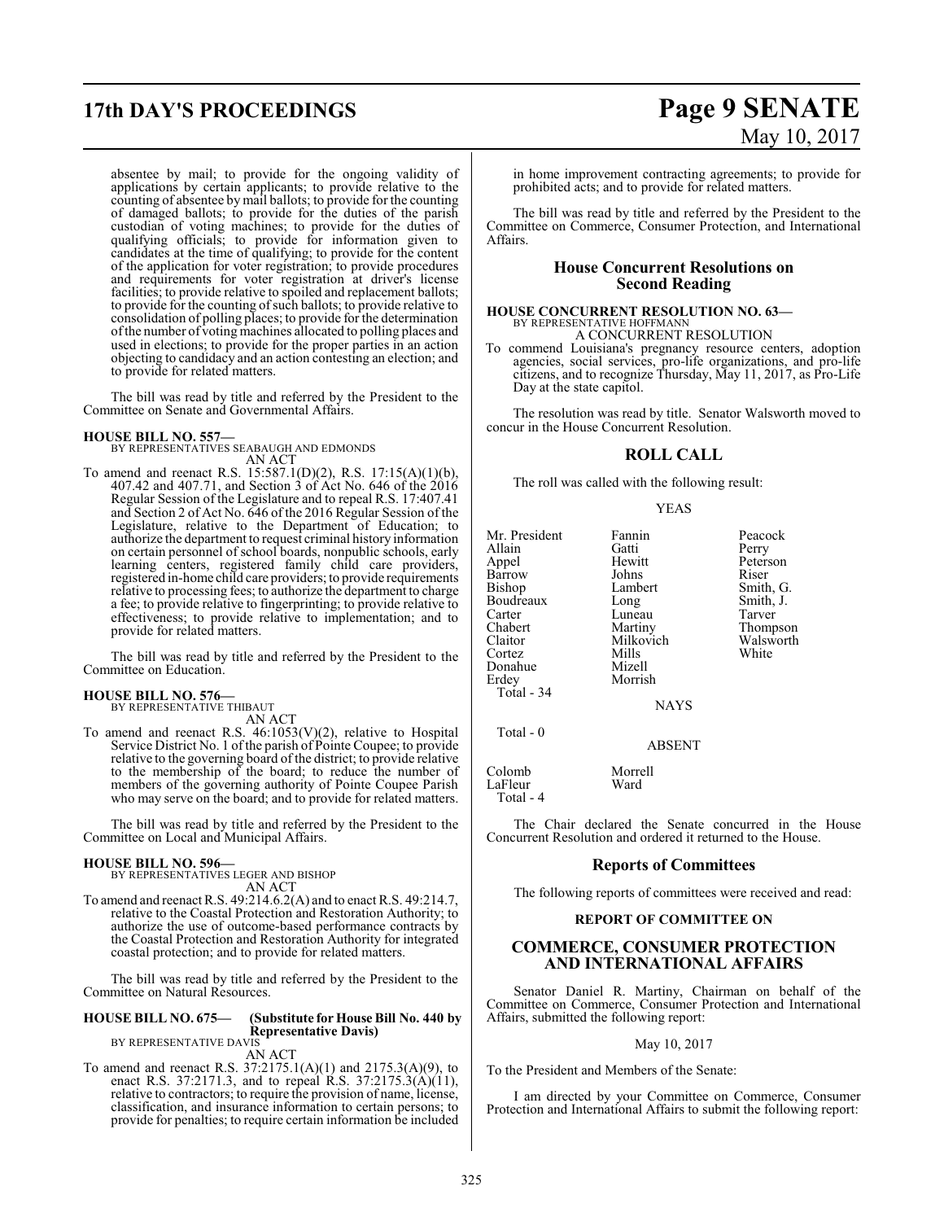absentee by mail; to provide for the ongoing validity of applications by certain applicants; to provide relative to the counting of absentee by mail ballots; to provide for the counting of damaged ballots; to provide for the duties of the parish custodian of voting machines; to provide for the duties of qualifying officials; to provide for information given to candidates at the time of qualifying; to provide for the content of the application for voter registration; to provide procedures and requirements for voter registration at driver's license facilities; to provide relative to spoiled and replacement ballots; to provide for the counting ofsuch ballots; to provide relative to consolidation of polling places; to provide for the determination ofthe number of votingmachines allocated to polling places and used in elections; to provide for the proper parties in an action objecting to candidacy and an action contesting an election; and to provide for related matters.

The bill was read by title and referred by the President to the Committee on Senate and Governmental Affairs.

**HOUSE BILL NO. 557—** BY REPRESENTATIVES SEABAUGH AND EDMONDS AN ACT

To amend and reenact R.S. 15:587.1(D)(2), R.S. 17:15(A)(1)(b), 407.42 and 407.71, and Section 3 of Act No. 646 of the 2016 Regular Session of the Legislature and to repeal R.S. 17:407.41 and Section 2 of Act No. 646 of the 2016 Regular Session of the Legislature, relative to the Department of Education; to authorize the department to request criminal history information on certain personnel of school boards, nonpublic schools, early learning centers, registered family child care providers, registered in-home child care providers; to provide requirements relative to processing fees; to authorize the department to charge a fee; to provide relative to fingerprinting; to provide relative to effectiveness; to provide relative to implementation; and to provide for related matters.

The bill was read by title and referred by the President to the Committee on Education.

#### **HOUSE BILL NO. 576—**

BY REPRESENTATIVE THIBAUT AN ACT

To amend and reenact R.S.  $46:1053(V)(2)$ , relative to Hospital Service District No. 1 ofthe parish of Pointe Coupee; to provide relative to the governing board of the district; to provide relative to the membership of the board; to reduce the number of members of the governing authority of Pointe Coupee Parish who may serve on the board; and to provide for related matters.

The bill was read by title and referred by the President to the Committee on Local and Municipal Affairs.

## **HOUSE BILL NO. 596—**

BY REPRESENTATIVES LEGER AND BISHOP AN ACT

To amend and reenact R.S. 49:214.6.2(A) and to enact R.S. 49:214.7, relative to the Coastal Protection and Restoration Authority; to authorize the use of outcome-based performance contracts by the Coastal Protection and Restoration Authority for integrated coastal protection; and to provide for related matters.

The bill was read by title and referred by the President to the Committee on Natural Resources.

#### **HOUSE BILL NO. 675— (Substitute for House Bill No. 440 by Representative Davis)**

BY REPRESENTATIVE DAVIS AN ACT

To amend and reenact R.S. 37:2175.1(A)(1) and 2175.3(A)(9), to enact R.S. 37:2171.3, and to repeal R.S. 37:2175.3(A)(11), relative to contractors; to require the provision of name, license, classification, and insurance information to certain persons; to provide for penalties; to require certain information be included

in home improvement contracting agreements; to provide for prohibited acts; and to provide for related matters.

The bill was read by title and referred by the President to the Committee on Commerce, Consumer Protection, and International Affairs.

#### **House Concurrent Resolutions on Second Reading**

## **HOUSE CONCURRENT RESOLUTION NO. 63—** BY REPRESENTATIVE HOFFMANN A CONCURRENT RESOLUTION

To commend Louisiana's pregnancy resource centers, adoption agencies, social services, pro-life organizations, and pro-life citizens, and to recognize Thursday, May 11, 2017, as Pro-Life Day at the state capitol.

The resolution was read by title. Senator Walsworth moved to concur in the House Concurrent Resolution.

## **ROLL CALL**

The roll was called with the following result:

YEAS

Mr. President Fannin Peacock<br>Allain Gatti Perry Allain Gatti<br>
Appel Hewitt Barrow Johns Riser<br>Bishop Lambert Smith G. Bishop Lambert Smith, G.<br>Boudreaux Long Smith, J. Boudreaux Long Smith,<br>Carter Luneau Tarver Carter Luneau<br>Chabert Martiny Chabert Martiny Thompson<br>Claitor Milkovich Walsworth Cortez Mills<br>Donahue Mizell Donahue<br>Erdey Morrish Total - 34 Total - 0

Hewitt Peterson<br>
Iohns Riser Milkovich Walsworth Walsworth

NAYS

## ABSENT

| Colomb    | Morrell |
|-----------|---------|
| LaFleur   | Ward    |
| Total - 4 |         |

The Chair declared the Senate concurred in the House Concurrent Resolution and ordered it returned to the House.

#### **Reports of Committees**

The following reports of committees were received and read:

#### **REPORT OF COMMITTEE ON**

#### **COMMERCE, CONSUMER PROTECTION AND INTERNATIONAL AFFAIRS**

Senator Daniel R. Martiny, Chairman on behalf of the Committee on Commerce, Consumer Protection and International Affairs, submitted the following report:

#### May 10, 2017

To the President and Members of the Senate:

I am directed by your Committee on Commerce, Consumer Protection and International Affairs to submit the following report: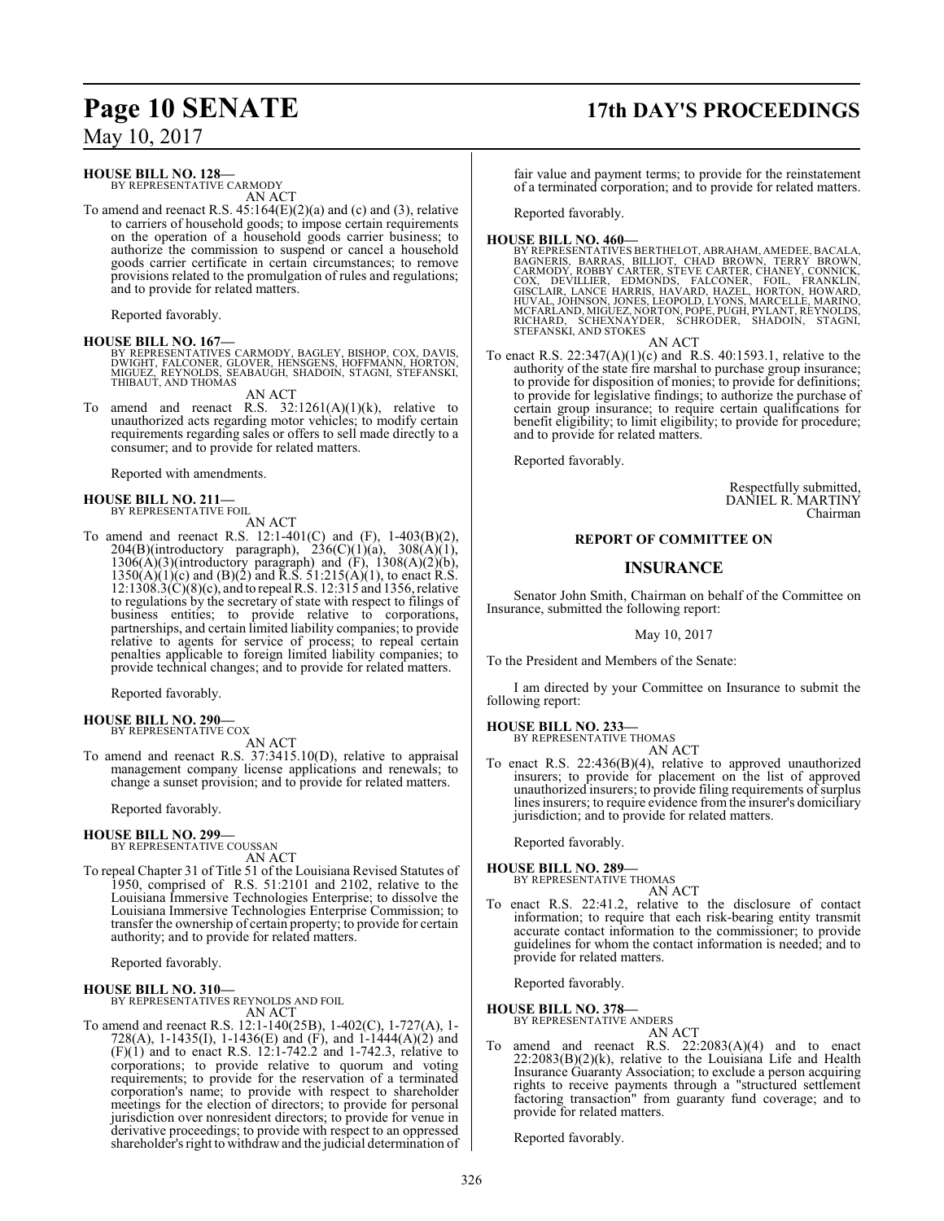#### **HOUSE BILL NO. 128—**

BY REPRESENTATIVE CARMODY AN ACT

To amend and reenact R.S.  $45:164(E)(2)(a)$  and (c) and (3), relative to carriers of household goods; to impose certain requirements on the operation of a household goods carrier business; to authorize the commission to suspend or cancel a household goods carrier certificate in certain circumstances; to remove provisions related to the promulgation of rules and regulations; and to provide for related matters.

Reported favorably.

#### **HOUSE BILL NO. 167—**

BY REPRESENTATIVES CARMODY, BAGLEY, BISHOP, COX, DAVIS,<br>DWIGHT, FALCONER, GLOVER, HENSGENS, HOFFMANN, HORTON,<br>MIGUEZ, REYNOLDS, SEABAUGH, SHADOIN, STAGNI, STEFANSKI,<br>THIBAUT, AND THOMAS

AN ACT

To amend and reenact R.S.  $32:1261(A)(1)(k)$ , relative to unauthorized acts regarding motor vehicles; to modify certain requirements regarding sales or offers to sell made directly to a consumer; and to provide for related matters.

Reported with amendments.

#### **HOUSE BILL NO. 211—** BY REPRESENTATIVE FOIL

AN ACT

To amend and reenact R.S. 12:1-401(C) and (F), 1-403(B)(2),  $204(B)$ (introductory paragraph),  $236(C)(1)(a)$ ,  $308(A)(1)$ ,  $1306(A)(3)$ (introductory paragraph) and  $(F)$ ,  $1308(A)(2)(b)$ ,  $1350(A)(1)(c)$  and  $(B)(2)$  and R.S.  $51:215(A)(1)$ , to enact R.S. 12:1308.3(C)(8)(c), and to repeal R.S. 12:315 and 1356, relative to regulations by the secretary of state with respect to filings of business entities; to provide relative to corporations, partnerships, and certain limited liability companies; to provide relative to agents for service of process; to repeal certain penalties applicable to foreign limited liability companies; to provide technical changes; and to provide for related matters.

Reported favorably.

#### **HOUSE BILL NO. 290—** BY REPRESENTATIVE COX

AN ACT

To amend and reenact R.S. 37:3415.10(D), relative to appraisal management company license applications and renewals; to change a sunset provision; and to provide for related matters.

Reported favorably.

#### **HOUSE BILL NO. 299—**

BY REPRESENTATIVE COUSSAN AN ACT

To repeal Chapter 31 of Title 51 of the Louisiana Revised Statutes of 1950, comprised of R.S. 51:2101 and 2102, relative to the Louisiana Immersive Technologies Enterprise; to dissolve the Louisiana Immersive Technologies Enterprise Commission; to transfer the ownership of certain property; to provide for certain authority; and to provide for related matters.

Reported favorably.

#### **HOUSE BILL NO. 310—** BY REPRESENTATIVES REYNOLDS AND FOIL AN ACT

To amend and reenact R.S. 12:1-140(25B), 1-402(C), 1-727(A), 1- 728(A), 1-1435(I), 1-1436(E) and (F), and 1-1444(A)(2) and  $(F)(1)$  and to enact R.S. 12:1-742.2 and 1-742.3, relative to corporations; to provide relative to quorum and voting requirements; to provide for the reservation of a terminated corporation's name; to provide with respect to shareholder meetings for the election of directors; to provide for personal jurisdiction over nonresident directors; to provide for venue in derivative proceedings; to provide with respect to an oppressed shareholder's right to withdrawand the judicial determination of

# **Page 10 SENATE 17th DAY'S PROCEEDINGS**

fair value and payment terms; to provide for the reinstatement of a terminated corporation; and to provide for related matters.

Reported favorably.

HOUSE BILL NO. 460-<br>BY REPRESENTATIVES BERTHELOT, ABRAHAM, AMEDEE, BACALA,<br>BAGNERIS, BARRAS, BILLIOT, CHAD BROWN, TERRY BROWN,<br>CARMODY, ROBBY CARTER, STEVE CARTER, CHANEY, CONNICK,<br>COX, DEVILLIER, EDMONDS, FALCONER, FOIL,

AN ACT

To enact R.S. 22:347(A)(1)(c) and R.S. 40:1593.1, relative to the authority of the state fire marshal to purchase group insurance; to provide for disposition of monies; to provide for definitions; to provide for legislative findings; to authorize the purchase of certain group insurance; to require certain qualifications for benefit eligibility; to limit eligibility; to provide for procedure; and to provide for related matters.

Reported favorably.

Respectfully submitted, DANIEL R. MARTINY Chairman

#### **REPORT OF COMMITTEE ON**

### **INSURANCE**

Senator John Smith, Chairman on behalf of the Committee on Insurance, submitted the following report:

May 10, 2017

To the President and Members of the Senate:

I am directed by your Committee on Insurance to submit the following report:

### **HOUSE BILL NO. 233—**

BY REPRESENTATIVE THOMAS AN ACT

To enact R.S. 22:436(B)(4), relative to approved unauthorized insurers; to provide for placement on the list of approved unauthorized insurers; to provide filing requirements of surplus lines insurers; to require evidence fromthe insurer's domiciliary jurisdiction; and to provide for related matters.

Reported favorably.

#### **HOUSE BILL NO. 289—**

BY REPRESENTATIVE THOMAS AN ACT

To enact R.S. 22:41.2, relative to the disclosure of contact information; to require that each risk-bearing entity transmit accurate contact information to the commissioner; to provide guidelines for whom the contact information is needed; and to provide for related matters.

Reported favorably.

#### **HOUSE BILL NO. 378—**

- BY REPRESENTATIVE ANDERS
- AN ACT To amend and reenact R.S. 22:2083(A)(4) and to enact  $22:2083(B)(2)(k)$ , relative to the Louisiana Life and Health Insurance Guaranty Association; to exclude a person acquiring rights to receive payments through a "structured settlement factoring transaction" from guaranty fund coverage; and to provide for related matters.

Reported favorably.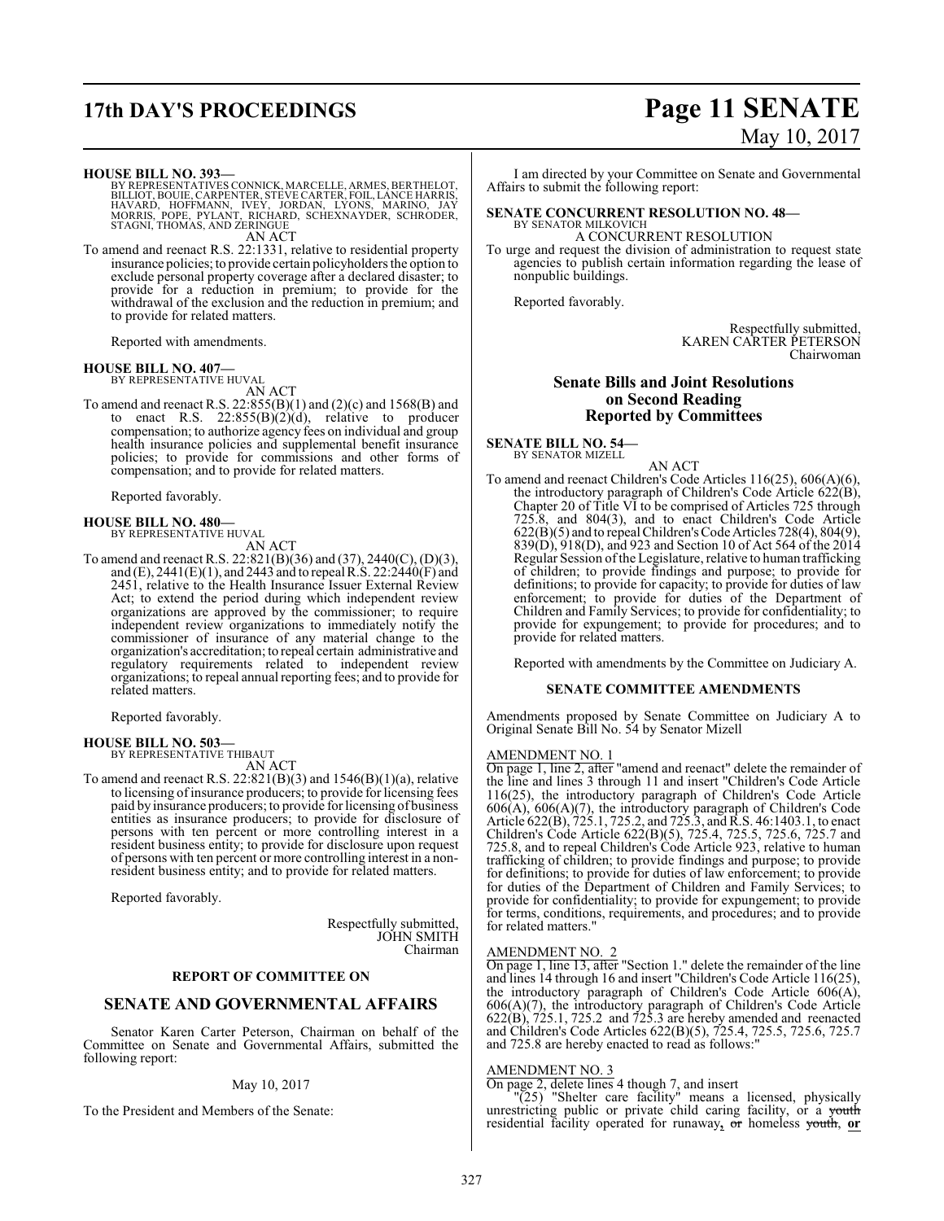# **17th DAY'S PROCEEDINGS Page 11 SENATE**

# May 10, 2017

**HOUSE BILL NO. 393—**

BY REPRESENTATIVES CONNICK, MARCELLE, ARMES, BERTHELOT,<br>BILLIOT, BOUIE, CARPENTER, STEVE CARTER, FOIL, LANCE HARRIS,<br>HAVARD, HOFFMANN, IVEY, JORDAN, LYONS, MARINO, JAY<br>MORRIS, POPE, PYLANT, RICHARD, SCHEX AN ACT

To amend and reenact R.S. 22:1331, relative to residential property insurance policies; to provide certain policyholders the option to exclude personal property coverage after a declared disaster; to provide for a reduction in premium; to provide for the withdrawal of the exclusion and the reduction in premium; and to provide for related matters.

Reported with amendments.

## **HOUSE BILL NO. 407—** BY REPRESENTATIVE HUVAL

AN ACT

To amend and reenact R.S. 22:855(B)(1) and (2)(c) and 1568(B) and to enact R.S.  $22:855(B)(2)(d)$ , relative to producer compensation; to authorize agency fees on individual and group health insurance policies and supplemental benefit insurance policies; to provide for commissions and other forms of compensation; and to provide for related matters.

Reported favorably.

# **HOUSE BILL NO. 480—** BY REPRESENTATIVE HUVAL

AN ACT

To amend and reenact R.S. 22:821(B)(36) and (37), 2440(C), (D)(3), and (E), 2441(E)(1), and 2443 and to repeal R.S. 22:2440(F) and 2451, relative to the Health Insurance Issuer External Review Act; to extend the period during which independent review organizations are approved by the commissioner; to require independent review organizations to immediately notify the commissioner of insurance of any material change to the organization's accreditation; to repeal certain administrative and regulatory requirements related to independent review organizations; to repeal annual reporting fees; and to provide for related matters.

Reported favorably.

#### **HOUSE BILL NO. 503—** BY REPRESENTATIVE THIBAUT

AN ACT

To amend and reenact R.S.  $22:821(B)(3)$  and  $1546(B)(1)(a)$ , relative to licensing of insurance producers; to provide for licensing fees paid by insurance producers; to provide for licensing of business entities as insurance producers; to provide for disclosure of persons with ten percent or more controlling interest in a resident business entity; to provide for disclosure upon request of persons with ten percent or more controlling interest in a nonresident business entity; and to provide for related matters.

Reported favorably.

Respectfully submitted, JOHN SMITH Chairman

#### **REPORT OF COMMITTEE ON**

#### **SENATE AND GOVERNMENTAL AFFAIRS**

Senator Karen Carter Peterson, Chairman on behalf of the Committee on Senate and Governmental Affairs, submitted the following report:

#### May 10, 2017

To the President and Members of the Senate:

I am directed by your Committee on Senate and Governmental Affairs to submit the following report:

#### **SENATE CONCURRENT RESOLUTION NO. 48—** BY SENATOR MILKOVICH

A CONCURRENT RESOLUTION

To urge and request the division of administration to request state agencies to publish certain information regarding the lease of nonpublic buildings.

Reported favorably.

Respectfully submitted, KAREN CARTER PETERSON Chairwoman

#### **Senate Bills and Joint Resolutions on Second Reading Reported by Committees**

**SENATE BILL NO. 54—** BY SENATOR MIZELL

AN ACT

To amend and reenact Children's Code Articles 116(25), 606(A)(6), the introductory paragraph of Children's Code Article 622(B), Chapter 20 of Title VI to be comprised of Articles 725 through 725.8, and 804(3), and to enact Children's Code Article 622(B)(5) and to repeal Children'sCode Articles 728(4), 804(9), 839(D), 918(D), and 923 and Section 10 of Act 564 of the 2014 Regular Session of the Legislature, relative to human trafficking of children; to provide findings and purpose; to provide for definitions; to provide for capacity; to provide for duties of law enforcement; to provide for duties of the Department of Children and Family Services; to provide for confidentiality; to provide for expungement; to provide for procedures; and to provide for related matters.

Reported with amendments by the Committee on Judiciary A.

#### **SENATE COMMITTEE AMENDMENTS**

Amendments proposed by Senate Committee on Judiciary A to Original Senate Bill No. 54 by Senator Mizell

### AMENDMENT NO. 1

On page 1, line 2, after "amend and reenact" delete the remainder of the line and lines 3 through 11 and insert "Children's Code Article 116(25), the introductory paragraph of Children's Code Article 606(A), 606(A)(7), the introductory paragraph of Children's Code Article 622(B), 725.1, 725.2, and 725.3, and R.S. 46:1403.1, to enact Children's Code Article 622(B)(5), 725.4, 725.5, 725.6, 725.7 and 725.8, and to repeal Children's Code Article 923, relative to human trafficking of children; to provide findings and purpose; to provide for definitions; to provide for duties of law enforcement; to provide for duties of the Department of Children and Family Services; to provide for confidentiality; to provide for expungement; to provide for terms, conditions, requirements, and procedures; and to provide for related matters.

#### AMENDMENT NO. 2

On page 1, line 13, after "Section 1." delete the remainder of the line and lines 14 through 16 and insert "Children's Code Article 116(25), the introductory paragraph of Children's Code Article 606(A), 606(A)(7), the introductory paragraph of Children's Code Article 622(B), 725.1, 725.2 and 725.3 are hereby amended and reenacted and Children's Code Articles 622(B)(5), 725.4, 725.5, 725.6, 725.7 and 725.8 are hereby enacted to read as follows:"

#### AMENDMENT NO. 3

On page 2, delete lines 4 though 7, and insert

"(25) "Shelter care facility" means a licensed, physically unrestricting public or private child caring facility, or a youth residential facility operated for runaway**,** or homeless youth, **or**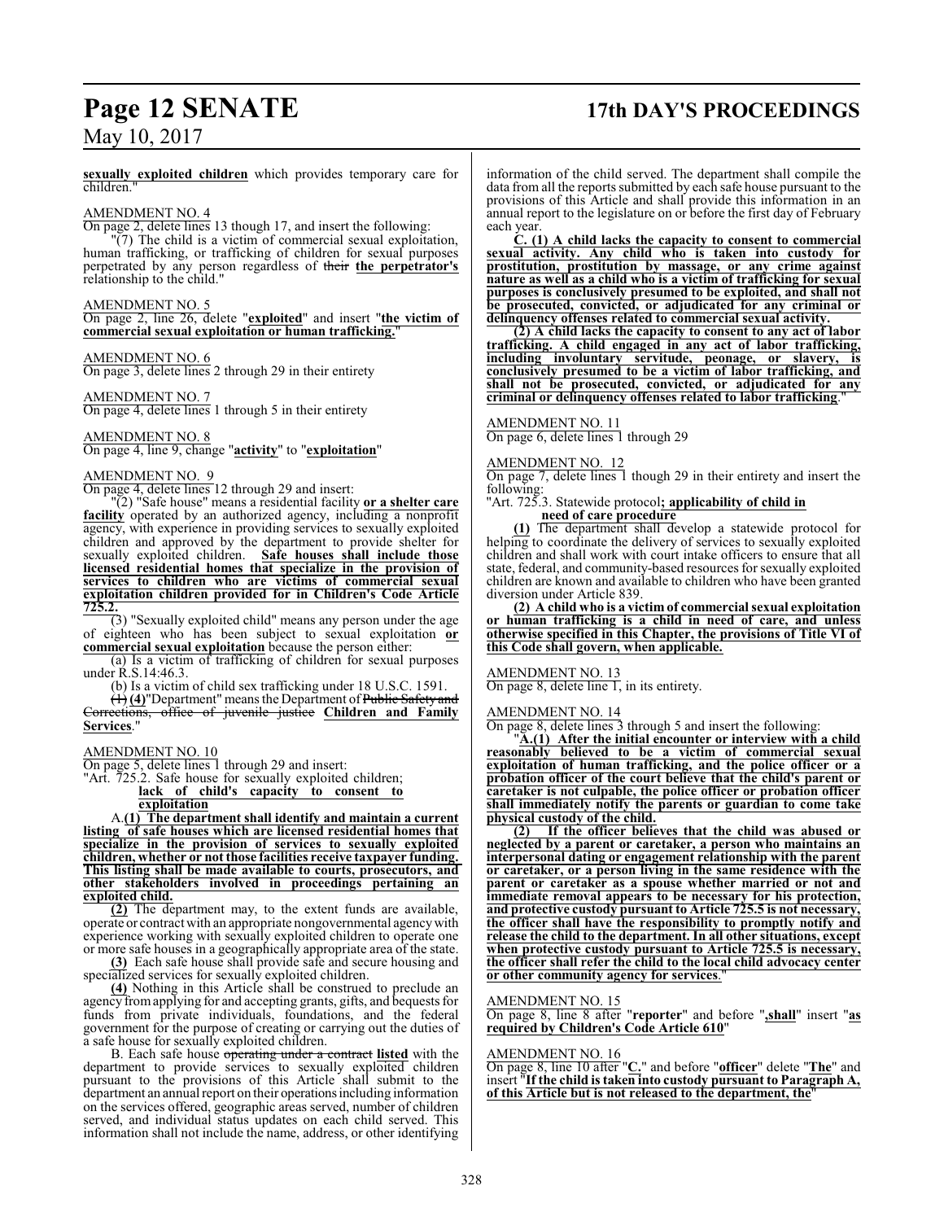# **Page 12 SENATE 17th DAY'S PROCEEDINGS**

## May 10, 2017

**sexually exploited children** which provides temporary care for children."

#### AMENDMENT NO. 4

On page 2, delete lines 13 though 17, and insert the following:

"(7) The child is a victim of commercial sexual exploitation, human trafficking, or trafficking of children for sexual purposes perpetrated by any person regardless of their **the perpetrator's** relationship to the child."

#### AMENDMENT NO. 5

On page 2, line 26, delete "**exploited**" and insert "**the victim of commercial sexual exploitation or human trafficking.**"

#### AMENDMENT NO. 6

On page 3, delete lines 2 through 29 in their entirety

#### AMENDMENT NO. 7

On page 4, delete lines 1 through 5 in their entirety

#### AMENDMENT NO. 8

On page 4, line 9, change "**activity**" to "**exploitation**"

#### AMENDMENT NO. 9

On page 4, delete lines 12 through 29 and insert:

"(2) "Safe house" means a residential facility **or a shelter care facility** operated by an authorized agency, including a nonprofit agency, with experience in providing services to sexually exploited children and approved by the department to provide shelter for sexually exploited children. Safe houses shall include those **licensed residential homes that specialize in the provision of services to children who are victims of commercial sexual exploitation children provided for in Children's Code Article 725.2.**

(3) "Sexually exploited child" means any person under the age of eighteen who has been subject to sexual exploitation **or commercial sexual exploitation** because the person either:

(a) Is a victim of trafficking of children for sexual purposes under R.S.14:46.3.

(b) Is a victim of child sex trafficking under 18 U.S.C. 1591.

(1) **(4)**"Department" means the Department of Public Safety and Corrections, office of juvenile justice **Children and Family Services**."

#### AMENDMENT NO. 10

On page 5, delete lines 1 through 29 and insert:

"Art. 725.2. Safe house for sexually exploited children;

**lack of child's capacity to consent to exploitation**

A.**(1) The department shall identify and maintain a current listing of safe houses which are licensed residential homes that specialize in the provision of services to sexually exploited children, whether or not those facilities receive taxpayer funding. This listing shall be made available to courts, prosecutors, and other stakeholders involved in proceedings pertaining an exploited child.**

**(2)** The department may, to the extent funds are available, operate or contract with an appropriate nongovernmental agencywith experience working with sexually exploited children to operate one or more safe houses in a geographically appropriate area of the state.

**(3)** Each safe house shall provide safe and secure housing and specialized services for sexually exploited children.

**(4)** Nothing in this Article shall be construed to preclude an agency fromapplying for and accepting grants, gifts, and bequests for funds from private individuals, foundations, and the federal government for the purpose of creating or carrying out the duties of a safe house for sexually exploited children.

B. Each safe house operating under a contract **listed** with the department to provide services to sexually exploited children pursuant to the provisions of this Article shall submit to the department an annual report on their operations including information on the services offered, geographic areas served, number of children served, and individual status updates on each child served. This information shall not include the name, address, or other identifying

information of the child served. The department shall compile the data from all the reports submitted by each safe house pursuant to the provisions of this Article and shall provide this information in an annual report to the legislature on or before the first day of February each year.

**C. (1) A child lacks the capacity to consent to commercial sexual activity. Any child who is taken into custody for prostitution, prostitution by massage, or any crime against nature as well as a child who is a victim of trafficking for sexual purposes is conclusively presumed to be exploited, and shall not be prosecuted, convicted, or adjudicated for any criminal or delinquency offenses related to commercial sexual activity.**

**(2) A child lacks the capacity to consent to any act of labor trafficking. A child engaged in any act of labor trafficking, including involuntary servitude, peonage, or slavery, is conclusively presumed to be a victim of labor trafficking, and shall not be prosecuted, convicted, or adjudicated for any criminal or delinquency offenses related to labor trafficking**."

#### AMENDMENT NO. 11

On page 6, delete lines 1 through 29

#### AMENDMENT NO. 12

On page 7, delete lines 1 though 29 in their entirety and insert the following:

#### "Art. 725.3. Statewide protocol**; applicability of child in need of care procedure**

**(1)** The department shall develop a statewide protocol for helping to coordinate the delivery of services to sexually exploited children and shall work with court intake officers to ensure that all state, federal, and community-based resources for sexually exploited children are known and available to children who have been granted diversion under Article 839.

**(2) A child who is a victim of commercial sexual exploitation or human trafficking is a child in need of care, and unless otherwise specified in this Chapter, the provisions of Title VI of this Code shall govern, when applicable.**

#### AMENDMENT NO. 13

On page 8, delete line 1, in its entirety.

#### AMENDMENT NO. 14

On page 8, delete lines 3 through 5 and insert the following:

"**A.(1) After the initial encounter or interview with a child reasonably believed to be a victim of commercial sexual exploitation of human trafficking, and the police officer or a probation officer of the court believe that the child's parent or caretaker is not culpable, the police officer or probation officer shall immediately notify the parents or guardian to come take physical custody of the child.**

**(2) If the officer believes that the child was abused or neglected by a parent or caretaker, a person who maintains an interpersonal dating or engagement relationship with the parent or caretaker, or a person living in the same residence with the parent or caretaker as a spouse whether married or not and immediate removal appears to be necessary for his protection, and protective custody pursuant to Article 725.5 is not necessary, the officer shall have the responsibility to promptly notify and release the child to the department. In all other situations, except when protective custody pursuant to Article 725.5 is necessary, the officer shall refer the child to the local child advocacy center or other community agency for services**."

#### AMENDMENT NO. 15

On page 8, line 8 after "**reporter**" and before "**,shall**" insert "**as required by Children's Code Article 610**"

#### AMENDMENT NO. 16

On page 8, line 10 after "**C.**" and before "**officer**" delete "**The**" and insert "**If the child is taken into custody pursuant to Paragraph A, of this Article but is not released to the department, the**"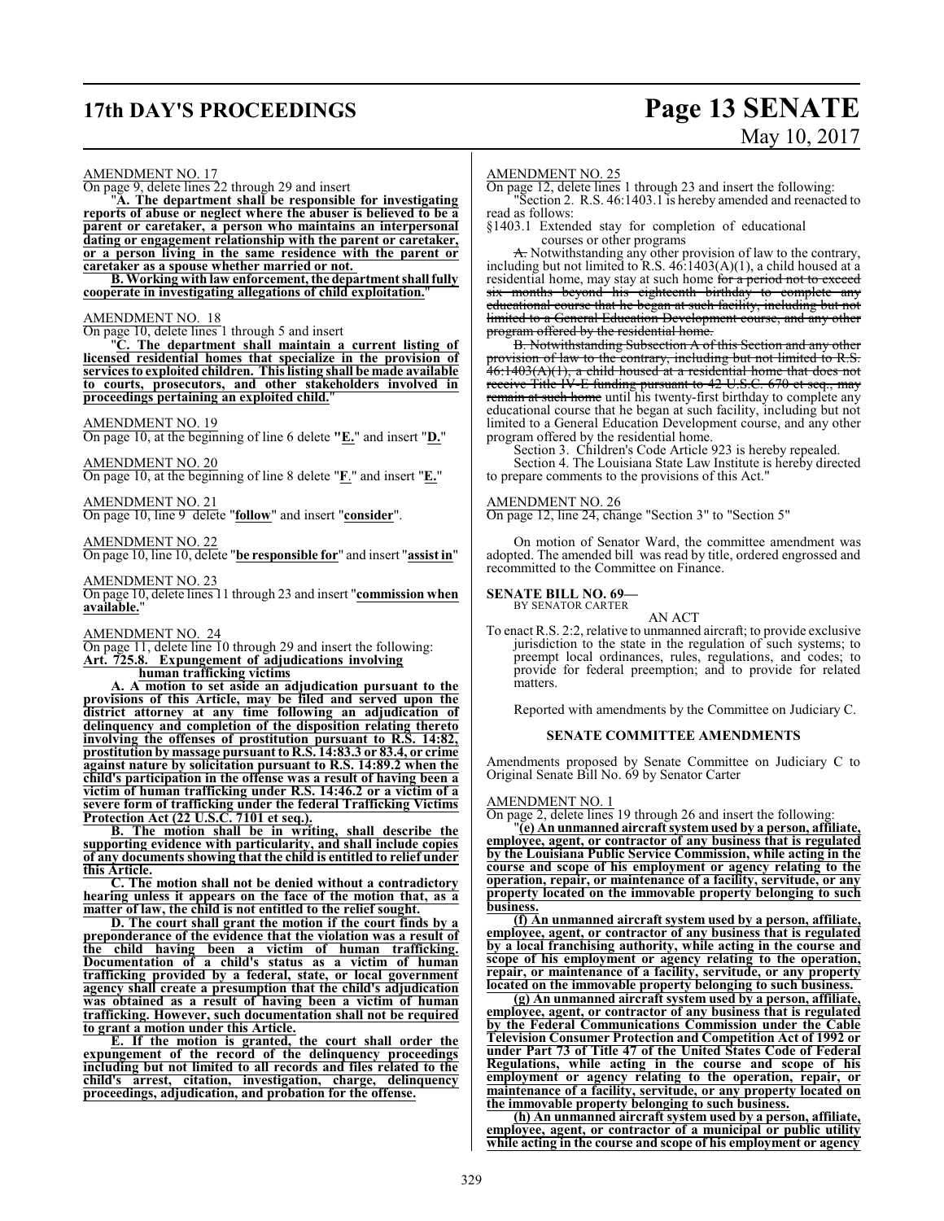# **17th DAY'S PROCEEDINGS Page 13 SENATE**

# May 10, 2017

#### AMENDMENT NO. 17

On page 9, delete lines 22 through 29 and insert

"**A. The department shall be responsible for investigating reports of abuse or neglect where the abuser is believed to be a parent or caretaker, a person who maintains an interpersonal dating or engagement relationship with the parent or caretaker, or a person living in the same residence with the parent or caretaker as a spouse whether married or not.** 

**B. Working with law enforcement, the department shall fully cooperate in investigating allegations of child exploitation.**"

#### AMENDMENT NO. 18

On page 10, delete lines 1 through 5 and insert

"**C. The department shall maintain a current listing of licensed residential homes that specialize in the provision of services to exploited children. This listing shall be made available to courts, prosecutors, and other stakeholders involved in proceedings pertaining an exploited child.**"

#### AMENDMENT NO. 19

On page 10, at the beginning of line 6 delete **"E.**" and insert "**D.**"

#### AMENDMENT NO. 20

On page 10, at the beginning of line 8 delete "**F**." and insert "**E.**"

AMENDMENT NO. 21 On page 10, line 9 delete "**follow**" and insert "**consider**".

AMENDMENT NO. 22

On page 10, line 10, delete "**be responsible for**" and insert "**assist in**"

AMENDMENT NO. 23 On page 10, delete lines 11 through 23 and insert "**commission when available.**"

#### AMENDMENT NO. 24

On page 11, delete line 10 through 29 and insert the following: **Art. 725.8. Expungement of adjudications involving**

**human trafficking victims A. A motion to set aside an adjudication pursuant to the**

**provisions of this Article, may be filed and served upon the district attorney at any time following an adjudication of delinquency and completion of the disposition relating thereto involving the offenses of prostitution pursuant to R.S. 14:82, prostitution by massage pursuant to R.S. 14:83.3 or 83.4, or crime against nature by solicitation pursuant to R.S. 14:89.2 when the child's participation in the offense was a result of having been a victim of human trafficking under R.S. 14:46.2 or a victim of a severe form of trafficking under the federal Trafficking Victims Protection Act (22 U.S.C. 7101 et seq.).**

**B. The motion shall be in writing, shall describe the supporting evidence with particularity, and shall include copies of any documents showing that the child is entitled to relief under this Article.**

**C. The motion shall not be denied without a contradictory hearing unless it appears on the face of the motion that, as a matter of law, the child is not entitled to the relief sought.**

**D. The court shall grant the motion if the court finds by a preponderance of the evidence that the violation was a result of the child having been a victim of human trafficking. Documentation of a child's status as a victim of human trafficking provided by a federal, state, or local government agency shall create a presumption that the child's adjudication was obtained as a result of having been a victim of human trafficking. However, such documentation shall not be required to grant a motion under this Article.**

**E. If the motion is granted, the court shall order the expungement of the record of the delinquency proceedings including but not limited to all records and files related to the child's arrest, citation, investigation, charge, delinquency proceedings, adjudication, and probation for the offense.**

#### AMENDMENT NO. 25

On page 12, delete lines 1 through 23 and insert the following: "Section 2. R.S. 46:1403.1 is hereby amended and reenacted to read as follows:

§1403.1 Extended stay for completion of educational courses or other programs

A. Notwithstanding any other provision of law to the contrary, including but not limited to R.S. 46:1403(A)(1), a child housed at a residential home, may stay at such home for a period not to exceed six months beyond his eighteenth birthday to complete any educational course that he began at such facility, including but not limited to a General Education Development course, and any other program offered by the residential home.

B. Notwithstanding Subsection A of this Section and any other provision of law to the contrary, including but not limited to R.S. 46:1403(A)(1), a child housed at a residential home that does not receive Title IV-E funding pursuant to 42 U.S.C. 670 et seq., may remain at such home until his twenty-first birthday to complete any educational course that he began at such facility, including but not limited to a General Education Development course, and any other program offered by the residential home.

Section 3. Children's Code Article 923 is hereby repealed.

Section 4. The Louisiana State Law Institute is hereby directed to prepare comments to the provisions of this Act."

#### AMENDMENT NO. 26

On page 12, line 24, change "Section 3" to "Section 5"

On motion of Senator Ward, the committee amendment was adopted. The amended bill was read by title, ordered engrossed and recommitted to the Committee on Finance.

#### **SENATE BILL NO. 69—** BY SENATOR CARTER

AN ACT

To enact R.S. 2:2, relative to unmanned aircraft; to provide exclusive jurisdiction to the state in the regulation of such systems; to preempt local ordinances, rules, regulations, and codes; to provide for federal preemption; and to provide for related **matters** 

Reported with amendments by the Committee on Judiciary C.

#### **SENATE COMMITTEE AMENDMENTS**

Amendments proposed by Senate Committee on Judiciary C to Original Senate Bill No. 69 by Senator Carter

#### AMENDMENT NO. 1

On page 2, delete lines 19 through 26 and insert the following:

"**(e) An unmanned aircraft systemused by a person, affiliate, employee, agent, or contractor of any business that is regulated by the Louisiana Public Service Commission, while acting in the course and scope of his employment or agency relating to the operation, repair, or maintenance of a facility, servitude, or any property located on the immovable property belonging to such business.**

**(f) An unmanned aircraft system used by a person, affiliate, employee, agent, or contractor of any business that is regulated by a local franchising authority, while acting in the course and scope of his employment or agency relating to the operation, repair, or maintenance of a facility, servitude, or any property located on the immovable property belonging to such business.**

**(g) An unmanned aircraft system used by a person, affiliate, employee, agent, or contractor of any business that is regulated by the Federal Communications Commission under the Cable Television Consumer Protection and Competition Act of 1992 or under Part 73 of Title 47 of the United States Code of Federal Regulations, while acting in the course and scope of his employment or agency relating to the operation, repair, or maintenance of a facility, servitude, or any property located on the immovable property belonging to such business.**

**(h) An unmanned aircraft system used by a person, affiliate, employee, agent, or contractor of a municipal or public utility while acting in the course and scope of his employment or agency**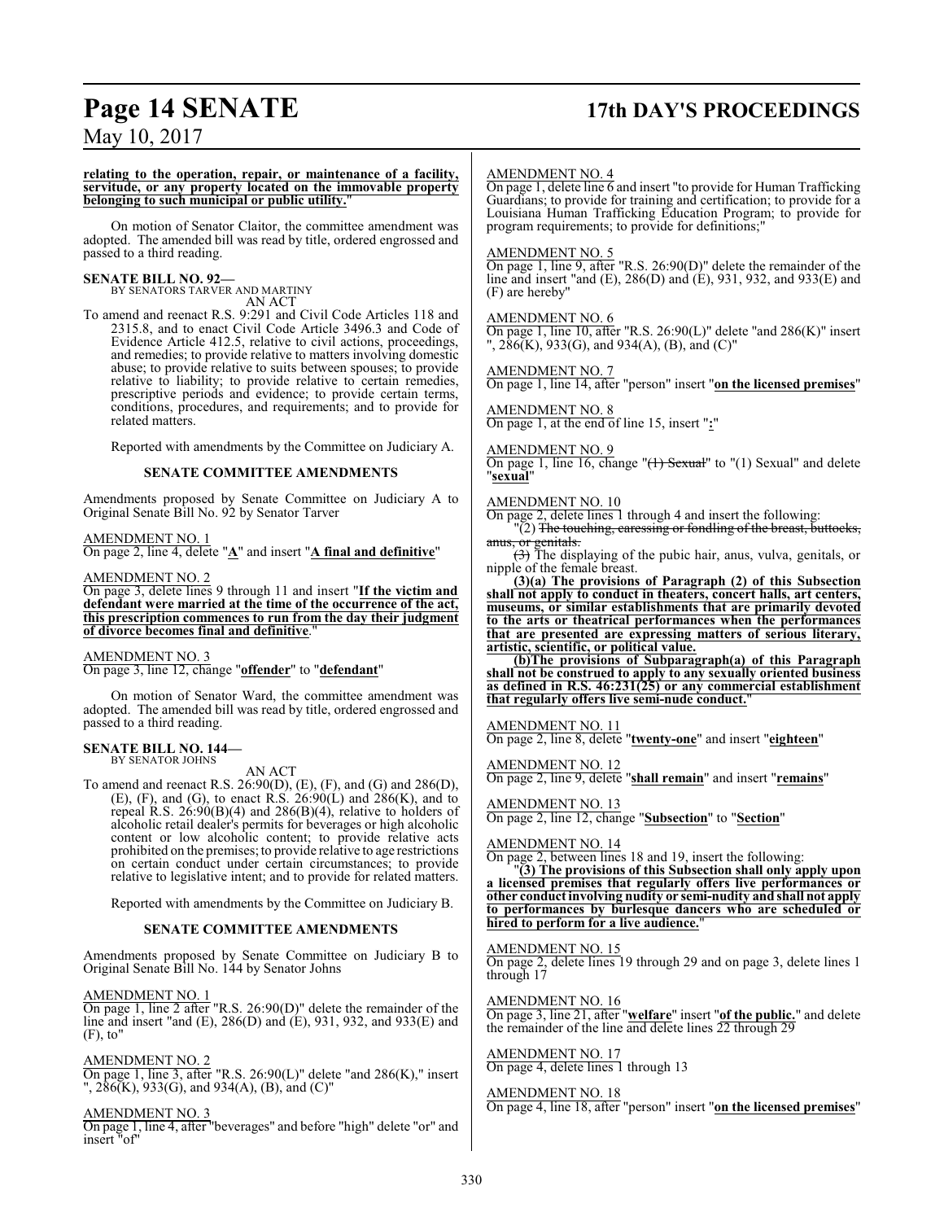# **Page 14 SENATE 17th DAY'S PROCEEDINGS**

May 10, 2017

#### **relating to the operation, repair, or maintenance of a facility, servitude, or any property located on the immovable property belonging to such municipal or public utility.**"

On motion of Senator Claitor, the committee amendment was adopted. The amended bill was read by title, ordered engrossed and passed to a third reading.

**SENATE BILL NO. 92—** BY SENATORS TARVER AND MARTINY AN ACT

To amend and reenact R.S. 9:291 and Civil Code Articles 118 and 2315.8, and to enact Civil Code Article 3496.3 and Code of Evidence Article 412.5, relative to civil actions, proceedings, and remedies; to provide relative to matters involving domestic abuse; to provide relative to suits between spouses; to provide relative to liability; to provide relative to certain remedies, prescriptive periods and evidence; to provide certain terms, conditions, procedures, and requirements; and to provide for related matters.

Reported with amendments by the Committee on Judiciary A.

#### **SENATE COMMITTEE AMENDMENTS**

Amendments proposed by Senate Committee on Judiciary A to Original Senate Bill No. 92 by Senator Tarver

#### AMENDMENT NO. 1

On page 2, line 4, delete "**A**" and insert "**A final and definitive**"

#### AMENDMENT NO. 2

On page 3, delete lines 9 through 11 and insert "**If the victim and defendant were married at the time of the occurrence of the act, this prescription commences to run from the day their judgment of divorce becomes final and definitive**."

AMENDMENT NO. 3 On page 3, line 12, change "**offender**" to "**defendant**"

On motion of Senator Ward, the committee amendment was adopted. The amended bill was read by title, ordered engrossed and passed to a third reading.

#### **SENATE BILL NO. 144—** BY SENATOR JOHNS

AN ACT

To amend and reenact R.S. 26:90(D), (E), (F), and (G) and 286(D), (E), (F), and (G), to enact R.S.  $26:90(L)$  and  $286(K)$ , and to repeal R.S.  $26:90(B)(4)$  and  $286(B)(4)$ , relative to holders of alcoholic retail dealer's permits for beverages or high alcoholic content or low alcoholic content; to provide relative acts prohibited on the premises; to provide relative to age restrictions on certain conduct under certain circumstances; to provide relative to legislative intent; and to provide for related matters.

Reported with amendments by the Committee on Judiciary B.

#### **SENATE COMMITTEE AMENDMENTS**

Amendments proposed by Senate Committee on Judiciary B to Original Senate Bill No. 144 by Senator Johns

AMENDMENT NO. 1

On page 1, line 2 after "R.S. 26:90(D)" delete the remainder of the line and insert "and (E), 286(D) and (E), 931, 932, and 933(E) and (F), to"

#### AMENDMENT NO. 2

On page 1, line 3, after "R.S. 26:90(L)" delete "and 286(K)," insert ", 286(K), 933(G), and 934(A), (B), and (C)"

#### AMENDMENT NO. 3

On page 1, line 4, after "beverages" and before "high" delete "or" and insert "of"

#### AMENDMENT NO. 4

On page 1, delete line 6 and insert "to provide for Human Trafficking Guardians; to provide for training and certification; to provide for a Louisiana Human Trafficking Education Program; to provide for program requirements; to provide for definitions;"

#### AMENDMENT NO. 5

On page 1, line 9, after "R.S. 26:90(D)" delete the remainder of the line and insert "and (E), 286(D) and (E), 931, 932, and 933(E) and (F) are hereby"

#### AMENDMENT NO. 6

On page 1, line 10, after "R.S. 26:90(L)" delete "and 286(K)" insert  $, 286(K), 933(G),$  and  $934(A), (B),$  and  $(C)''$ 

AMENDMENT NO. 7

On page 1, line 14, after "person" insert "**on the licensed premises**"

#### AMENDMENT NO. 8

On page 1, at the end of line 15, insert "**:**"

#### AMENDMENT NO. 9

On page 1, line 16, change "(1) Sexual" to "(1) Sexual" and delete "**sexual**"

#### AMENDMENT NO. 10

On page 2, delete lines 1 through 4 and insert the following:  $(2)$  The touching, caressing or fondling of the breast, buttocks,

anus, or genitals. (3) The displaying of the pubic hair, anus, vulva, genitals, or nipple of the female breast.

**(3)(a) The provisions of Paragraph (2) of this Subsection shall not apply to conduct in theaters, concert halls, art centers, museums, or similar establishments that are primarily devoted to the arts or theatrical performances when the performances that are presented are expressing matters of serious literary, artistic, scientific, or political value.**

**(b)The provisions of Subparagraph(a) of this Paragraph shall not be construed to apply to any sexually oriented business as defined in R.S. 46:231(25) or any commercial establishment that regularly offers live semi-nude conduct.**"

#### AMENDMENT NO. 11

On page 2, line 8, delete "**twenty-one**" and insert "**eighteen**"

AMENDMENT NO. 12

On page 2, line 9, delete "**shall remain**" and insert "**remains**"

#### AMENDMENT NO. 13

On page 2, line 12, change "**Subsection**" to "**Section**"

#### AMENDMENT NO. 14

On page 2, between lines 18 and 19, insert the following:

"**(3) The provisions of this Subsection shall only apply upon a licensed premises that regularly offers live performances or other conduct involving nudity or semi-nudity and shall not apply to performances by burlesque dancers who are scheduled or hired to perform for a live audience.**"

#### AMENDMENT NO. 15

On page 2, delete lines 19 through 29 and on page 3, delete lines 1 through 17

AMENDMENT NO. 16

On page 3, line 21, after "**welfare**" insert "**of the public.**" and delete the remainder of the line and delete lines 22 through 29

#### AMENDMENT NO. 17 On page 4, delete lines 1 through 13

#### AMENDMENT NO. 18

On page 4, line 18, after "person" insert "**on the licensed premises**"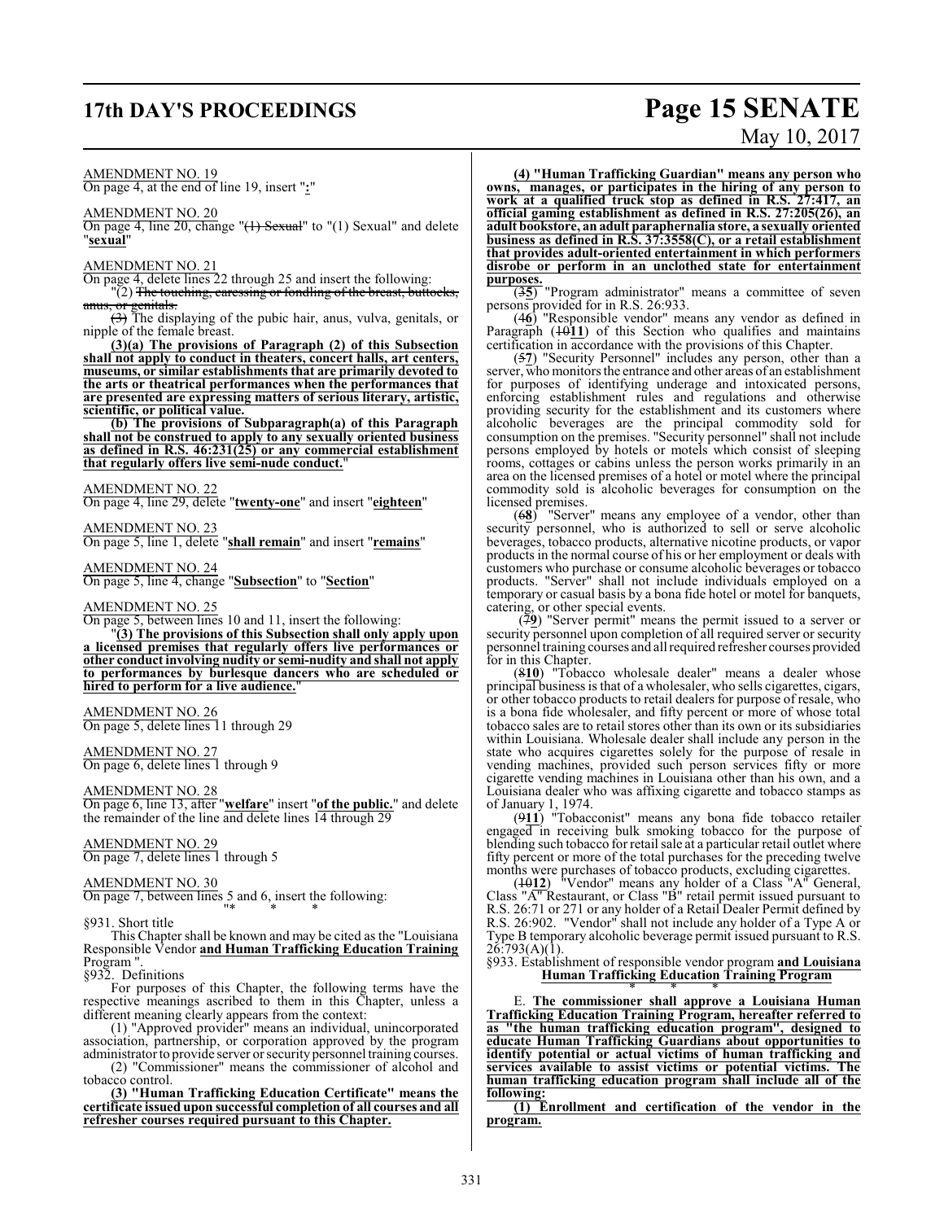# **17th DAY'S PROCEEDINGS Page 15 SENATE**

# May 10, 2017

#### AMENDMENT NO. 19

On page 4, at the end of line 19, insert "**:**"

#### AMENDMENT NO. 20

On page 4, line 20, change "(1) Sexual" to "(1) Sexual" and delete "**sexual**"

#### AMENDMENT NO. 21

On page 4, delete lines 22 through 25 and insert the following:

"(2) <del>The touching, caressing or fondling of the breast, buttocks,</del> anus, or genitals.

 $(3)$  The displaying of the pubic hair, anus, vulva, genitals, or nipple of the female breast.

**(3)(a) The provisions of Paragraph (2) of this Subsection shall not apply to conduct in theaters, concert halls, art centers, museums, or similar establishments that are primarily devoted to the arts or theatrical performances when the performances that are presented are expressing matters of serious literary, artistic, scientific, or political value.** 

**(b) The provisions of Subparagraph(a) of this Paragraph shall not be construed to apply to any sexually oriented business as defined in R.S. 46:231(25) or any commercial establishment that regularly offers live semi-nude conduct.**"

AMENDMENT NO. 22

On page 4, line 29, delete "**twenty-one**" and insert "**eighteen**"

AMENDMENT NO. 23

On page 5, line 1, delete "**shall remain**" and insert "**remains**"

AMENDMENT NO. 24

On page 5, line 4, change "**Subsection**" to "**Section**"

#### AMENDMENT NO. 25

On page 5, between lines 10 and 11, insert the following:

"**(3) The provisions of this Subsection shall only apply upon a licensed premises that regularly offers live performances or other conduct involving nudity or semi-nudity and shall not apply to performances by burlesque dancers who are scheduled or hired to perform for a live audience.**"

#### AMENDMENT NO. 26

On page 5, delete lines 11 through 29

#### AMENDMENT NO. 27

On page 6, delete lines 1 through 9

## AMENDMENT NO. 28

On page 6, line 13, after "**welfare**" insert "**of the public.**" and delete the remainder of the line and delete lines 14 through 29

#### AMENDMENT NO. 29

On page 7, delete lines 1 through 5

#### AMENDMENT NO. 30

On page 7, between lines 5 and 6, insert the following: "\* \* \*

#### §931. Short title

This Chapter shall be known and may be cited as the "Louisiana Responsible Vendor **and Human Trafficking Education Training** Program ".

§932. Definitions

For purposes of this Chapter, the following terms have the respective meanings ascribed to them in this Chapter, unless a different meaning clearly appears from the context:

(1) "Approved provider" means an individual, unincorporated association, partnership, or corporation approved by the program administrator to provide server or security personnel training courses.

(2) "Commissioner" means the commissioner of alcohol and tobacco control.

**(3) "Human Trafficking Education Certificate" means the certificate issued upon successful completion of all courses and all refresher courses required pursuant to this Chapter.**

**(4) "Human Trafficking Guardian" means any person who owns, manages, or participates in the hiring of any person to work at a qualified truck stop as defined in R.S. 27:417, an official gaming establishment as defined in R.S. 27:205(26), an adult bookstore, an adult paraphernalia store, a sexually oriented business as defined in R.S. 37:3558(C), or a retail establishment that provides adult-oriented entertainment in which performers disrobe or perform in an unclothed state for entertainment purposes.**

(3**5**) "Program administrator" means a committee of seven persons provided for in R.S. 26:933.

(4**6**) "Responsible vendor" means any vendor as defined in Paragraph (1011) of this Section who qualifies and maintains certification in accordance with the provisions of this Chapter.

(5**7**) "Security Personnel" includes any person, other than a server, who monitors the entrance and other areas of an establishment for purposes of identifying underage and intoxicated persons, enforcing establishment rules and regulations and otherwise providing security for the establishment and its customers where alcoholic beverages are the principal commodity sold for consumption on the premises. "Security personnel" shall not include persons employed by hotels or motels which consist of sleeping rooms, cottages or cabins unless the person works primarily in an area on the licensed premises of a hotel or motel where the principal commodity sold is alcoholic beverages for consumption on the licensed premises.

(6**8**) "Server" means any employee of a vendor, other than security personnel, who is authorized to sell or serve alcoholic beverages, tobacco products, alternative nicotine products, or vapor products in the normal course of his or her employment or deals with customers who purchase or consume alcoholic beverages or tobacco products. "Server" shall not include individuals employed on a temporary or casual basis by a bona fide hotel or motel for banquets, catering, or other special events.

(7**9**) "Server permit" means the permit issued to a server or security personnel upon completion of all required server or security personnel training courses and all required refresher courses provided for in this Chapter.

(8**10**) "Tobacco wholesale dealer" means a dealer whose principal business is that of a wholesaler, who sells cigarettes, cigars, or other tobacco products to retail dealers for purpose of resale, who is a bona fide wholesaler, and fifty percent or more of whose total tobacco sales are to retail stores other than its own or its subsidiaries within Louisiana. Wholesale dealer shall include any person in the state who acquires cigarettes solely for the purpose of resale in vending machines, provided such person services fifty or more cigarette vending machines in Louisiana other than his own, and a Louisiana dealer who was affixing cigarette and tobacco stamps as of January 1, 1974.

(9**11**) "Tobacconist" means any bona fide tobacco retailer engaged in receiving bulk smoking tobacco for the purpose of blending such tobacco for retail sale at a particular retail outlet where fifty percent or more of the total purchases for the preceding twelve months were purchases of tobacco products, excluding cigarettes.

(10**12**) "Vendor" means any holder of a Class "A" General, Class "A" Restaurant, or Class "B" retail permit issued pursuant to R.S. 26:71 or 271 or any holder of a Retail Dealer Permit defined by R.S. 26:902. "Vendor" shall not include any holder of a Type A or Type B temporary alcoholic beverage permit issued pursuant to R.S.  $26:793(A)(1)$ .

#### §933. Establishment of responsible vendor program **and Louisiana Human Trafficking Education Training Program**

\* \* \* E. **The commissioner shall approve a Louisiana Human Trafficking Education Training Program, hereafter referred to as "the human trafficking education program", designed to educate Human Trafficking Guardians about opportunities to identify potential or actual victims of human trafficking and services available to assist victims or potential victims. The human trafficking education program shall include all of the following:**

**(1) Enrollment and certification of the vendor in the program.**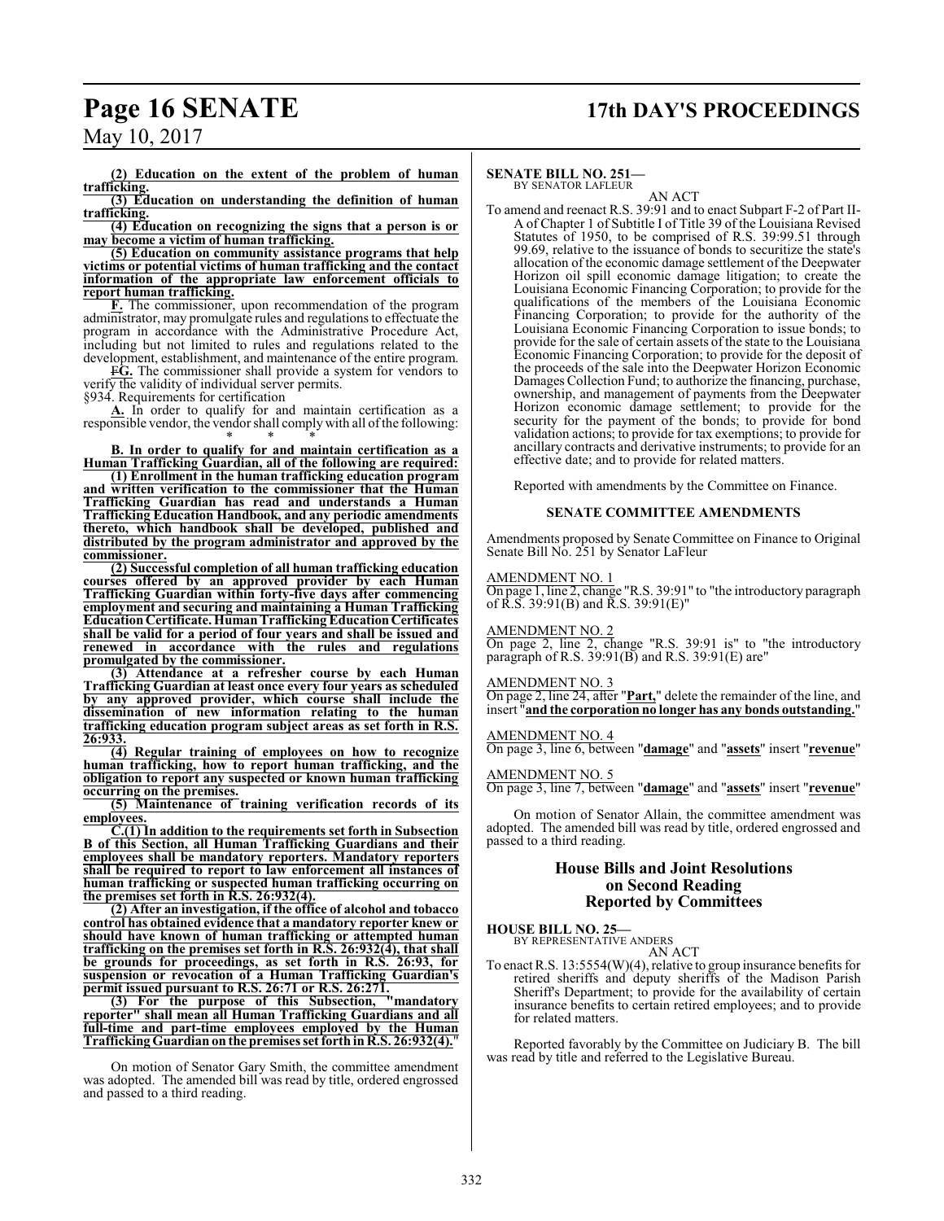# **Page 16 SENATE 17th DAY'S PROCEEDINGS**

May 10, 2017

**(2) Education on the extent of the problem of human trafficking.**

**(3) Education on understanding the definition of human trafficking.**

**(4) Education on recognizing the signs that a person is or may become a victim of human trafficking.**

**(5) Education on community assistance programs that help victims or potential victims of human trafficking and the contact information of the appropriate law enforcement officials to report human trafficking.**

**F.** The commissioner, upon recommendation of the program administrator, may promulgate rules and regulations to effectuate the program in accordance with the Administrative Procedure Act, including but not limited to rules and regulations related to the development, establishment, and maintenance of the entire program.

F**G.** The commissioner shall provide a system for vendors to verify the validity of individual server permits.

§934. Requirements for certification

**A.** In order to qualify for and maintain certification as a responsible vendor, the vendor shall complywith all ofthe following: \* \* \*

**B. In order to qualify for and maintain certification as a Human Trafficking Guardian, all of the following are required:**

**(1) Enrollment in the human trafficking education program and written verification to the commissioner that the Human Trafficking Guardian has read and understands a Human Trafficking Education Handbook, and any periodic amendments thereto, which handbook shall be developed, published and distributed by the program administrator and approved by the commissioner.**

**(2) Successful completion of all human trafficking education courses offered by an approved provider by each Human Trafficking Guardian within forty-five days after commencing employment and securing and maintaining a Human Trafficking EducationCertificate. HumanTraffickingEducationCertificates shall be valid for a period of four years and shall be issued and renewed in accordance with the rules and regulations promulgated by the commissioner.**

**(3) Attendance at a refresher course by each Human Trafficking Guardian at least once every four years as scheduled by any approved provider, which course shall include the dissemination of new information relating to the human trafficking education program subject areas as set forth in R.S. 26:933.**

**(4) Regular training of employees on how to recognize human trafficking, how to report human trafficking, and the obligation to report any suspected or known human trafficking occurring on the premises.**

**(5) Maintenance of training verification records of its employees.**

**C.(1) In addition to the requirements set forth in Subsection B of this Section, all Human Trafficking Guardians and their employees shall be mandatory reporters. Mandatory reporters shall be required to report to law enforcement all instances of human trafficking or suspected human trafficking occurring on the premises set forth in R.S. 26:932(4).**

**(2) After an investigation, if the office of alcohol and tobacco control has obtained evidence that a mandatory reporter knew or should have known of human trafficking or attempted human trafficking on the premises set forth in R.S. 26:932(4), that shall be grounds for proceedings, as set forth in R.S. 26:93, for suspension or revocation of a Human Trafficking Guardian's permit issued pursuant to R.S. 26:71 or R.S. 26:271.**

**(3) For the purpose of this Subsection, "mandatory reporter" shall mean all Human Trafficking Guardians and all full-time and part-time employees employed by the Human Trafficking Guardian on the premises set forth in R.S. 26:932(4).**"

On motion of Senator Gary Smith, the committee amendment was adopted. The amended bill was read by title, ordered engrossed and passed to a third reading.

#### **SENATE BILL NO. 251—**

BY SENATOR LAFLEUR AN ACT

To amend and reenact R.S. 39:91 and to enact Subpart F-2 of Part II-A of Chapter 1 of Subtitle I of Title 39 of the Louisiana Revised Statutes of 1950, to be comprised of R.S. 39:99.51 through 99.69, relative to the issuance of bonds to securitize the state's allocation of the economic damage settlement of the Deepwater Horizon oil spill economic damage litigation; to create the Louisiana Economic Financing Corporation; to provide for the qualifications of the members of the Louisiana Economic Financing Corporation; to provide for the authority of the Louisiana Economic Financing Corporation to issue bonds; to provide for the sale of certain assets of the state to the Louisiana Economic Financing Corporation; to provide for the deposit of the proceeds of the sale into the Deepwater Horizon Economic Damages Collection Fund; to authorize the financing, purchase, ownership, and management of payments from the Deepwater Horizon economic damage settlement; to provide for the security for the payment of the bonds; to provide for bond validation actions; to provide for tax exemptions; to provide for ancillary contracts and derivative instruments; to provide for an effective date; and to provide for related matters.

Reported with amendments by the Committee on Finance.

#### **SENATE COMMITTEE AMENDMENTS**

Amendments proposed by Senate Committee on Finance to Original Senate Bill No. 251 by Senator LaFleur

#### AMENDMENT NO. 1

On page 1, line 2, change "R.S. 39:91" to "the introductory paragraph of R.S. 39:91(B) and R.S. 39:91(E)"

AMENDMENT NO. 2

On page 2, line 2, change "R.S. 39:91 is" to "the introductory paragraph of R.S.  $39:91(B)$  and R.S.  $39:91(E)$  are"

#### AMENDMENT NO. 3

On page 2, line 24, after "**Part,**" delete the remainder of the line, and insert "**and the corporation no longer has any bonds outstanding.**"

#### AMENDMENT NO. 4

On page 3, line 6, between "**damage**" and "**assets**" insert "**revenue**"

#### AMENDMENT NO. 5

On page 3, line 7, between "**damage**" and "**assets**" insert "**revenue**"

On motion of Senator Allain, the committee amendment was adopted. The amended bill was read by title, ordered engrossed and passed to a third reading.

#### **House Bills and Joint Resolutions on Second Reading Reported by Committees**

**HOUSE BILL NO. 25—** BY REPRESENTATIVE ANDERS

AN ACT

To enact R.S. 13:5554(W)(4), relative to group insurance benefits for retired sheriffs and deputy sheriffs of the Madison Parish Sheriff's Department; to provide for the availability of certain insurance benefits to certain retired employees; and to provide for related matters.

Reported favorably by the Committee on Judiciary B. The bill was read by title and referred to the Legislative Bureau.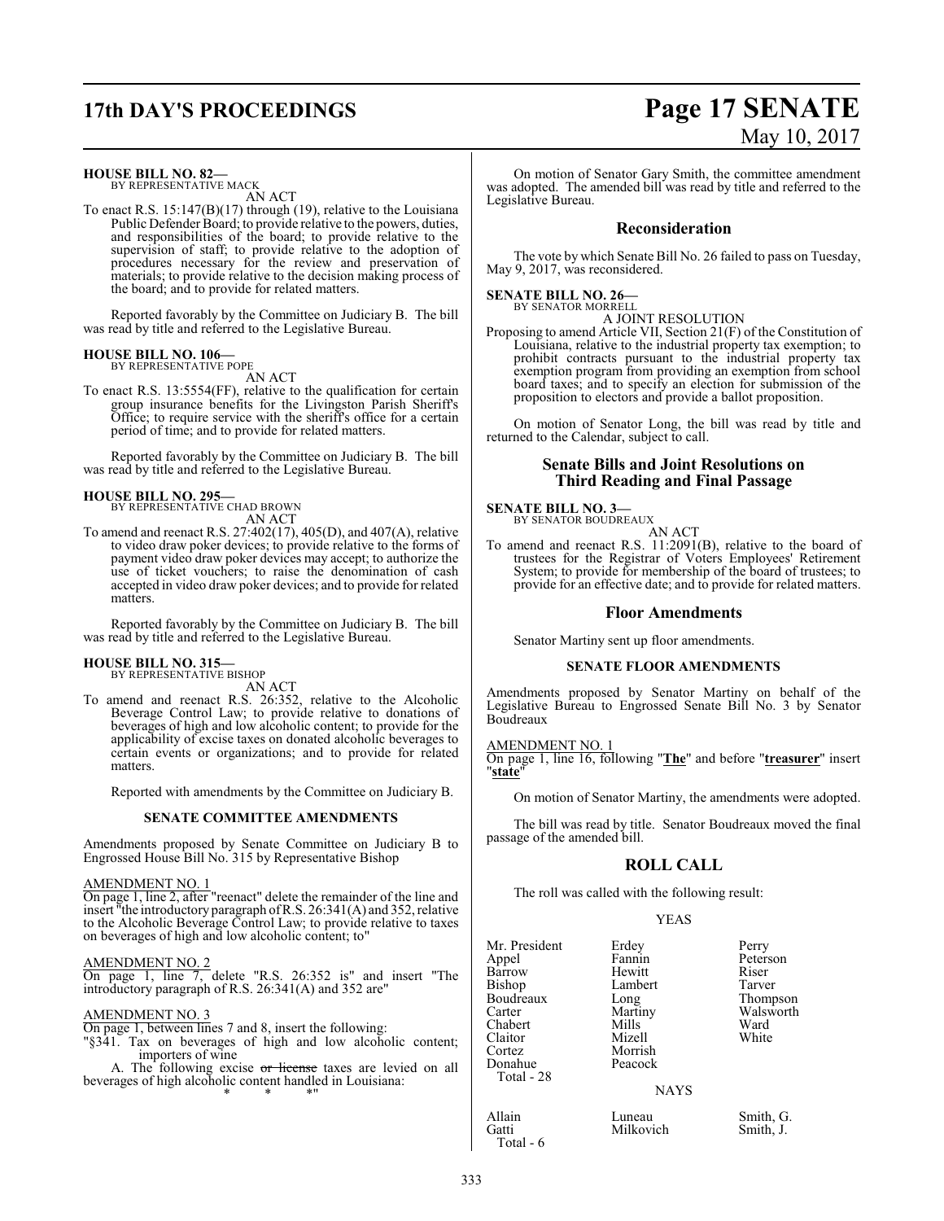# **17th DAY'S PROCEEDINGS Page 17 SENATE**

**HOUSE BILL NO. 82—** BY REPRESENTATIVE MACK AN ACT

To enact R.S. 15:147(B)(17) through (19), relative to the Louisiana Public Defender Board; to provide relative to the powers, duties, and responsibilities of the board; to provide relative to the supervision of staff; to provide relative to the adoption of procedures necessary for the review and preservation of materials; to provide relative to the decision making process of the board; and to provide for related matters.

Reported favorably by the Committee on Judiciary B. The bill was read by title and referred to the Legislative Bureau.

#### **HOUSE BILL NO. 106—** BY REPRESENTATIVE POPE

AN ACT

To enact R.S. 13:5554(FF), relative to the qualification for certain group insurance benefits for the Livingston Parish Sheriff's Office; to require service with the sheriff's office for a certain period of time; and to provide for related matters.

Reported favorably by the Committee on Judiciary B. The bill was read by title and referred to the Legislative Bureau.

# **HOUSE BILL NO. 295—** BY REPRESENTATIVE CHAD BROWN

AN ACT

To amend and reenact R.S. 27:402(17), 405(D), and 407(A), relative to video draw poker devices; to provide relative to the forms of payment video draw poker devices may accept; to authorize the use of ticket vouchers; to raise the denomination of cash accepted in video draw poker devices; and to provide for related matters.

Reported favorably by the Committee on Judiciary B. The bill was read by title and referred to the Legislative Bureau.

#### **HOUSE BILL NO. 315—** BY REPRESENTATIVE BISHOP

AN ACT

To amend and reenact R.S. 26:352, relative to the Alcoholic Beverage Control Law; to provide relative to donations of beverages of high and low alcoholic content; to provide for the applicability of excise taxes on donated alcoholic beverages to certain events or organizations; and to provide for related matters.

Reported with amendments by the Committee on Judiciary B.

#### **SENATE COMMITTEE AMENDMENTS**

Amendments proposed by Senate Committee on Judiciary B to Engrossed House Bill No. 315 by Representative Bishop

#### AMENDMENT NO. 1

On page 1, line 2, after "reenact" delete the remainder of the line and insert "the introductory paragraph ofR.S. 26:341(A) and 352, relative to the Alcoholic Beverage Control Law; to provide relative to taxes on beverages of high and low alcoholic content; to"

#### AMENDMENT NO. 2

On page 1, line 7, delete "R.S. 26:352 is" and insert "The introductory paragraph of R.S. 26:341(A) and 352 are"

#### AMENDMENT NO. 3

On page 1, between lines 7 and 8, insert the following:

"§341. Tax on beverages of high and low alcoholic content; importers of wine

A. The following excise or license taxes are levied on all beverages of high alcoholic content handled in Louisiana: \* \* \*"

# May 10, 2017

On motion of Senator Gary Smith, the committee amendment was adopted. The amended bill was read by title and referred to the Legislative Bureau.

#### **Reconsideration**

The vote by which Senate Bill No. 26 failed to pass on Tuesday, May 9, 2017, was reconsidered.

#### **SENATE BILL NO. 26—** BY SENATOR MORRELL

A JOINT RESOLUTION

Proposing to amend Article VII, Section 21(F) of the Constitution of Louisiana, relative to the industrial property tax exemption; to prohibit contracts pursuant to the industrial property tax exemption program from providing an exemption from school board taxes; and to specify an election for submission of the proposition to electors and provide a ballot proposition.

On motion of Senator Long, the bill was read by title and returned to the Calendar, subject to call.

#### **Senate Bills and Joint Resolutions on Third Reading and Final Passage**

#### **SENATE BILL NO. 3—**

BY SENATOR BOUDREAUX AN ACT

To amend and reenact R.S. 11:2091(B), relative to the board of trustees for the Registrar of Voters Employees' Retirement System; to provide for membership of the board of trustees; to provide for an effective date; and to provide for related matters.

#### **Floor Amendments**

Senator Martiny sent up floor amendments.

#### **SENATE FLOOR AMENDMENTS**

Amendments proposed by Senator Martiny on behalf of the Legislative Bureau to Engrossed Senate Bill No. 3 by Senator Boudreaux

AMENDMENT NO. 1 On page 1, line 16, following "**The**" and before "**treasurer**" insert "**state**"

On motion of Senator Martiny, the amendments were adopted.

The bill was read by title. Senator Boudreaux moved the final passage of the amended bill.

#### **ROLL CALL**

The roll was called with the following result:

Lambert<br>Long

Mizell Morrish Peacock

#### YEAS

| Mr. President |
|---------------|
| Appel         |
| Barrow        |
| Bishop        |
| Boudreaux     |
| Carter        |
| Chabert       |
| Claitor       |
| Cortez        |
| Donahue       |
| Total - 28    |
|               |

Total - 6

Erdey Perry<br>Fannin Peters Peterson<br>Riser Hewitt Riser<br>
Lambert Tarver Long Thompson<br>Martiny Walsworth Walsworth<br>Ward Mills Ward<br>
Mizell White

**NAYS** 

Allain Luneau Smith, G.<br>
Gatti Milkovich Smith, J. Milkovich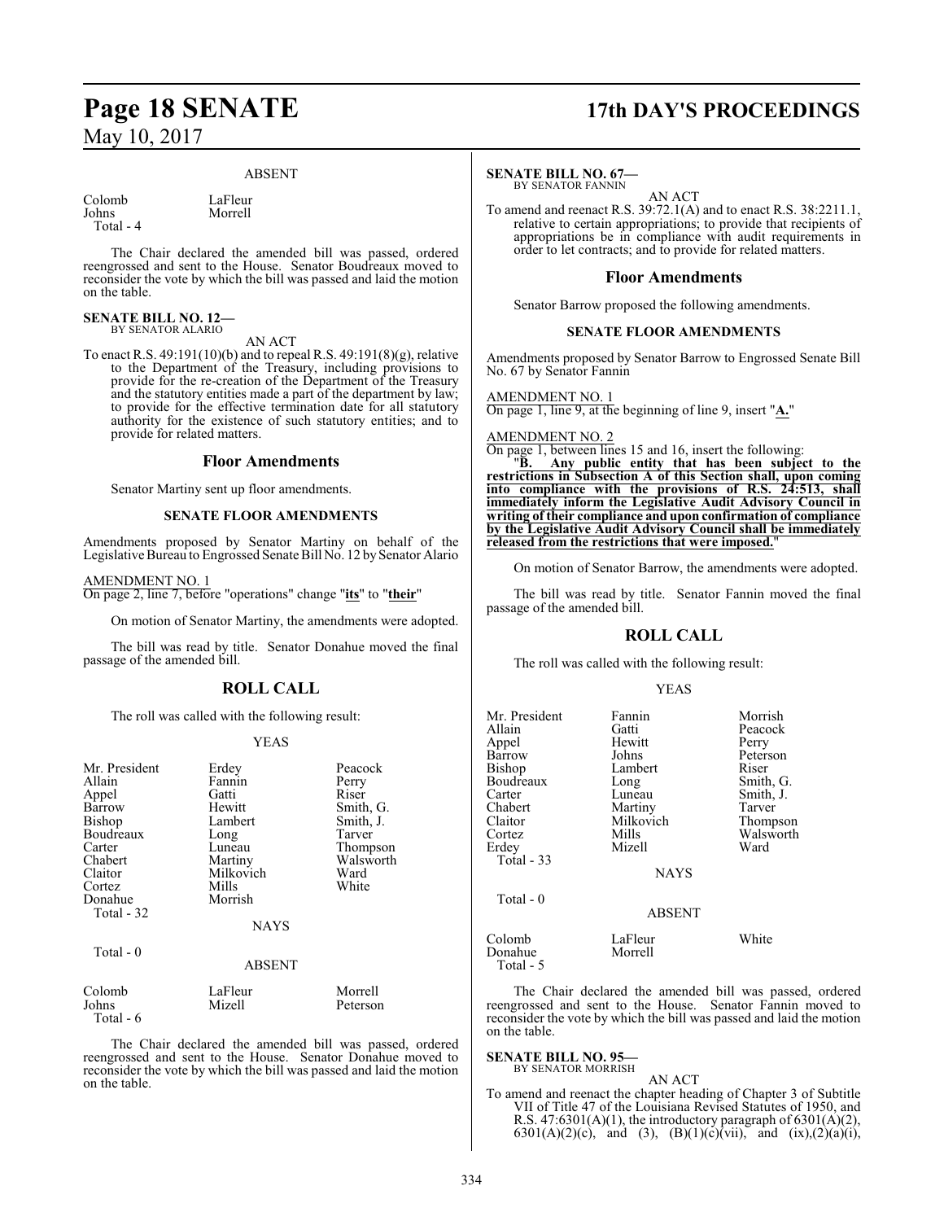#### ABSENT

Morrell

Colomb LaFleur<br>
Iohns Morrell

Total - 4

The Chair declared the amended bill was passed, ordered reengrossed and sent to the House. Senator Boudreaux moved to reconsider the vote by which the bill was passed and laid the motion on the table.

# **SENATE BILL NO. 12—** BY SENATOR ALARIO

AN ACT

To enact R.S. 49:191(10)(b) and to repeal R.S. 49:191(8)(g), relative to the Department of the Treasury, including provisions to provide for the re-creation of the Department of the Treasury and the statutory entities made a part of the department by law; to provide for the effective termination date for all statutory authority for the existence of such statutory entities; and to provide for related matters.

#### **Floor Amendments**

Senator Martiny sent up floor amendments.

#### **SENATE FLOOR AMENDMENTS**

Amendments proposed by Senator Martiny on behalf of the Legislative Bureau to Engrossed Senate Bill No. 12 by Senator Alario

#### AMENDMENT NO. 1

Total - 6

On page 2, line 7, before "operations" change "**its**" to "**their**"

On motion of Senator Martiny, the amendments were adopted.

The bill was read by title. Senator Donahue moved the final passage of the amended bill.

#### **ROLL CALL**

The roll was called with the following result:

#### YEAS

| Mr. President<br>Allain<br>Appel<br>Barrow<br><b>Bishop</b><br>Boudreaux<br>Carter<br>Chabert<br>Claitor<br>Cortez<br>Donahue<br>Total - 32<br>Total - 0 | Erdey<br>Fannin<br>Gatti<br>Hewitt<br>Lambert<br>Long<br>Luneau<br>Martiny<br>Milkovich<br>Mills<br>Morrish<br><b>NAYS</b><br><b>ABSENT</b> | Peacock<br>Perry<br>Riser<br>Smith, G.<br>Smith, J.<br>Tarver<br>Thompson<br>Walsworth<br>Ward<br>White |
|----------------------------------------------------------------------------------------------------------------------------------------------------------|---------------------------------------------------------------------------------------------------------------------------------------------|---------------------------------------------------------------------------------------------------------|
| Colomb                                                                                                                                                   | LaFleur                                                                                                                                     | Morrell                                                                                                 |
| Johns                                                                                                                                                    | Mizell                                                                                                                                      | Peterson                                                                                                |

The Chair declared the amended bill was passed, ordered reengrossed and sent to the House. Senator Donahue moved to reconsider the vote by which the bill was passed and laid the motion on the table.

# **Page 18 SENATE 17th DAY'S PROCEEDINGS**

#### **SENATE BILL NO. 67—**

BY SENATOR FANNIN

AN ACT To amend and reenact R.S. 39:72.1(A) and to enact R.S. 38:2211.1, relative to certain appropriations; to provide that recipients of appropriations be in compliance with audit requirements in order to let contracts; and to provide for related matters.

#### **Floor Amendments**

Senator Barrow proposed the following amendments.

#### **SENATE FLOOR AMENDMENTS**

Amendments proposed by Senator Barrow to Engrossed Senate Bill No. 67 by Senator Fannin

AMENDMENT NO. 1

On page 1, line 9, at the beginning of line 9, insert "**A.**"

#### AMENDMENT NO. 2

On page 1, between lines 15 and 16, insert the following:<br>"B. Any public entity that has been subject

"**B. Any public entity that has been subject to the restrictions in Subsection A of this Section shall, upon coming into compliance with the provisions of R.S. 24:513, shall immediately inform the Legislative Audit Advisory Council in writing of their compliance and upon confirmation of compliance by the Legislative Audit Advisory Council shall be immediately released from the restrictions that were imposed.**"

On motion of Senator Barrow, the amendments were adopted.

The bill was read by title. Senator Fannin moved the final passage of the amended bill.

#### **ROLL CALL**

The roll was called with the following result:

#### YEAS

| Mr. President<br>Allain<br>Appel<br>Barrow<br>Bishop<br>Boudreaux<br>Carter<br>Chabert<br>Claitor<br>Cortez<br>Erdev<br><b>Total - 33</b> | Fannin<br>Gatti<br>Hewitt<br>Johns<br>Lambert<br>Long<br>Luneau<br>Martiny<br>Milkovich<br>Mills<br>Mizell | Morrish<br>Peacock<br>Perry<br>Peterson<br>Riser<br>Smith, G.<br>Smith, J.<br>Tarver<br>Thompson<br>Walsworth<br>Ward |
|-------------------------------------------------------------------------------------------------------------------------------------------|------------------------------------------------------------------------------------------------------------|-----------------------------------------------------------------------------------------------------------------------|
| Total - 0                                                                                                                                 | <b>NAYS</b><br><b>ABSENT</b>                                                                               |                                                                                                                       |
| Colomb<br>Donahue<br>Total - 5                                                                                                            | LaFleur<br>Morrell                                                                                         | White                                                                                                                 |

The Chair declared the amended bill was passed, ordered reengrossed and sent to the House. Senator Fannin moved to reconsider the vote by which the bill was passed and laid the motion on the table.

#### **SENATE BILL NO. 95—** BY SENATOR MORRISH

AN ACT

To amend and reenact the chapter heading of Chapter 3 of Subtitle VII of Title 47 of the Louisiana Revised Statutes of 1950, and R.S. 47:6301(A)(1), the introductory paragraph of 6301(A)(2), 6301(A)(2)(c), and (3), (B)(1)(c)(vii), and (ix),(2)(a)(i),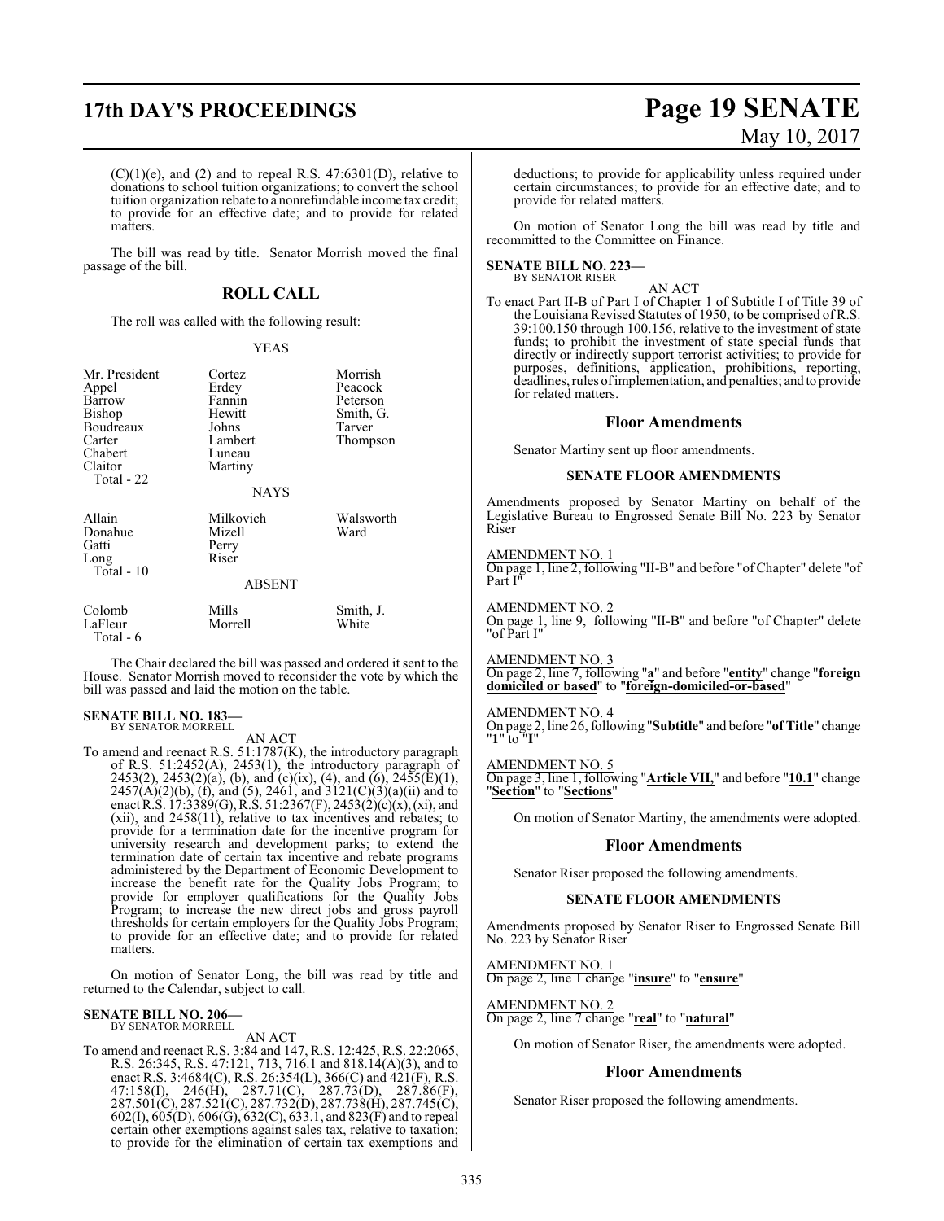$(C)(1)(e)$ , and  $(2)$  and to repeal R.S. 47:6301(D), relative to donations to school tuition organizations; to convert the school tuition organization rebate to a nonrefundable income tax credit; to provide for an effective date; and to provide for related matters.

The bill was read by title. Senator Morrish moved the final passage of the bill.

### **ROLL CALL**

The roll was called with the following result:

#### YEAS

| Mr. President<br>Appel<br>Barrow<br>Bishop<br>Boudreaux<br>Carter<br>Chabert<br>Claitor<br>Total - 22 | Cortez<br>Erdey<br>Fannin<br>Hewitt<br>Johns<br>Lambert<br>Luneau<br>Martiny<br><b>NAYS</b> | Morrish<br>Peacock<br>Peterson<br>Smith, G.<br>Tarver<br>Thompson |
|-------------------------------------------------------------------------------------------------------|---------------------------------------------------------------------------------------------|-------------------------------------------------------------------|
| Allain<br>Donahue<br>Gatti<br>Long<br>Total - 10                                                      | Milkovich<br>Mizell<br>Perry<br>Riser<br><b>ABSENT</b>                                      | Walsworth<br>Ward                                                 |
| Colomb<br>LaFleur<br>Total - 6                                                                        | Mills<br>Morrell                                                                            | Smith, J.<br>White                                                |

The Chair declared the bill was passed and ordered it sent to the House. Senator Morrish moved to reconsider the vote by which the bill was passed and laid the motion on the table.

#### **SENATE BILL NO. 183—** BY SENATOR MORRELL

AN ACT

To amend and reenact R.S. 51:1787(K), the introductory paragraph of R.S. 51:2452(A), 2453(1), the introductory paragraph of  $2453(2)$ ,  $2453(2)(a)$ , (b), and (c)(ix), (4), and (6),  $2455(E)(1)$ ,  $2457(A)(2)(b)$ , (f), and (5), 2461, and 3121(C)(3)(a)(ii) and to enact R.S. 17:3389(G), R.S. 51:2367(F), 2453(2)(c)(x),(xi), and (xii), and 2458(11), relative to tax incentives and rebates; to provide for a termination date for the incentive program for university research and development parks; to extend the termination date of certain tax incentive and rebate programs administered by the Department of Economic Development to increase the benefit rate for the Quality Jobs Program; to provide for employer qualifications for the Quality Jobs Program; to increase the new direct jobs and gross payroll thresholds for certain employers for the Quality Jobs Program; to provide for an effective date; and to provide for related matters.

On motion of Senator Long, the bill was read by title and returned to the Calendar, subject to call.

## **SENATE BILL NO. 206—** BY SENATOR MORRELL

AN ACT

To amend and reenact R.S. 3:84 and 147, R.S. 12:425, R.S. 22:2065, R.S. 26:345, R.S. 47:121, 713, 716.1 and 818.14(A)(3), and to enact R.S. 3:4684(C), R.S. 26:354(L), 366(C) and 421(F), R.S. 47:158(I), 246(H), 287.71(C), 287.73(D), 287.86(F), 287.501(C), 287.521(C), 287.732(D), 287.738(H), 287.745(C), 602(I), 605(D), 606(G), 632(C), 633.1, and 823(F) and to repeal certain other exemptions against sales tax, relative to taxation; to provide for the elimination of certain tax exemptions and

# **17th DAY'S PROCEEDINGS Page 19 SENATE** May 10, 2017

deductions; to provide for applicability unless required under certain circumstances; to provide for an effective date; and to provide for related matters.

On motion of Senator Long the bill was read by title and recommitted to the Committee on Finance.

#### **SENATE BILL NO. 223—** BY SENATOR RISER

AN ACT To enact Part II-B of Part I of Chapter 1 of Subtitle I of Title 39 of the Louisiana Revised Statutes of 1950, to be comprised of R.S. 39:100.150 through 100.156, relative to the investment of state funds; to prohibit the investment of state special funds that directly or indirectly support terrorist activities; to provide for purposes, definitions, application, prohibitions, reporting, deadlines, rules ofimplementation, and penalties; and to provide for related matters.

#### **Floor Amendments**

Senator Martiny sent up floor amendments.

#### **SENATE FLOOR AMENDMENTS**

Amendments proposed by Senator Martiny on behalf of the Legislative Bureau to Engrossed Senate Bill No. 223 by Senator Riser

#### AMENDMENT NO. 1

On page 1, line 2, following "II-B" and before "ofChapter" delete "of Part I"

#### AMENDMENT NO. 2

On page 1, line 9, following "II-B" and before "of Chapter" delete "of Part I"

#### AMENDMENT NO. 3

On page 2, line 7, following "**a**" and before "**entity**" change "**foreign domiciled or based**" to "**foreign-domiciled-or-based**"

#### AMENDMENT NO. 4

On page 2, line 26, following "**Subtitle**" and before "**of Title**" change "**1**" to "**I**"

#### AMENDMENT NO. 5

On page 3, line 1, following "**Article VII,**" and before "**10.1**" change "**Section**" to "**Sections**"

On motion of Senator Martiny, the amendments were adopted.

#### **Floor Amendments**

Senator Riser proposed the following amendments.

#### **SENATE FLOOR AMENDMENTS**

Amendments proposed by Senator Riser to Engrossed Senate Bill No. 223 by Senator Riser

## AMENDMENT NO. 1

On page 2, line 1 change "**insure**" to "**ensure**"

#### AMENDMENT NO. 2

On page 2, line 7 change "**real**" to "**natural**"

On motion of Senator Riser, the amendments were adopted.

#### **Floor Amendments**

Senator Riser proposed the following amendments.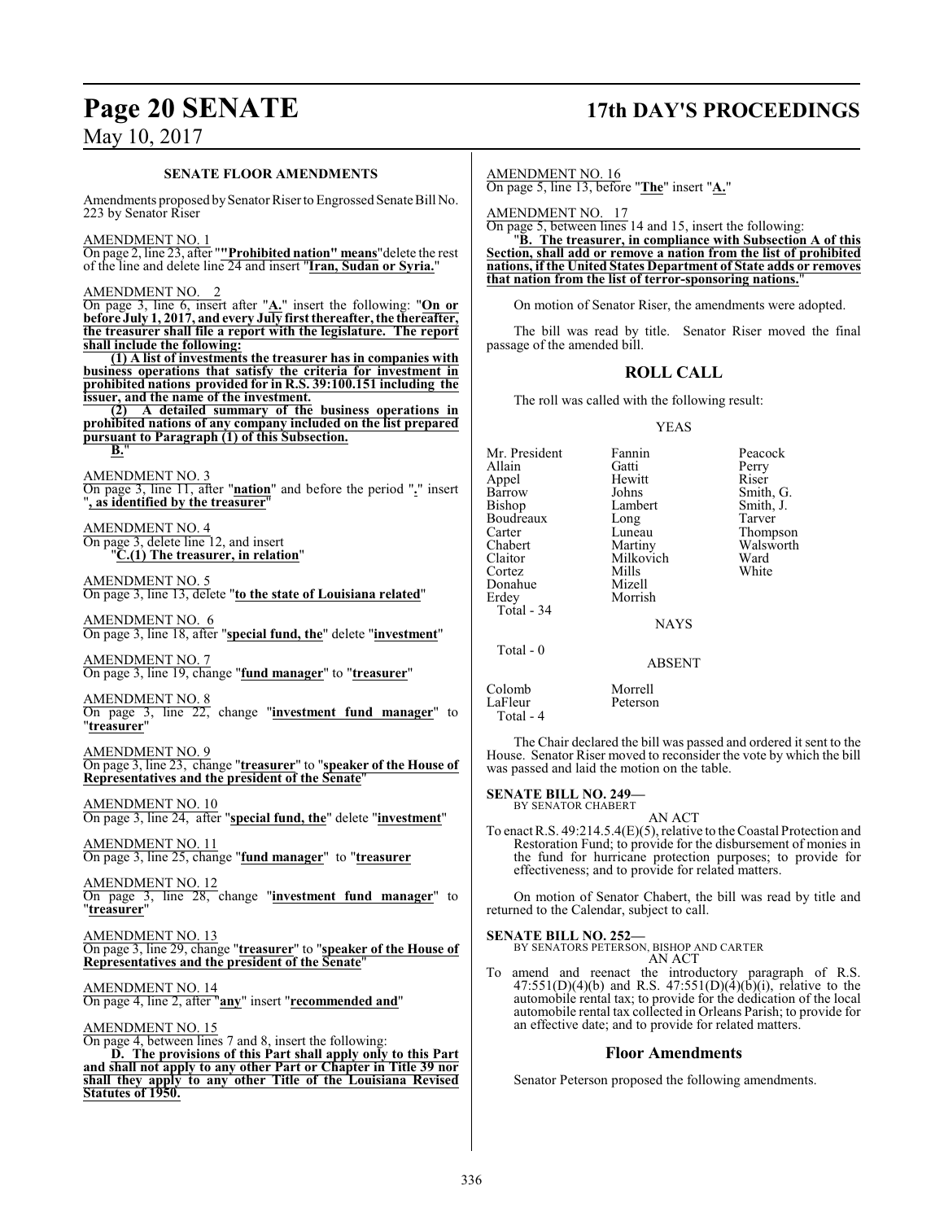# **Page 20 SENATE 17th DAY'S PROCEEDINGS**

May 10, 2017

#### **SENATE FLOOR AMENDMENTS**

Amendments proposed by Senator Riser to Engrossed Senate Bill No. 223 by Senator Riser

AMENDMENT NO. 1

On page 2, line 23, after "**"Prohibited nation" means**"delete the rest of the line and delete line 24 and insert "**Iran, Sudan or Syria.**"

AMENDMENT NO. 2

On page 3, line 6, insert after "**A.**" insert the following: "**On or before July 1, 2017, and every July first thereafter, the thereafter, the treasurer shall file a report with the legislature. The report shall include the following:**

**(1) A list of investments the treasurer has in companies with business operations that satisfy the criteria for investment in prohibited nations provided for in R.S. 39:100.151 including the issuer, and the name of the investment.**

**(2) A detailed summary of the business operations in prohibited nations of any company included on the list prepared pursuant to Paragraph (1) of this Subsection. B.**"

AMENDMENT NO. 3 On page 3, line 11, after "**nation**" and before the period "**.**" insert "**, as identified by the treasurer**"

AMENDMENT NO. 4 On page 3, delete line 12, and insert "**C.(1) The treasurer, in relation**"

AMENDMENT NO. 5 On page 3, line 13, delete "**to the state of Louisiana related**"

AMENDMENT NO. 6 On page 3, line 18, after "**special fund, the**" delete "**investment**"

AMENDMENT NO. 7 On page 3, line 19, change "**fund manager**" to "**treasurer**"

AMENDMENT NO. 8 On page 3, line 22, change "**investment fund manager**" to "**treasurer**"

AMENDMENT NO. 9 On page 3, line 23, change "**treasurer**" to "**speaker of the House of Representatives and the president of the Senate**"

AMENDMENT NO. 10 On page 3, line 24, after "**special fund, the**" delete "**investment**"

AMENDMENT NO. 11 On page 3, line 25, change "**fund manager**" to "**treasurer**

AMENDMENT NO. 12 On page 3, line 28, change "**investment fund manager**" to "**treasurer**"

AMENDMENT NO. 13 On page 3, line 29, change "**treasurer**" to "**speaker of the House of Representatives and the president of the Senate**"

AMENDMENT NO. 14 On page 4, line 2, after "**any**" insert "**recommended and**"

AMENDMENT NO. 15

On page 4, between lines 7 and 8, insert the following: **D. The provisions of this Part shall apply only to this Part and shall not apply to any other Part or Chapter in Title 39 nor shall they apply to any other Title of the Louisiana Revised Statutes of 1950.**

AMENDMENT NO. 16

On page 5, line 13, before "**The**" insert "**A.**"

AMENDMENT NO. 17

On page 5, between lines 14 and 15, insert the following:

"**B. The treasurer, in compliance with Subsection A of this Section, shall add or remove a nation from the list of prohibited nations, if the United States Department of State adds or removes that nation from the list of terror-sponsoring nations.**"

On motion of Senator Riser, the amendments were adopted.

The bill was read by title. Senator Riser moved the final passage of the amended bill.

## **ROLL CALL**

The roll was called with the following result:

YEAS

| Mr. President<br>Allain<br>Appel<br>Barrow<br>Bishop<br>Boudreaux<br>Carter<br>Chabert<br>Claitor<br>Cortez<br>Donahue | Fannin<br>Gatti<br>Hewitt<br>Johns<br>Lambert<br>Long<br>Luneau<br>Martiny<br>Milkovich<br>Mills<br>Mizell | Peacock<br>Perry<br>Riser<br>Smith, G.<br>Smith, J.<br>Tarver<br>Thompson<br>Walsworth<br>Ward<br>White |
|------------------------------------------------------------------------------------------------------------------------|------------------------------------------------------------------------------------------------------------|---------------------------------------------------------------------------------------------------------|
|                                                                                                                        |                                                                                                            |                                                                                                         |
| Erdey<br>Total $-34$                                                                                                   | Morrish                                                                                                    |                                                                                                         |
|                                                                                                                        | <b>NAYS</b>                                                                                                |                                                                                                         |
| Total - 0                                                                                                              |                                                                                                            |                                                                                                         |
|                                                                                                                        | ABSENT                                                                                                     |                                                                                                         |

Colomb Morrell<br>
LaFleur Petersoi Peterson Total - 4

The Chair declared the bill was passed and ordered it sent to the House. Senator Riser moved to reconsider the vote by which the bill was passed and laid the motion on the table.

**SENATE BILL NO. 249—** BY SENATOR CHABERT

AN ACT

To enact R.S. 49:214.5.4(E)(5), relative to the Coastal Protection and Restoration Fund; to provide for the disbursement of monies in the fund for hurricane protection purposes; to provide for effectiveness; and to provide for related matters.

On motion of Senator Chabert, the bill was read by title and returned to the Calendar, subject to call.

**SENATE BILL NO. 252—** BY SENATORS PETERSON, BISHOP AND CARTER AN ACT

To amend and reenact the introductory paragraph of R.S.  $47:551(D)(4)(b)$  and R.S.  $47:551(D)(4)(b)(i)$ , relative to the automobile rental tax; to provide for the dedication of the local automobile rental tax collected in Orleans Parish; to provide for an effective date; and to provide for related matters.

#### **Floor Amendments**

Senator Peterson proposed the following amendments.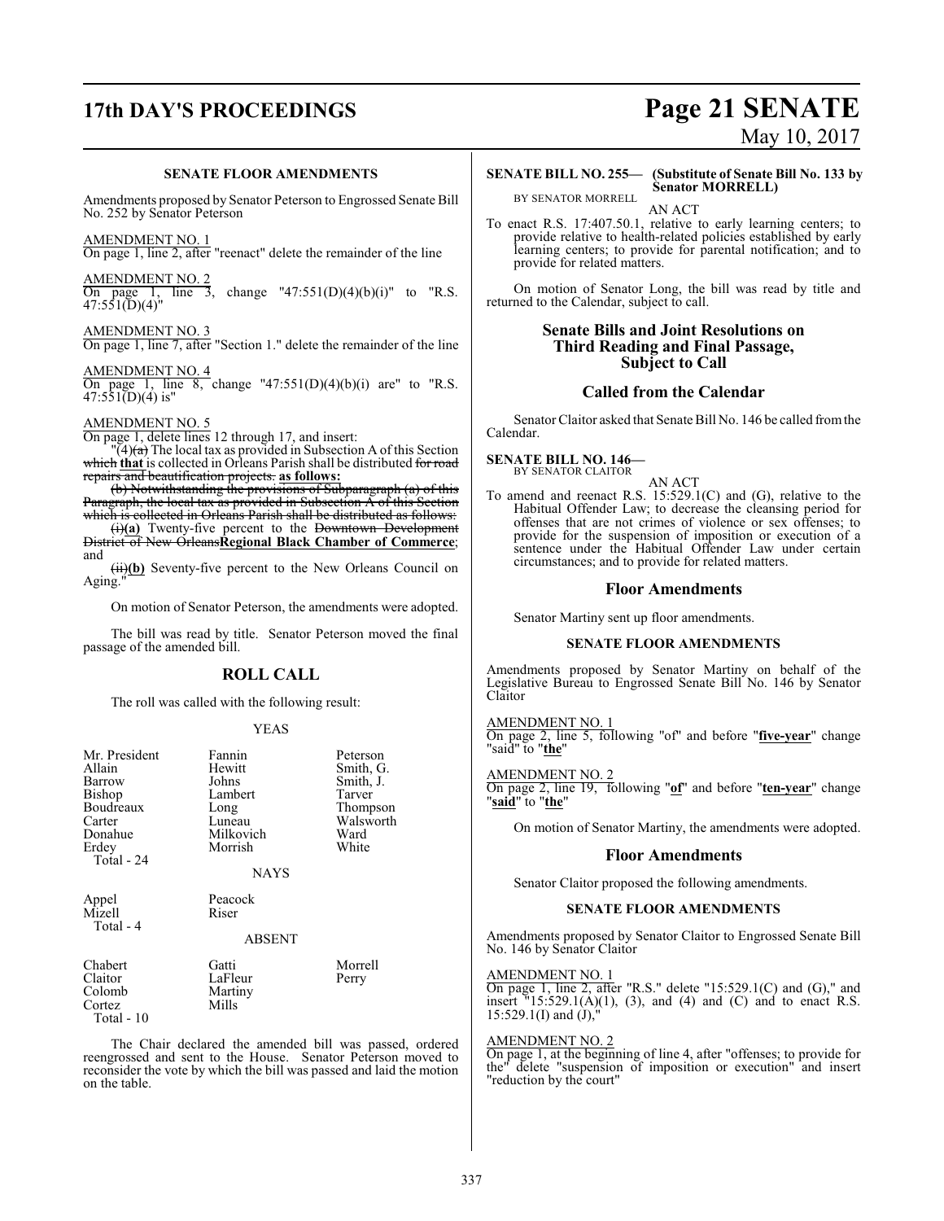# **17th DAY'S PROCEEDINGS Page 21 SENATE**

#### **SENATE FLOOR AMENDMENTS**

Amendments proposed by Senator Peterson to Engrossed Senate Bill No. 252 by Senator Peterson

AMENDMENT NO. 1 On page 1, line 2, after "reenact" delete the remainder of the line

AMENDMENT NO. 2 On page 1, line 3, change "47:551(D)(4)(b)(i)" to "R.S. On page 1, line  $47:551(D)(4)''$ 

AMENDMENT NO. 3 On page 1, line 7, after "Section 1." delete the remainder of the line

AMENDMENT NO. 4 On page 1, line 8, change "47:551(D)(4)(b)(i) are" to "R.S.  $47:551(D)(4)$  is"

#### AMENDMENT NO. 5

On page 1, delete lines 12 through 17, and insert:

 $\Gamma(4)$ (a) The local tax as provided in Subsection A of this Section which that is collected in Orleans Parish shall be distributed for road repairs and beautification projects. **as follows:**

(b) Notwithstanding the provisions of Subparagraph (a) of this Paragraph, the local tax as provided in Subsection A of this Section which is collected in Orleans Parish shall be distributed as follows:

(i)**(a)** Twenty-five percent to the Downtown Development District of New Orleans**Regional Black Chamber of Commerce**; and

(ii)(b) Seventy-five percent to the New Orleans Council on Aging."

On motion of Senator Peterson, the amendments were adopted.

The bill was read by title. Senator Peterson moved the final passage of the amended bill.

#### **ROLL CALL**

The roll was called with the following result:

#### YEAS

| Mr. President<br>Allain<br>Barrow<br>Bishop<br>Boudreaux<br>Carter<br>Donahue<br>Erdey<br>Total - 24 | Fannin<br>Hewitt<br>Johns<br>Lambert<br>Long<br>Luneau<br>Milkovich<br>Morrish<br><b>NAYS</b> | Peterson<br>Smith, G.<br>Smith, J.<br>Tarver<br>Thompson<br>Walsworth<br>Ward<br>White |
|------------------------------------------------------------------------------------------------------|-----------------------------------------------------------------------------------------------|----------------------------------------------------------------------------------------|
| Appel<br>Mizell<br>Total - 4                                                                         | Peacock<br>Riser<br>ABSENT                                                                    |                                                                                        |
| Chabert<br>Claitor<br>Colomb<br>Cortez<br>Total - 10                                                 | Gatti<br>LaFleur<br>Martiny<br>Mills                                                          | Morrell<br>Perry                                                                       |

The Chair declared the amended bill was passed, ordered reengrossed and sent to the House. Senator Peterson moved to reconsider the vote by which the bill was passed and laid the motion on the table.

# May 10, 2017

**SENATE BILL NO. 255— (Substitute of Senate Bill No. 133 by Senator MORRELL)**

BY SENATOR MORRELL AN ACT

To enact R.S. 17:407.50.1, relative to early learning centers; to provide relative to health-related policies established by early learning centers; to provide for parental notification; and to provide for related matters.

On motion of Senator Long, the bill was read by title and returned to the Calendar, subject to call.

#### **Senate Bills and Joint Resolutions on Third Reading and Final Passage, Subject to Call**

#### **Called from the Calendar**

Senator Claitor asked that Senate Bill No. 146 be called fromthe Calendar.

#### **SENATE BILL NO. 146—**

BY SENATOR CLAITOR AN ACT

To amend and reenact R.S. 15:529.1(C) and (G), relative to the Habitual Offender Law; to decrease the cleansing period for offenses that are not crimes of violence or sex offenses; to provide for the suspension of imposition or execution of a sentence under the Habitual Offender Law under certain circumstances; and to provide for related matters.

#### **Floor Amendments**

Senator Martiny sent up floor amendments.

#### **SENATE FLOOR AMENDMENTS**

Amendments proposed by Senator Martiny on behalf of the Legislative Bureau to Engrossed Senate Bill No. 146 by Senator Claitor

AMENDMENT NO. 1 On page 2, line 5, following "of" and before "**five-year**" change "said" to "**the**"

AMENDMENT NO. 2 On page 2, line 19, following "**of**" and before "**ten-year**" change "**said**" to "**the**"

On motion of Senator Martiny, the amendments were adopted.

#### **Floor Amendments**

Senator Claitor proposed the following amendments.

#### **SENATE FLOOR AMENDMENTS**

Amendments proposed by Senator Claitor to Engrossed Senate Bill No. 146 by Senator Claitor

#### AMENDMENT NO. 1

On page 1, line 2, after "R.S." delete "15:529.1(C) and (G)," and insert  $\frac{15:529.1(A)(1)}{3}$ , and (4) and (C) and to enact R.S.  $15:529.1(I)$  and  $(J)$ ,

#### AMENDMENT NO. 2

On page 1, at the beginning of line 4, after "offenses; to provide for the" delete "suspension of imposition or execution" and insert "reduction by the court"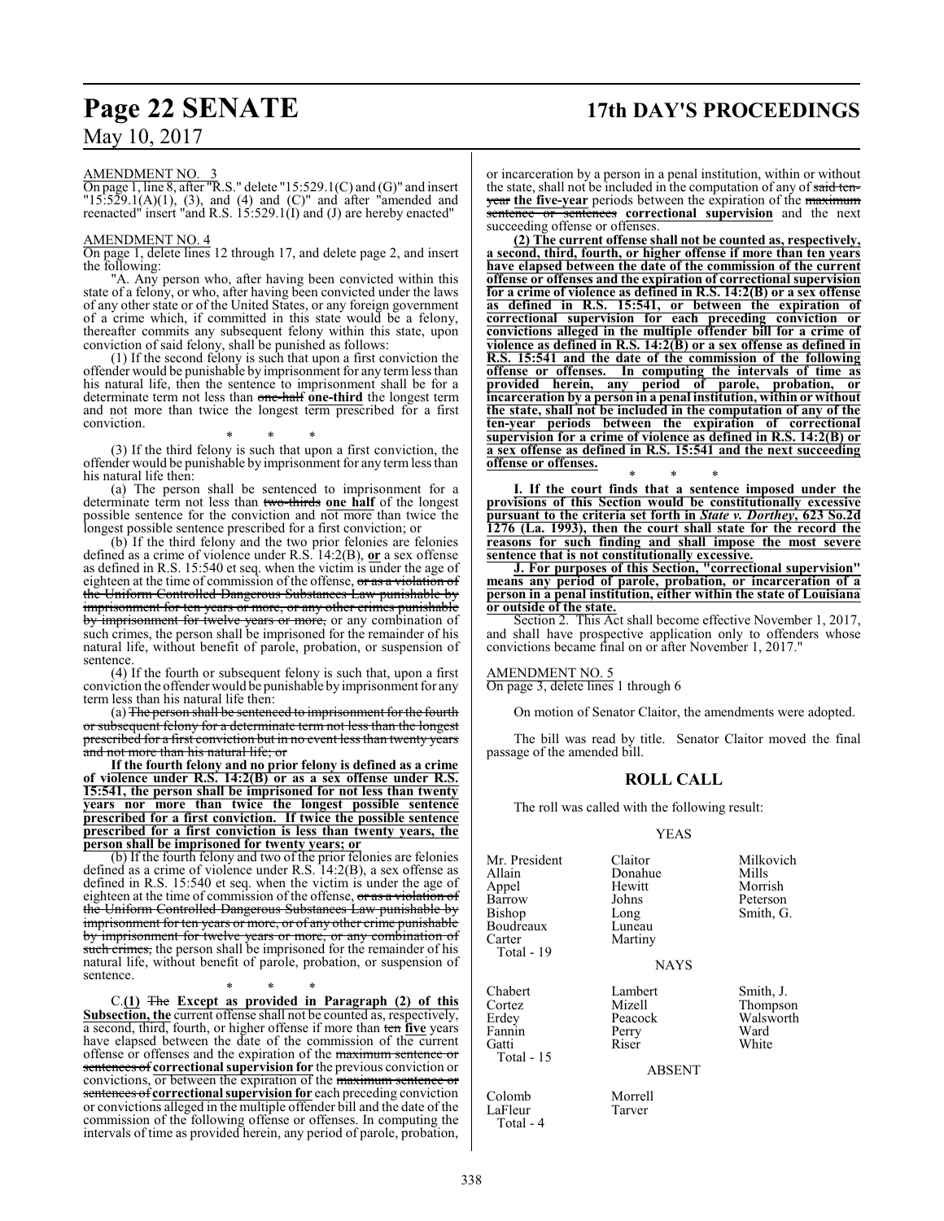#### AMENDMENT NO. 3

On page 1, line 8, after "R.S." delete "15:529.1(C) and (G)" and insert  $"15:529.1(A)(1), (3), and (4) and (C)" and after "amended and$ reenacted" insert "and R.S. 15:529.1(I) and (J) are hereby enacted"

#### AMENDMENT NO. 4

On page 1, delete lines 12 through 17, and delete page 2, and insert the following:

"A. Any person who, after having been convicted within this state of a felony, or who, after having been convicted under the laws of any other state or of the United States, or any foreign government of a crime which, if committed in this state would be a felony, thereafter commits any subsequent felony within this state, upon conviction of said felony, shall be punished as follows:

(1) If the second felony is such that upon a first conviction the offender would be punishable by imprisonment for any termless than his natural life, then the sentence to imprisonment shall be for a determinate term not less than one-half **one-third** the longest term and not more than twice the longest term prescribed for a first conviction.

\* \* \* (3) If the third felony is such that upon a first conviction, the offender would be punishable by imprisonment for any termless than his natural life then:

(a) The person shall be sentenced to imprisonment for a determinate term not less than two-thirds **one half** of the longest possible sentence for the conviction and not more than twice the longest possible sentence prescribed for a first conviction; or

(b) If the third felony and the two prior felonies are felonies defined as a crime of violence under R.S. 14:2(B), **or** a sex offense as defined in R.S. 15:540 et seq. when the victim is  $\overline{under}$  the age of eighteen at the time of commission of the offense, or as a violation of the Uniform Controlled Dangerous Substances Law punishable by imprisonment for ten years or more, or any other crimes punishable by imprisonment for twelve years or more, or any combination of such crimes, the person shall be imprisoned for the remainder of his natural life, without benefit of parole, probation, or suspension of sentence.

(4) If the fourth or subsequent felony is such that, upon a first conviction the offender would be punishable by imprisonment for any term less than his natural life then:

(a) The person shall be sentenced to imprisonment for the fourth or subsequent felony for a determinate term not less than the longest prescribed for a first conviction but in no event less than twenty years and not more than his natural life; or

**If the fourth felony and no prior felony is defined as a crime of violence under R.S. 14:2(B) or as a sex offense under R.S. 15:541, the person shall be imprisoned for not less than twenty years nor more than twice the longest possible sentence prescribed for a first conviction. If twice the possible sentence prescribed for a first conviction is less than twenty years, the person shall be imprisoned for twenty years; or**

(b) If the fourth felony and two of the prior felonies are felonies defined as a crime of violence under R.S. 14:2(B), a sex offense as defined in R.S. 15:540 et seq. when the victim is under the age of eighteen at the time of commission of the offense, or as a violation of the Uniform Controlled Dangerous Substances Law punishable by imprisonment for ten years or more, or of any other crime punishable by imprisonment for twelve years or more, or any combination of such crimes, the person shall be imprisoned for the remainder of his natural life, without benefit of parole, probation, or suspension of sentence.

\* \* \* C.**(1)** The **Except as provided in Paragraph (2) of this Subsection, the** current offense shall not be counted as, respectively, a second, third, fourth, or higher offense if more than ten **five** years have elapsed between the date of the commission of the current offense or offenses and the expiration of the maximum sentence or sentences of **correctional supervision for** the previous conviction or convictions, or between the expiration of the maximum sentence or sentences of **correctional supervision for** each preceding conviction or convictions alleged in the multiple offender bill and the date of the commission of the following offense or offenses. In computing the intervals of time as provided herein, any period of parole, probation,

or incarceration by a person in a penal institution, within or without the state, shall not be included in the computation of any of said tenyear **the five-year** periods between the expiration of the maximum sentence or sentences **correctional supervision** and the next succeeding offense or offenses.

**(2) The current offense shall not be counted as, respectively, a second, third, fourth, or higher offense if more than ten years have elapsed between the date of the commission of the current offense or offenses and the expiration of correctional supervision for a crime of violence as defined in R.S. 14:2(B) or a sex offense as defined in R.S. 15:541, or between the expiration of correctional supervision for each preceding conviction or convictions alleged in the multiple offender bill for a crime of violence as defined in R.S. 14:2(B) or a sex offense as defined in R.S. 15:541 and the date of the commission of the following offense or offenses. In computing the intervals of time as provided herein, any period of parole, probation, or incarceration by a person in a penal institution, within or without the state, shall not be included in the computation of any of the ten-year periods between the expiration of correctional supervision for a crime of violence as defined in R.S. 14:2(B) or a sex offense as defined in R.S. 15:541 and the next succeeding offense or offenses.**

\* \* \* **I. If the court finds that a sentence imposed under the provisions of this Section would be constitutionally excessive pursuant to the criteria set forth in** *State v. Dorthey***, 623 So.2d 1276 (La. 1993), then the court shall state for the record the reasons for such finding and shall impose the most severe sentence that is not constitutionally excessive.**

**J. For purposes of this Section, "correctional supervision" means any period of parole, probation, or incarceration of a person in a penal institution, either within the state of Louisiana or outside of the state.**

Section 2. This Act shall become effective November 1, 2017, and shall have prospective application only to offenders whose convictions became final on or after November 1, 2017.

#### AMENDMENT NO. 5

On page 3, delete lines 1 through 6

On motion of Senator Claitor, the amendments were adopted.

The bill was read by title. Senator Claitor moved the final passage of the amended bill.

#### **ROLL CALL**

The roll was called with the following result:

YEAS

| Mr. President<br>Allain<br>Appel<br>Barrow<br>Bishop<br>Boudreaux<br>Carter<br>Total - 19 | Claitor<br>Donahue<br>Hewitt<br>Johns<br>Long<br>Luneau<br>Martiny | Milkovich<br>Mills<br>Morrish<br>Peterson<br>Smith, G. |
|-------------------------------------------------------------------------------------------|--------------------------------------------------------------------|--------------------------------------------------------|
|                                                                                           | <b>NAYS</b>                                                        |                                                        |
| Chabert<br>Cortez<br>Erdey<br>Fannin<br>Gatti                                             | Lambert<br>Mizell<br>Peacock<br>Perry<br>Riser                     | Smith, J.<br>Thompson<br>Walsworth<br>Ward<br>White    |

ABSENT

Colomb Morrell<br>
LaFleur Tarver

Total - 15

LaFleur Total - 4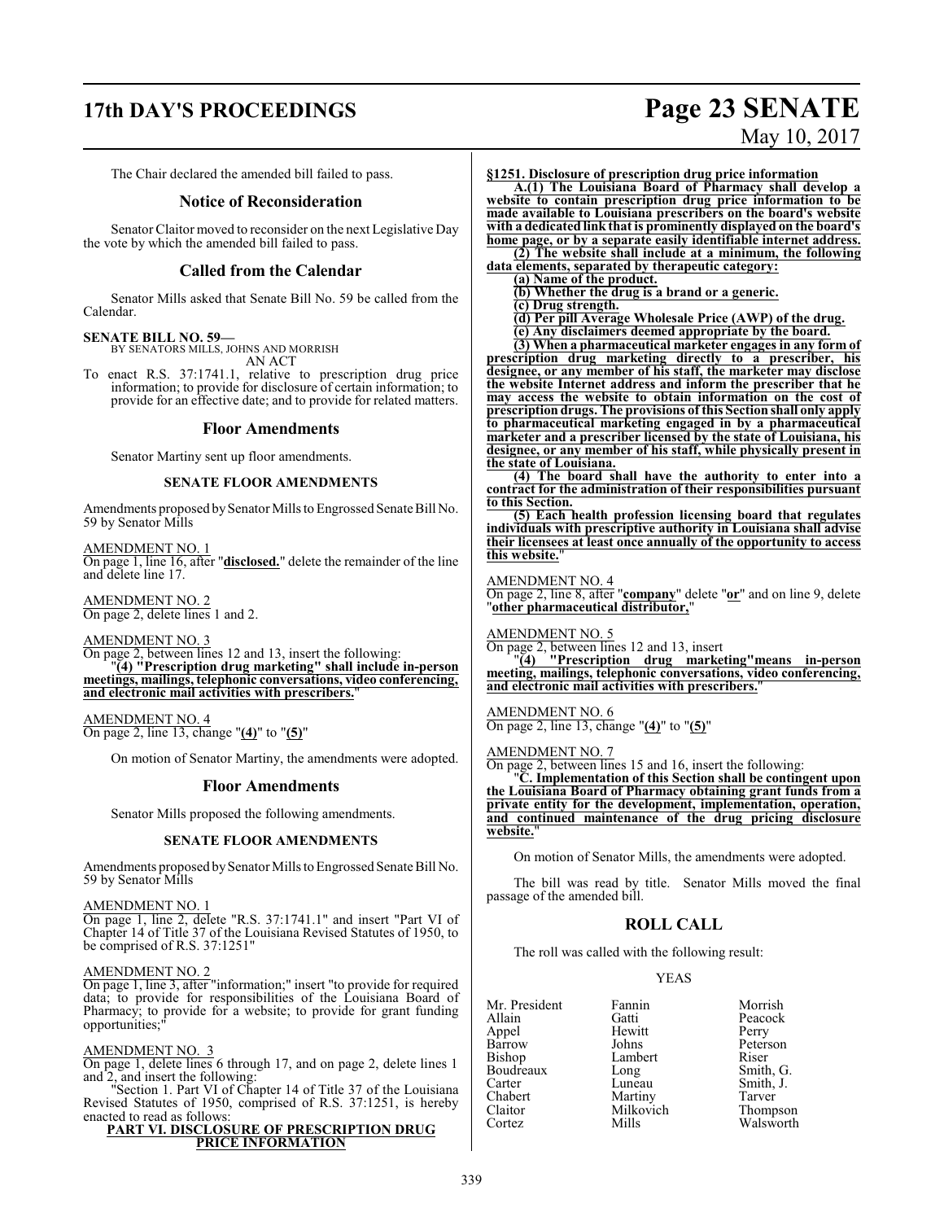# **17th DAY'S PROCEEDINGS Page 23 SENATE**

# May 10, 2017

The Chair declared the amended bill failed to pass.

#### **Notice of Reconsideration**

Senator Claitor moved to reconsider on the next Legislative Day the vote by which the amended bill failed to pass.

#### **Called from the Calendar**

Senator Mills asked that Senate Bill No. 59 be called from the Calendar.

#### **SENATE BILL NO. 59—**

BY SENATORS MILLS, JOHNS AND MORRISH

AN ACT

To enact R.S. 37:1741.1, relative to prescription drug price information; to provide for disclosure of certain information; to provide for an effective date; and to provide for related matters.

#### **Floor Amendments**

Senator Martiny sent up floor amendments.

#### **SENATE FLOOR AMENDMENTS**

Amendments proposed bySenator Mills to Engrossed Senate Bill No. 59 by Senator Mills

AMENDMENT NO. 1 On page 1, line 16, after "**disclosed.**" delete the remainder of the line and delete line 17.

AMENDMENT NO. 2 On page 2, delete lines 1 and 2.

AMENDMENT NO. 3

On page 2, between lines 12 and 13, insert the following: "**(4) "Prescription drug marketing" shall include in-person meetings, mailings, telephonic conversations, video conferencing, and electronic mail activities with prescribers.**"

AMENDMENT NO. 4 On page 2, line 13, change "**(4)**" to "**(5)**"

On motion of Senator Martiny, the amendments were adopted.

#### **Floor Amendments**

Senator Mills proposed the following amendments.

#### **SENATE FLOOR AMENDMENTS**

Amendments proposed by Senator Mills to Engrossed Senate Bill No. 59 by Senator Mills

#### AMENDMENT NO. 1

On page 1, line 2, delete "R.S. 37:1741.1" and insert "Part VI of Chapter 14 of Title 37 of the Louisiana Revised Statutes of 1950, to be comprised of R.S. 37:1251"

#### AMENDMENT NO. 2

On page 1, line 3, after "information;" insert "to provide for required data; to provide for responsibilities of the Louisiana Board of Pharmacy; to provide for a website; to provide for grant funding opportunities:

#### AMENDMENT NO. 3

On page 1, delete lines 6 through 17, and on page 2, delete lines 1 and 2, and insert the following:

"Section 1. Part VI of Chapter 14 of Title 37 of the Louisiana Revised Statutes of 1950, comprised of R.S. 37:1251, is hereby enacted to read as follows:

#### **PART VI. DISCLOSURE OF PRESCRIPTION DRUG PRICE INFORMATION**

**§1251. Disclosure of prescription drug price information**

**A.(1) The Louisiana Board of Pharmacy shall develop a website to contain prescription drug price information to be made available to Louisiana prescribers on the board's website with a dedicated link that is prominently displayed on the board's home page, or by a separate easily identifiable internet address. (2) The website shall include at a minimum, the following**

**data elements, separated by therapeutic category:**

**(a) Name of the product. (b) Whether the drug is a brand or a generic.**

**(c) Drug strength.**

**(d) Per pill Average Wholesale Price (AWP) of the drug.**

**(e) Any disclaimers deemed appropriate by the board.**

**(3) When a pharmaceutical marketer engages in any form of prescription drug marketing directly to a prescriber, his designee, or any member of his staff, the marketer may disclose the website Internet address and inform the prescriber that he may access the website to obtain information on the cost of prescription drugs. The provisions of this Section shall only apply to pharmaceutical marketing engaged in by a pharmaceutical marketer and a prescriber licensed by the state of Louisiana, his designee, or any member of his staff, while physically present in the state of Louisiana.**

**(4) The board shall have the authority to enter into a contract for the administration of their responsibilities pursuant to this Section.**

**(5) Each health profession licensing board that regulates individuals with prescriptive authority in Louisiana shall advise their licensees at least once annually of the opportunity to access this website.**"

AMENDMENT NO. 4

On page 2, line 8, after "**company**" delete "**or**" and on line 9, delete "**other pharmaceutical distributor,**"

#### AMENDMENT NO. 5

On page 2, between lines 12 and 13, insert

"**(4) "Prescription drug marketing"means in-person meeting, mailings, telephonic conversations, video conferencing, and electronic mail activities with prescribers.**"

#### AMENDMENT NO. 6

On page 2, line 13, change "**(4)**" to "**(5)**"

#### AMENDMENT NO. 7

On page 2, between lines 15 and 16, insert the following:

"**C. Implementation of this Section shall be contingent upon the Louisiana Board of Pharmacy obtaining grant funds from a private entity for the development, implementation, operation, and continued maintenance of the drug pricing disclosure website.**"

On motion of Senator Mills, the amendments were adopted.

The bill was read by title. Senator Mills moved the final passage of the amended bill.

#### **ROLL CALL**

The roll was called with the following result:

#### YEAS

| Fannin    | Morrish               |
|-----------|-----------------------|
| Gatti     | Peacock               |
| Hewitt    | Perry                 |
| Johns     | Peterson              |
| Lambert   | Riser                 |
| Long      | Smith, G.             |
| Luneau    | Smith, J.             |
| Martiny   | Tarver                |
| Milkovich |                       |
| Mills     | Thompson<br>Walsworth |
|           |                       |

339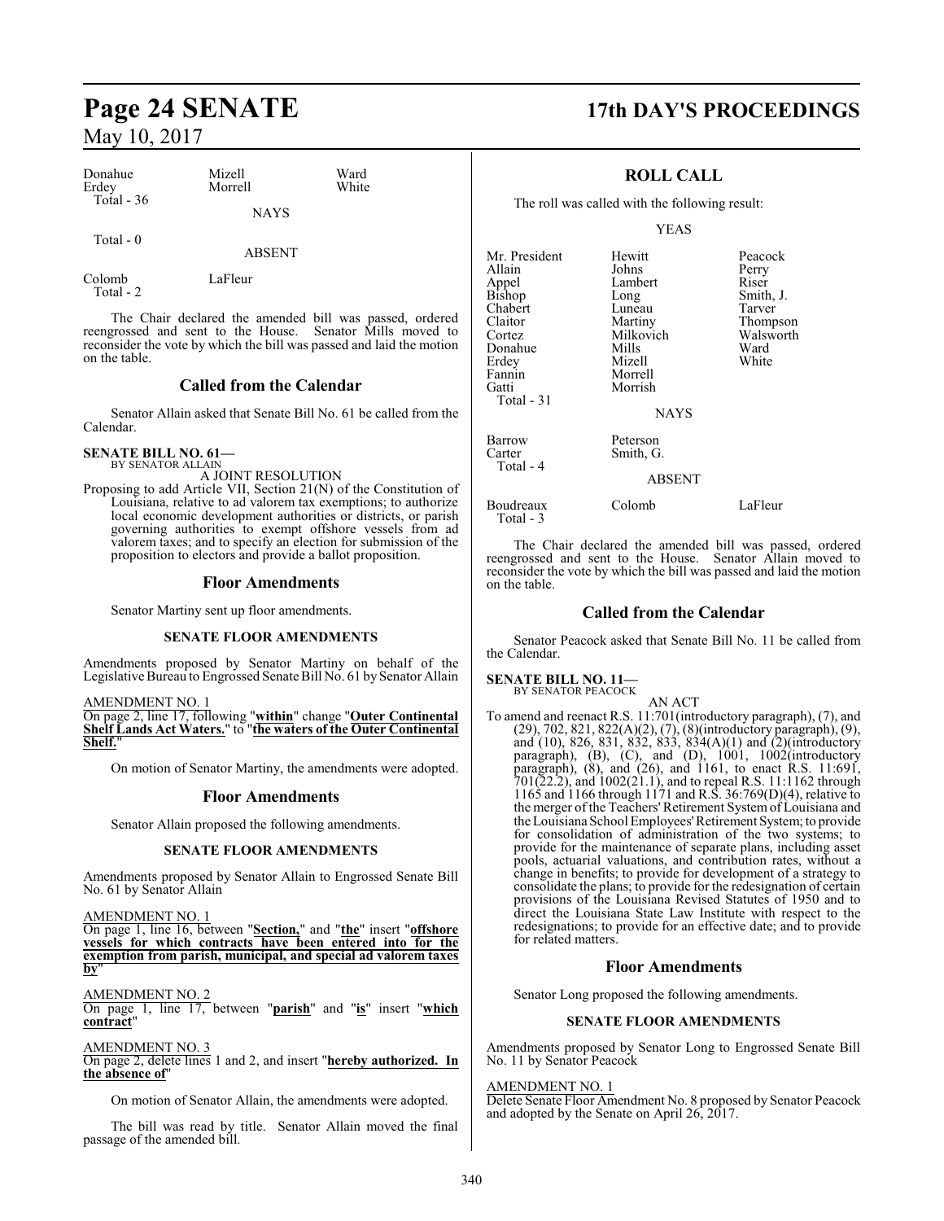| Donahue<br>Erdey | Mizell<br>Morrell | Ward<br>White |  |
|------------------|-------------------|---------------|--|
| Total $-36$      | <b>NAYS</b>       |               |  |
| Total $-0$       | ABSENT            |               |  |

Colomb LaFleur Total - 2

The Chair declared the amended bill was passed, ordered reengrossed and sent to the House. Senator Mills moved to reconsider the vote by which the bill was passed and laid the motion on the table.

#### **Called from the Calendar**

Senator Allain asked that Senate Bill No. 61 be called from the Calendar.

#### **SENATE BILL NO. 61—** BY SENATOR ALLAIN

A JOINT RESOLUTION

Proposing to add Article VII, Section 21(N) of the Constitution of Louisiana, relative to ad valorem tax exemptions; to authorize local economic development authorities or districts, or parish governing authorities to exempt offshore vessels from ad valorem taxes; and to specify an election for submission of the proposition to electors and provide a ballot proposition.

#### **Floor Amendments**

Senator Martiny sent up floor amendments.

#### **SENATE FLOOR AMENDMENTS**

Amendments proposed by Senator Martiny on behalf of the Legislative Bureau to Engrossed Senate Bill No. 61 by Senator Allain

#### AMENDMENT NO. 1

On page 2, line 17, following "**within**" change "**Outer Continental Shelf Lands Act Waters.**" to "**the waters of the Outer Continental Shelf.**"

On motion of Senator Martiny, the amendments were adopted.

#### **Floor Amendments**

Senator Allain proposed the following amendments.

#### **SENATE FLOOR AMENDMENTS**

Amendments proposed by Senator Allain to Engrossed Senate Bill No. 61 by Senator Allain

AMENDMENT NO. 1

On page 1, line 16, between "**Section,**" and "**the**" insert "**offshore vessels for which contracts have been entered into for the exemption from parish, municipal, and special ad valorem taxes by**"

AMENDMENT NO. 2

On page 1, line 17, between "**parish**" and "**is**" insert "**which contract**"

AMENDMENT NO. 3

On page 2, delete lines 1 and 2, and insert "**hereby authorized. In the absence of**"

On motion of Senator Allain, the amendments were adopted.

The bill was read by title. Senator Allain moved the final passage of the amended bill.

## **Page 24 SENATE 17th DAY'S PROCEEDINGS**

## **ROLL CALL**

The roll was called with the following result:

YEAS

| Mr. President<br>Allain<br>Appel<br>Bishop<br>Chabert<br>Claitor<br>Cortez<br>Donahue<br>Erdey<br>Fannin<br>Gatti<br>Total - 31 | Hewitt<br>Johns<br>Lambert<br>Long<br>Luneau<br>Martiny<br>Milkovich<br>Mills<br>Mizell<br>Morrell<br>Morrish | Peacock<br>Perry<br>Riser<br>Smith, J.<br>Tarver<br>Thompson<br>Walsworth<br>Ward<br>White |
|---------------------------------------------------------------------------------------------------------------------------------|---------------------------------------------------------------------------------------------------------------|--------------------------------------------------------------------------------------------|
|                                                                                                                                 | <b>NAYS</b>                                                                                                   |                                                                                            |
| Barrow<br>Carter<br>Total - 4                                                                                                   | Peterson<br>Smith, G.                                                                                         |                                                                                            |
|                                                                                                                                 | <b>ABSENT</b>                                                                                                 |                                                                                            |
| Boudreaux                                                                                                                       | Colomb                                                                                                        | LaFleur                                                                                    |

The Chair declared the amended bill was passed, ordered reengrossed and sent to the House. Senator Allain moved to reconsider the vote by which the bill was passed and laid the motion on the table.

#### **Called from the Calendar**

Senator Peacock asked that Senate Bill No. 11 be called from the Calendar.

#### **SENATE BILL NO. 11—**

Total - 3

BY SENATOR PEACOCK

AN ACT To amend and reenact R.S. 11:701(introductory paragraph), (7), and (29), 702, 821, 822(A)(2), (7), (8)(introductory paragraph), (9), and (10), 826, 831, 832, 833, 834(A)(1) and (2)(introductory paragraph), (B), (C), and (D), 1001, 1002(introductory paragraph), (8), and (26), and 1161, to enact R.S. 11:691, 701(22.2), and 1002(21.1), and to repeal R.S. 11:1162 through 1165 and 1166 through 1171 and R.S. 36:769(D)(4), relative to the merger of the Teachers' Retirement Systemof Louisiana and the Louisiana School Employees'Retirement System; to provide for consolidation of administration of the two systems; to provide for the maintenance of separate plans, including asset pools, actuarial valuations, and contribution rates, without a change in benefits; to provide for development of a strategy to consolidate the plans; to provide for the redesignation of certain provisions of the Louisiana Revised Statutes of 1950 and to direct the Louisiana State Law Institute with respect to the redesignations; to provide for an effective date; and to provide for related matters.

#### **Floor Amendments**

Senator Long proposed the following amendments.

#### **SENATE FLOOR AMENDMENTS**

Amendments proposed by Senator Long to Engrossed Senate Bill No. 11 by Senator Peacock

#### AMENDMENT NO. 1

Delete Senate Floor Amendment No. 8 proposed by Senator Peacock and adopted by the Senate on April 26, 2017.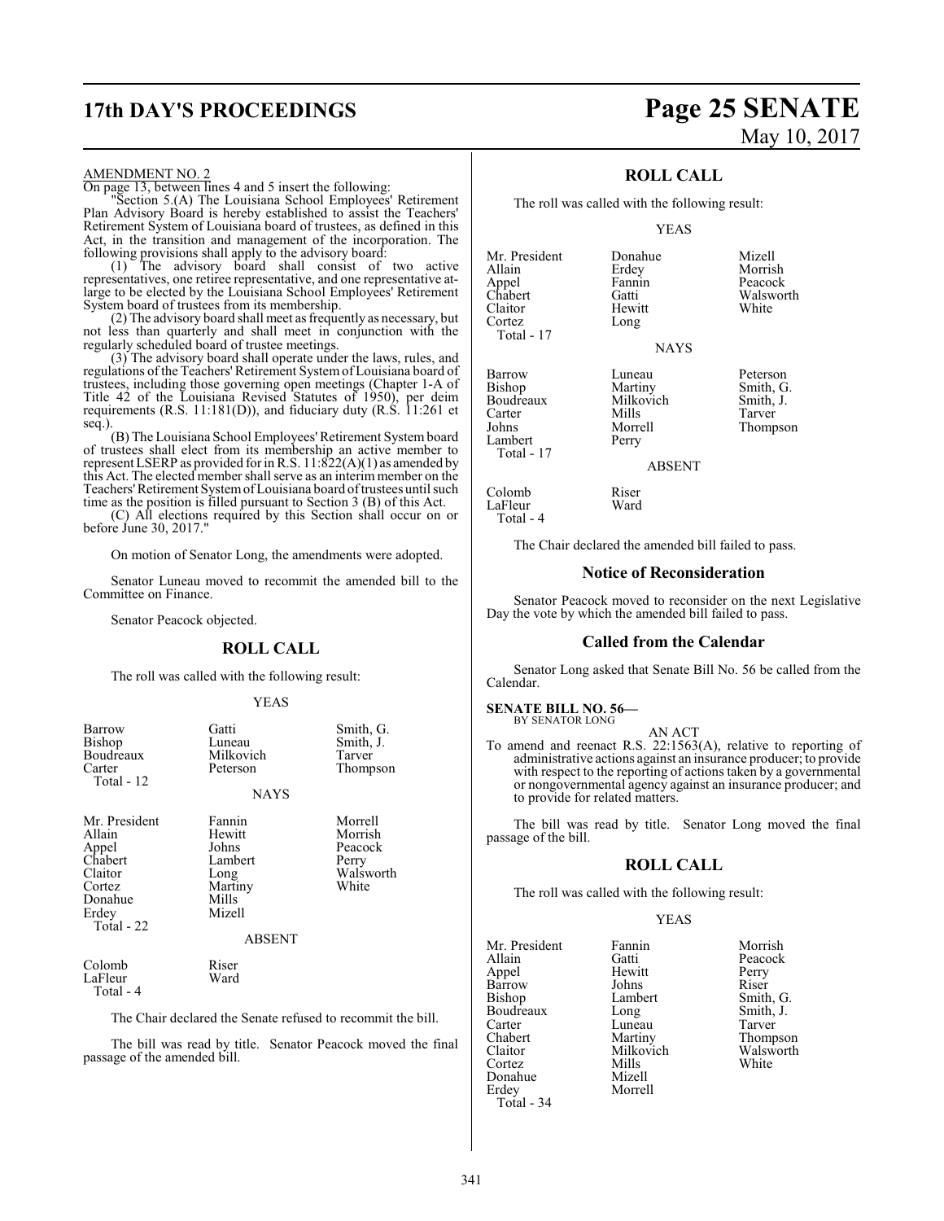# **17th DAY'S PROCEEDINGS Page 25 SENATE**

#### AMENDMENT NO. 2

On page 13, between lines 4 and 5 insert the following:

"Section 5.(A) The Louisiana School Employees' Retirement Plan Advisory Board is hereby established to assist the Teachers' Retirement System of Louisiana board of trustees, as defined in this Act, in the transition and management of the incorporation. The following provisions shall apply to the advisory board:

(1) The advisory board shall consist of two active representatives, one retiree representative, and one representative atlarge to be elected by the Louisiana School Employees' Retirement System board of trustees from its membership.

(2) The advisory board shall meet as frequently as necessary, but not less than quarterly and shall meet in conjunction with the regularly scheduled board of trustee meetings.

(3) The advisory board shall operate under the laws, rules, and regulations ofthe Teachers' Retirement Systemof Louisiana board of trustees, including those governing open meetings (Chapter 1-A of Title 42 of the Louisiana Revised Statutes of 1950), per deim requirements (R.S. 11:181(D)), and fiduciary duty (R.S. 11:261 et seq.).

(B) The Louisiana School Employees'Retirement System board of trustees shall elect from its membership an active member to represent LSERP as provided forin R.S. 11:822(A)(1) as amended by this Act. The elected member shall serve as an interim member on the Teachers'Retirement SystemofLouisiana board oftrustees until such time as the position is filled pursuant to Section 3 (B) of this Act.

(C) All elections required by this Section shall occur on or before  $\text{June } 30, 2017$ .

On motion of Senator Long, the amendments were adopted.

Senator Luneau moved to recommit the amended bill to the Committee on Finance.

Senator Peacock objected.

#### **ROLL CALL**

The roll was called with the following result:

#### YEAS

| Barrow<br>Bishop<br>Boudreaux<br>Carter<br>Total - 12                                               | Gatti<br>Luneau<br>Milkovich<br>Peterson<br><b>NAYS</b>                                     | Smith, G.<br>Smith, J.<br>Tarver<br>Thompson                 |
|-----------------------------------------------------------------------------------------------------|---------------------------------------------------------------------------------------------|--------------------------------------------------------------|
| Mr. President<br>Allain<br>Appel<br>Chabert<br>Claitor<br>Cortez<br>Donahue<br>Erdey<br>Total $-22$ | Fannin<br>Hewitt<br>Johns<br>Lambert<br>Long<br>Martiny<br>Mills<br>Mizell<br><b>ABSENT</b> | Morrell<br>Morrish<br>Peacock<br>Perry<br>Walsworth<br>White |
| Colomb<br>LaFleur<br>Total - 4                                                                      | Riser<br>Ward                                                                               |                                                              |

The Chair declared the Senate refused to recommit the bill.

The bill was read by title. Senator Peacock moved the final passage of the amended bill.

# May 10, 2017

### **ROLL CALL**

The roll was called with the following result:

Long

#### YEAS

**NAYS** 

Erdey Morrish<br>Fannin Peacock

Mr. President Donahue Mizell<br>Allain Erdey Morris Appel Fannin Peacock<br>Chabert Gatti Walswor Chabert Gatti Walsworth<br>Claitor Hewitt White Claitor Hewitt<br>Cortez Long Total - 17

Lambert Total - 17

LaFleur Total - 4

Boudreaux Milko<br>Carter Mills

Barrow Luneau Peterson<br>Bishop Martiny Smith, G Martiny Smith, G.<br>Milkovich Smith, J. Carter Mills Tarver<br>
Johns Morrell Thomp Morrell Thompson<br>Perry

ABSENT

# Colomb<br>LaFleur Ward

The Chair declared the amended bill failed to pass.

#### **Notice of Reconsideration**

Senator Peacock moved to reconsider on the next Legislative Day the vote by which the amended bill failed to pass.

#### **Called from the Calendar**

Senator Long asked that Senate Bill No. 56 be called from the Calendar.

#### **SENATE BILL NO. 56—** BY SENATOR LONG

AN ACT

To amend and reenact R.S. 22:1563(A), relative to reporting of administrative actions against an insurance producer; to provide with respect to the reporting of actions taken by a governmental or nongovernmental agency against an insurance producer; and to provide for related matters.

The bill was read by title. Senator Long moved the final passage of the bill.

#### **ROLL CALL**

The roll was called with the following result:

Morrell

#### YEAS

Mr. President Fannin Morrish<br>Allain Gatti Peacock Allain Gatti Peacock Barrow Johns<br>Bishop Lambert Boudreaux Long Smith,<br>Carter Luneau Tarver Carter Luneau<br>
Chabert Martiny Chabert Martiny Thompson<br>Claitor Milkovich Walsworth Claitor Milkovich Walsworth<br>Cortez Mills White Cortez Mills White Donahue Mizell<br>Erdey Morrel Total - 34

Hewitt Perry<br>Johns Riser Lambert Smith, G.<br>
Long Smith, J.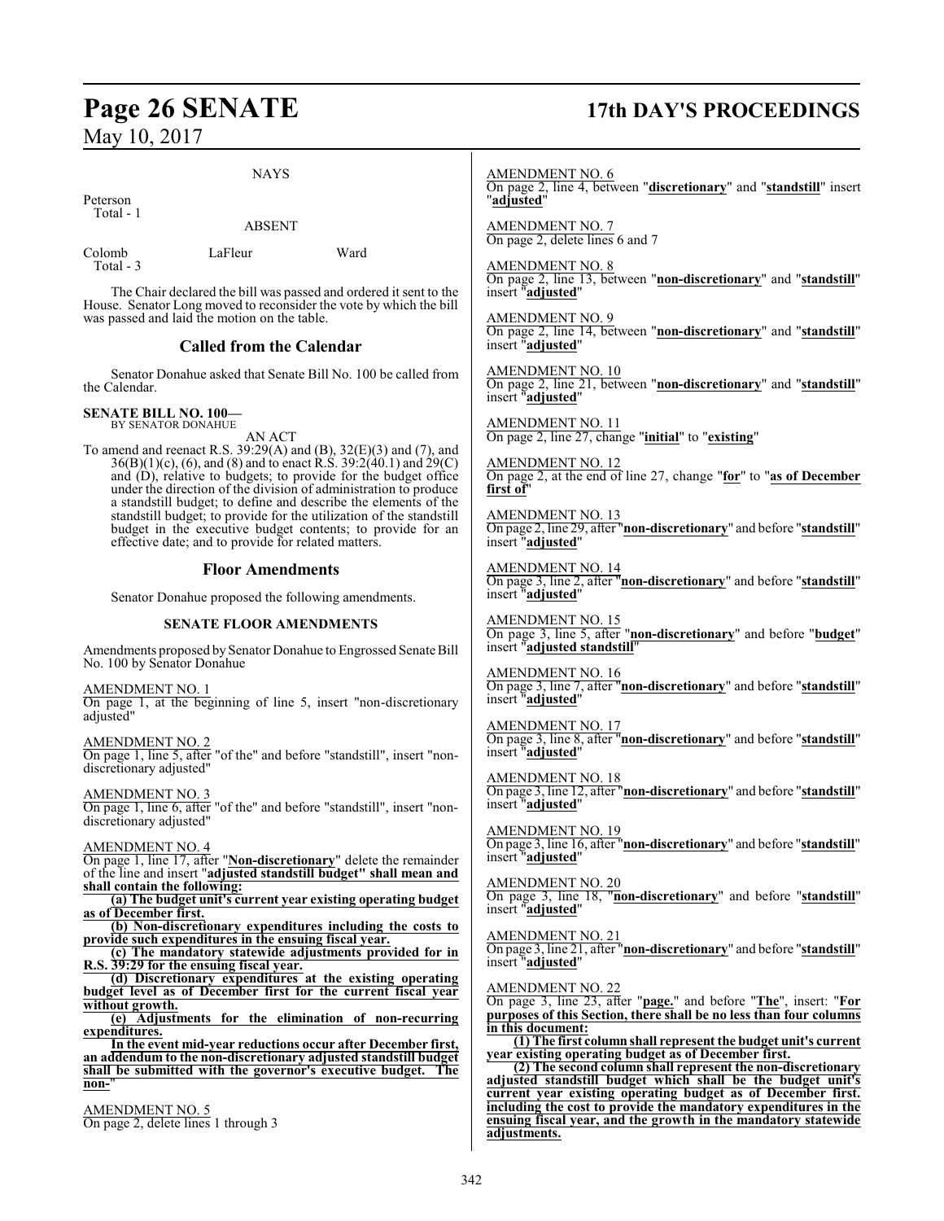#### NAYS

ABSENT

Peterson Total - 1

Colomb LaFleur Ward Total - 3

The Chair declared the bill was passed and ordered it sent to the House. Senator Long moved to reconsider the vote by which the bill was passed and laid the motion on the table.

## **Called from the Calendar**

Senator Donahue asked that Senate Bill No. 100 be called from the Calendar.

#### **SENATE BILL NO. 100—** BY SENATOR DONAHUE

AN ACT

To amend and reenact R.S. 39:29(A) and (B), 32(E)(3) and (7), and 36(B)(1)(c), (6), and (8) and to enact R.S. 39:2(40.1) and 29(C) and (D), relative to budgets; to provide for the budget office under the direction of the division of administration to produce a standstill budget; to define and describe the elements of the standstill budget; to provide for the utilization of the standstill budget in the executive budget contents; to provide for an effective date; and to provide for related matters.

#### **Floor Amendments**

Senator Donahue proposed the following amendments.

#### **SENATE FLOOR AMENDMENTS**

Amendments proposed by Senator Donahue to Engrossed Senate Bill No. 100 by Senator Donahue

AMENDMENT NO. 1 On page 1, at the beginning of line 5, insert "non-discretionary adjusted"

AMENDMENT NO. 2 On page 1, line 5, after "of the" and before "standstill", insert "nondiscretionary adjusted"

AMENDMENT NO. 3 On page 1, line 6, after "of the" and before "standstill", insert "nondiscretionary adjusted"

#### AMENDMENT NO. 4

On page 1, line 17, after "**Non-discretionary**" delete the remainder of the line and insert "**adjusted standstill budget" shall mean and shall contain the following:**

**(a) The budget unit's current year existing operating budget as of December first.**

**(b) Non-discretionary expenditures including the costs to provide such expenditures in the ensuing fiscal year.**

**(c) The mandatory statewide adjustments provided for in R.S. 39:29 for the ensuing fiscal year.**

**(d) Discretionary expenditures at the existing operating budget level as of December first for the current fiscal without growth.**

**(e) Adjustments for the elimination of non-recurring expenditures.**

**In the event mid-year reductions occur after December first, an addendum to the non-discretionary adjusted standstill budget shall be submitted with the governor's executive budget. The non-**"

AMENDMENT NO. 5 On page 2, delete lines 1 through 3

# **Page 26 SENATE 17th DAY'S PROCEEDINGS**

AMENDMENT NO. 6 On page 2, line 4, between "**discretionary**" and "**standstill**" insert "**adjusted**"

AMENDMENT NO. 7 On page 2, delete lines 6 and 7

AMENDMENT NO. 8 On page 2, line 13, between "**non-discretionary**" and "**standstill**" insert "**adjusted**"

AMENDMENT NO. 9 On page 2, line 14, between "**non-discretionary**" and "**standstill**" insert "**adjusted**"

AMENDMENT NO. 10 On page 2, line 21, between "**non-discretionary**" and "**standstill**" insert "**adjusted**"

AMENDMENT NO. 11 On page 2, line 27, change "**initial**" to "**existing**"

AMENDMENT NO. 12 On page 2, at the end of line 27, change "**for**" to "**as of December first of**"

AMENDMENT NO. 13 On page 2, line 29, after "**non-discretionary**" and before "**standstill**" insert "**adjusted**"

AMENDMENT NO. 14 On page 3, line 2, after "**non-discretionary**" and before "**standstill**" insert "**adjusted**"

AMENDMENT NO. 15 On page 3, line 5, after "**non-discretionary**" and before "**budget**" insert "**adjusted standstill**"

AMENDMENT NO. 16 On page 3, line 7, after "**non-discretionary**" and before "**standstill**" insert "**adjusted**"

AMENDMENT NO. 17 On page 3, line 8, after "**non-discretionary**" and before "**standstill**" insert "**adjusted**"

AMENDMENT NO. 18 On page 3, line 12, after "**non-discretionary**" and before "**standstill**" insert "**adjusted**"

AMENDMENT NO. 19 On page 3, line 16, after "**non-discretionary**" and before "**standstill**" insert "**adjusted**"

AMENDMENT NO. 20 On page 3, line 18, "**non-discretionary**" and before "**standstill**" insert "**adjusted**"

AMENDMENT NO. 21

On page 3, line 21, after "**non-discretionary**" and before "**standstill**" insert "**adjusted**"

AMENDMENT NO. 22

On page 3, line 23, after "**page.**" and before "**The**", insert: "**For purposes of this Section, there shall be no less than four columns in this document:**

**(1) The first column shall represent the budget unit's current year existing operating budget as of December first.**

**(2) The second column shall represent the non-discretionary adjusted standstill budget which shall be the budget unit's current year existing operating budget as of December first. including the cost to provide the mandatory expenditures in the ensuing fiscal year, and the growth in the mandatory statewide adjustments.**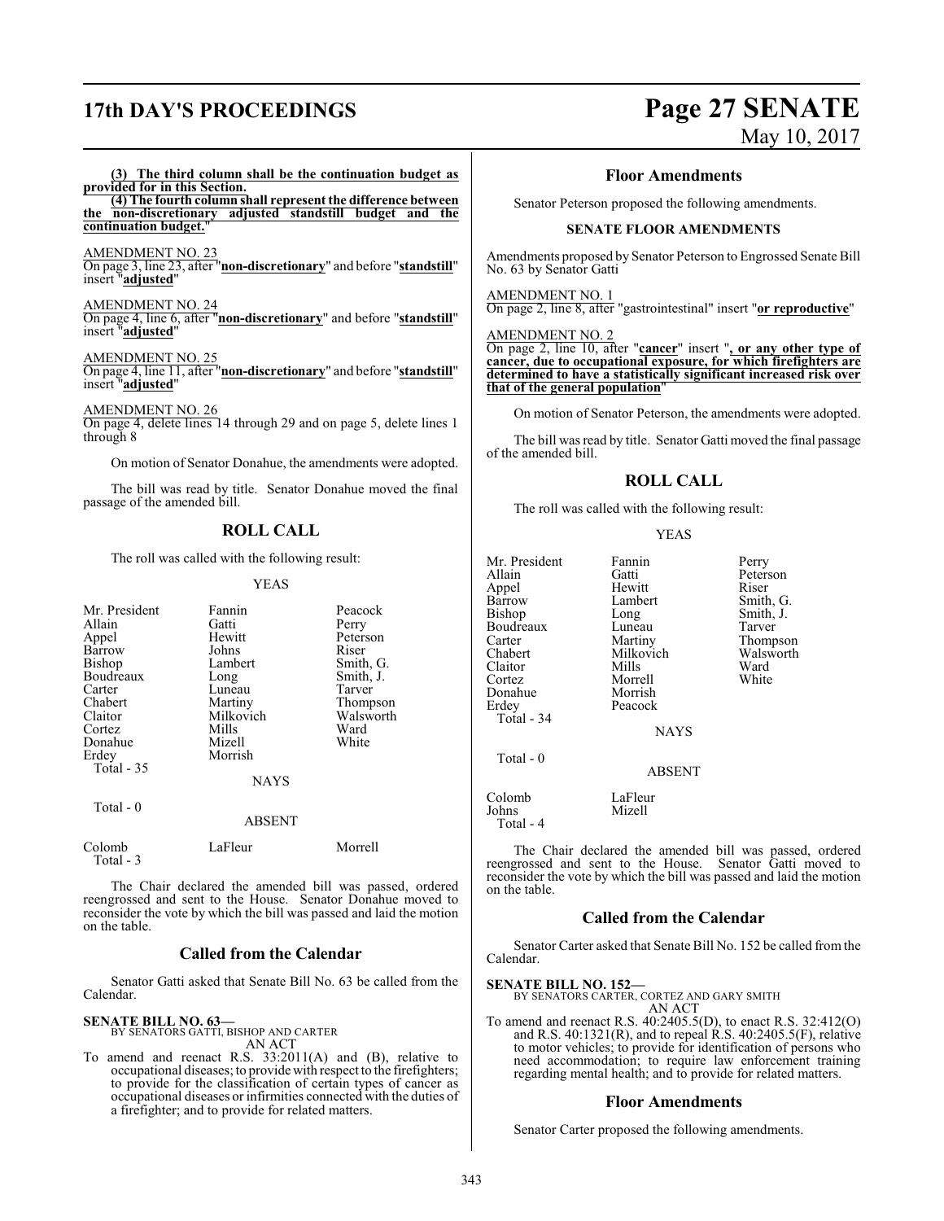# **17th DAY'S PROCEEDINGS Page 27 SENATE**

# May 10, 2017

#### **(3) The third column shall be the continuation budget as provided for in this Section.**

**(4) The fourth column shall represent the difference between the non-discretionary adjusted standstill budget and the continuation budget.**"

#### AMENDMENT NO. 23

On page 3, line 23, after "**non-discretionary**" and before "**standstill**" insert "**adjusted**"

#### AMENDMENT NO. 24

On page 4, line 6, after "**non-discretionary**" and before "**standstill**" insert "**adjusted**"

#### AMENDMENT NO. 25

On page 4, line 11, after "**non-discretionary**" and before "**standstill**" insert "**adjusted**"

AMENDMENT NO. 26

On page 4, delete lines 14 through 29 and on page 5, delete lines 1 through 8

On motion of Senator Donahue, the amendments were adopted.

The bill was read by title. Senator Donahue moved the final passage of the amended bill.

### **ROLL CALL**

The roll was called with the following result:

#### YEAS

| Mr. President<br>Allain<br>Appel<br>Barrow<br>Bishop<br>Boudreaux<br>Carter<br>Chabert<br>Claitor<br>Cortez<br>Donahue<br>Erdey<br>Total - 35 | Fannin<br>Gatti<br>Hewitt<br>Johns<br>Lambert<br>Long<br>Luneau<br>Martiny<br>Milkovich<br>Mills<br>Mizell<br>Morrish<br><b>NAYS</b> | Peacock<br>Perry<br>Peterson<br>Riser<br>Smith, G.<br>Smith, J.<br>Tarver<br>Thompson<br>Walsworth<br>Ward<br>White |
|-----------------------------------------------------------------------------------------------------------------------------------------------|--------------------------------------------------------------------------------------------------------------------------------------|---------------------------------------------------------------------------------------------------------------------|
| Total $-0$                                                                                                                                    | <b>ABSENT</b>                                                                                                                        |                                                                                                                     |
| Colomb<br>Total - 3                                                                                                                           | LaFleur                                                                                                                              | Morrell                                                                                                             |

The Chair declared the amended bill was passed, ordered reengrossed and sent to the House. Senator Donahue moved to reconsider the vote by which the bill was passed and laid the motion on the table.

#### **Called from the Calendar**

Senator Gatti asked that Senate Bill No. 63 be called from the Calendar.

#### **SENATE BILL NO. 63—**

BY SENATORS GATTI, BISHOP AND CARTER AN ACT

To amend and reenact R.S. 33:2011(A) and (B), relative to occupational diseases; to provide with respect to the firefighters; to provide for the classification of certain types of cancer as occupational diseases or infirmities connected with the duties of a firefighter; and to provide for related matters.

#### **Floor Amendments**

Senator Peterson proposed the following amendments.

#### **SENATE FLOOR AMENDMENTS**

Amendments proposed by Senator Peterson to Engrossed Senate Bill No. 63 by Senator Gatti

#### AMENDMENT NO. 1

On page 2, line 8, after "gastrointestinal" insert "**or reproductive**"

#### AMENDMENT NO. 2

On page 2, line 10, after "**cancer**" insert "**, or any other type of cancer, due to occupational exposure, for which firefighters are determined to have a statistically significant increased risk over that of the general population**"

On motion of Senator Peterson, the amendments were adopted.

The bill was read by title. Senator Gatti moved the final passage of the amended bill.

### **ROLL CALL**

The roll was called with the following result:

|--|--|--|

| Mr. President | Fannin        | Perry  |
|---------------|---------------|--------|
| Allain        | Gatti         | Peters |
| Appel         | Hewitt        | Riser  |
| Barrow        | Lambert       | Smith. |
| <b>Bishop</b> | Long          | Smith  |
| Boudreaux     | Luneau        | Tarver |
| Carter        | Martiny       | Thom   |
| Chabert       | Milkovich     | Walsw  |
| Claitor       | Mills         | Ward   |
| Cortez        | Morrell       | White  |
| Donahue       | Morrish       |        |
| Erdey         | Peacock       |        |
| Total - 34    |               |        |
|               | <b>NAYS</b>   |        |
| Total - 0     |               |        |
|               | <b>ABSENT</b> |        |
| Colomb        | LaFleur       |        |
| Iohns         | Mizell        |        |

Gatti Peterson<br>
Hewitt Riser Lambert Smith, G.<br>
Long Smith, J. Smith, J.<br>Tarver Thompson<br>Walsworth Milkovich Walsw<br>Mills Ward

Mizell

Total - 4

The Chair declared the amended bill was passed, ordered reengrossed and sent to the House. Senator Gatti moved to reconsider the vote by which the bill was passed and laid the motion on the table.

### **Called from the Calendar**

Senator Carter asked that Senate Bill No. 152 be called from the Calendar.

#### **SENATE BILL NO. 152—**

BY SENATORS CARTER, CORTEZ AND GARY SMITH AN ACT

To amend and reenact R.S. 40:2405.5(D), to enact R.S. 32:412(O) and R.S. 40:1321(R), and to repeal R.S. 40:2405.5(F), relative to motor vehicles; to provide for identification of persons who need accommodation; to require law enforcement training regarding mental health; and to provide for related matters.

#### **Floor Amendments**

Senator Carter proposed the following amendments.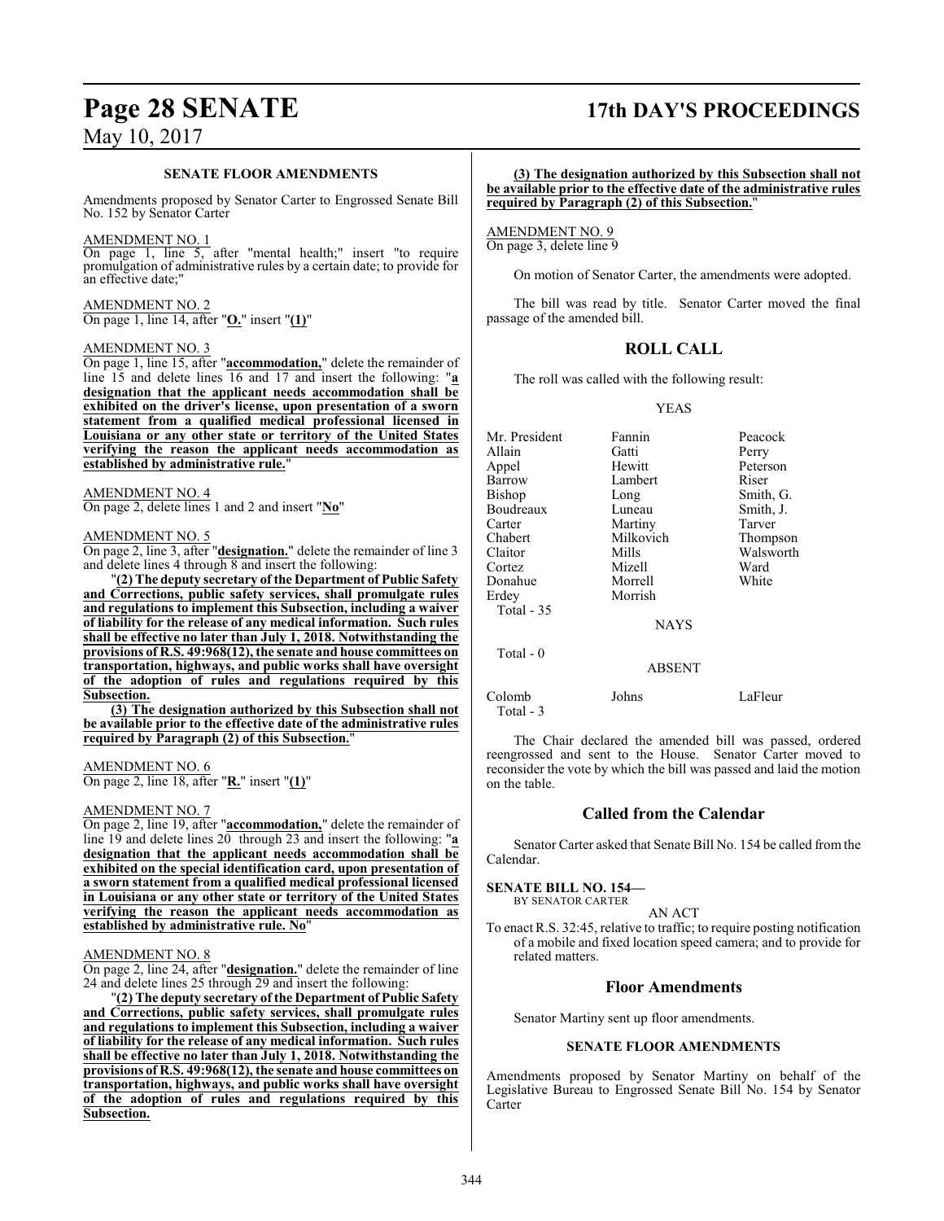## **Page 28 SENATE 17th DAY'S PROCEEDINGS**

#### **SENATE FLOOR AMENDMENTS**

Amendments proposed by Senator Carter to Engrossed Senate Bill No. 152 by Senator Carter

#### AMENDMENT NO. 1

On page 1, line 5, after "mental health;" insert "to require promulgation of administrative rules by a certain date; to provide for an effective date;"

AMENDMENT NO. 2 On page 1, line 14, after "**O.**" insert "**(1)**"

#### AMENDMENT NO. 3

On page 1, line 15, after "**accommodation,**" delete the remainder of line 15 and delete lines 16 and 17 and insert the following: "**a designation that the applicant needs accommodation shall be exhibited on the driver's license, upon presentation of a sworn statement from a qualified medical professional licensed in Louisiana or any other state or territory of the United States verifying the reason the applicant needs accommodation as established by administrative rule.**"

#### AMENDMENT NO. 4

On page 2, delete lines 1 and 2 and insert "**No**"

#### AMENDMENT NO. 5

On page 2, line 3, after "**designation.**" delete the remainder of line 3 and delete lines 4 through 8 and insert the following:

"**(2) The deputy secretary of the Department of Public Safety and Corrections, public safety services, shall promulgate rules and regulations to implement this Subsection, including a waiver of liability for the release of any medical information. Such rules shall be effective no later than July 1, 2018. Notwithstanding the provisions of R.S. 49:968(12), the senate and house committees on transportation, highways, and public works shall have oversight of the adoption of rules and regulations required by this Subsection.**

**(3) The designation authorized by this Subsection shall not be available prior to the effective date of the administrative rules** required by Paragraph (2) of this Subsection.

#### AMENDMENT NO. 6

On page 2, line 18, after "**R.**" insert "**(1)**"

#### AMENDMENT NO. 7

On page 2, line 19, after "**accommodation,**" delete the remainder of line 19 and delete lines 20 through 23 and insert the following: "**a designation that the applicant needs accommodation shall be exhibited on the special identification card, upon presentation of a sworn statement from a qualified medical professional licensed in Louisiana or any other state or territory of the United States verifying the reason the applicant needs accommodation as established by administrative rule. No**"

#### AMENDMENT NO. 8

On page 2, line 24, after "**designation.**" delete the remainder of line 24 and delete lines 25 through 29 and insert the following:

"**(2) The deputy secretary of the Department of Public Safety and Corrections, public safety services, shall promulgate rules and regulations to implement this Subsection, including a waiver of liability for the release of any medical information. Such rules shall be effective no later than July 1, 2018. Notwithstanding the provisions of R.S. 49:968(12), the senate and house committees on transportation, highways, and public works shall have oversight of the adoption of rules and regulations required by this Subsection.**

#### **(3) The designation authorized by this Subsection shall not be available prior to the effective date of the administrative rules required by Paragraph (2) of this Subsection.**"

AMENDMENT NO. 9 On page 3, delete line 9

On motion of Senator Carter, the amendments were adopted.

The bill was read by title. Senator Carter moved the final passage of the amended bill.

## **ROLL CALL**

The roll was called with the following result:

YEAS

| Mr. President | Fannin        | Peacock   |
|---------------|---------------|-----------|
| Allain        | Gatti         | Perry     |
| Appel         | Hewitt        | Peterson  |
| Barrow        | Lambert       | Riser     |
| Bishop        | Long          | Smith, G. |
| Boudreaux     | Luneau        | Smith, J. |
| Carter        | Martiny       | Tarver    |
| Chabert       | Milkovich     | Thompson  |
| Claitor       | Mills         | Walsworth |
| Cortez        | Mizell        | Ward      |
| Donahue       | Morrell       | White     |
| Erdey         | Morrish       |           |
| Total $-35$   |               |           |
|               | <b>NAYS</b>   |           |
| Total - 0     |               |           |
|               | <b>ABSENT</b> |           |
|               |               |           |

Colomb Johns LaFleur Total - 3

The Chair declared the amended bill was passed, ordered reengrossed and sent to the House. Senator Carter moved to reconsider the vote by which the bill was passed and laid the motion on the table.

#### **Called from the Calendar**

Senator Carter asked that Senate Bill No. 154 be called from the Calendar.

#### **SENATE BILL NO. 154—**

BY SENATOR CARTER

#### AN ACT

To enact R.S. 32:45, relative to traffic; to require posting notification of a mobile and fixed location speed camera; and to provide for related matters.

#### **Floor Amendments**

Senator Martiny sent up floor amendments.

#### **SENATE FLOOR AMENDMENTS**

Amendments proposed by Senator Martiny on behalf of the Legislative Bureau to Engrossed Senate Bill No. 154 by Senator Carter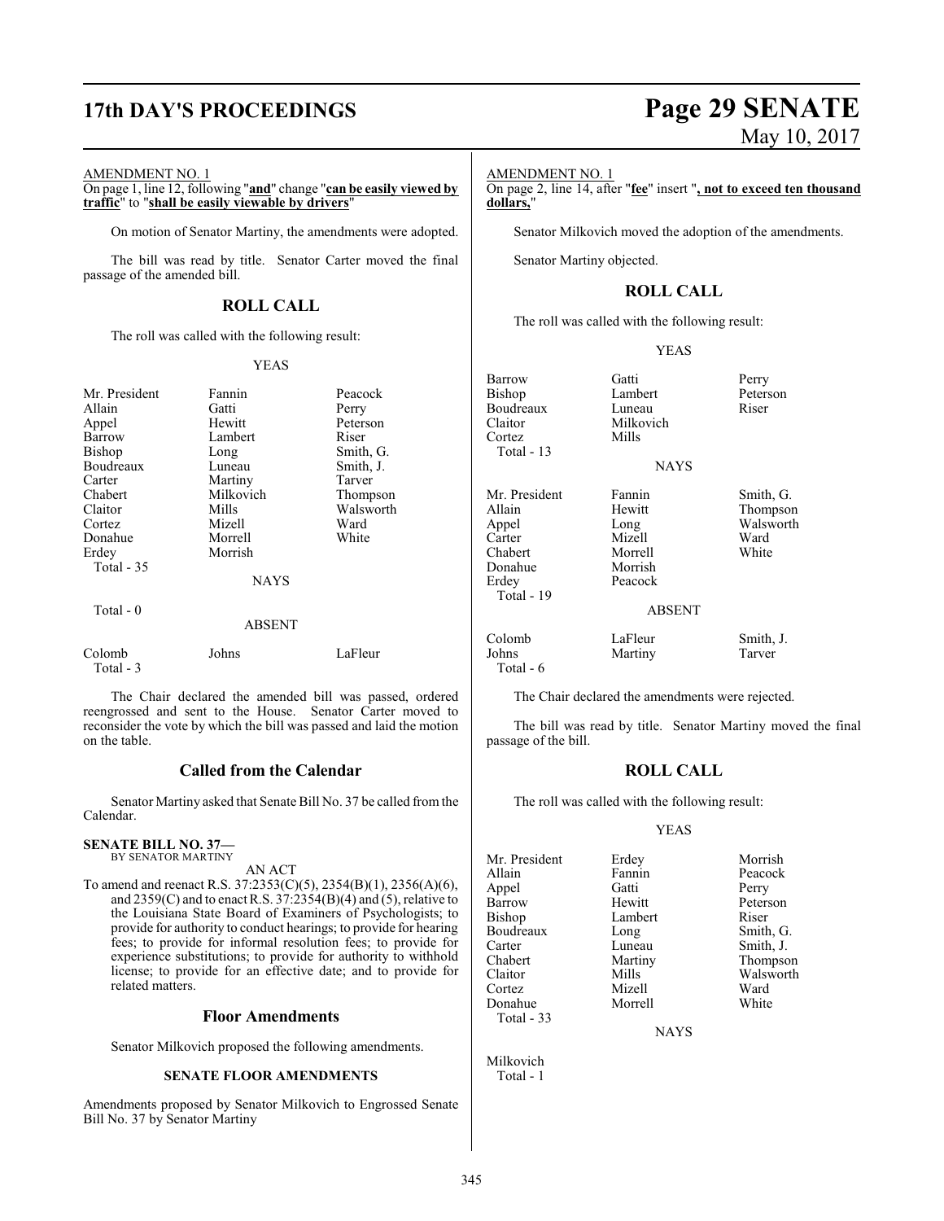# **17th DAY'S PROCEEDINGS Page 29 SENATE**

#### AMENDMENT NO. 1

On page 1, line 12, following "**and**" change "**can be easily viewed by traffic**" to "**shall be easily viewable by drivers**"

On motion of Senator Martiny, the amendments were adopted.

The bill was read by title. Senator Carter moved the final passage of the amended bill.

## **ROLL CALL**

The roll was called with the following result:

#### YEAS

| Mr. President<br>Allain | Fannin<br>Gatti | Peacock<br>Perry |
|-------------------------|-----------------|------------------|
| Appel                   | Hewitt          | Peterson         |
| Barrow                  | Lambert         | Riser            |
| Bishop                  | Long            | Smith, G.        |
| Boudreaux               | Luneau          | Smith, J.        |
| Carter                  | Martiny         | Tarver           |
| Chabert                 | Milkovich       | Thompson         |
| Claitor                 | Mills           | Walsworth        |
| Cortez                  | Mizell          | Ward             |
| Donahue                 | Morrell         | White            |
| Erdey                   | Morrish         |                  |
| Total $-35$             |                 |                  |
|                         | <b>NAYS</b>     |                  |
| Total $-0$              |                 |                  |
|                         | <b>ABSENT</b>   |                  |
| Colomb<br>Total - 3     | Johns           | LaFleur          |

The Chair declared the amended bill was passed, ordered reengrossed and sent to the House. Senator Carter moved to reconsider the vote by which the bill was passed and laid the motion on the table.

## **Called from the Calendar**

Senator Martiny asked that Senate Bill No. 37 be called fromthe Calendar.

#### **SENATE BILL NO. 37—** BY SENATOR MARTINY

AN ACT

To amend and reenact R.S. 37:2353(C)(5), 2354(B)(1), 2356(A)(6), and 2359(C) and to enact R.S. 37:2354(B)(4) and (5), relative to the Louisiana State Board of Examiners of Psychologists; to provide for authority to conduct hearings; to provide for hearing fees; to provide for informal resolution fees; to provide for experience substitutions; to provide for authority to withhold license; to provide for an effective date; and to provide for related matters.

#### **Floor Amendments**

Senator Milkovich proposed the following amendments.

#### **SENATE FLOOR AMENDMENTS**

Amendments proposed by Senator Milkovich to Engrossed Senate Bill No. 37 by Senator Martiny

# May 10, 2017

#### AMENDMENT NO. 1

On page 2, line 14, after "**fee**" insert "**, not to exceed ten thousand dollars,**"

Senator Milkovich moved the adoption of the amendments.

Senator Martiny objected.

#### **ROLL CALL**

The roll was called with the following result:

Milkovich<br>Mills

Peacock

#### YEAS

**NAYS** 

Lambert Peterson<br>
Luneau Riser

Barrow Gatti Perry<br>Bishop Lambert Peters Boudreaux<br>Claitor Cortez Total - 13 Mr. President Fannin Smith, G.<br>Allain Hewitt Thompson Allain Hewitt Thompson Appel Long Walsworth<br>Carter Mizell Ward Chabert Morrell<br>
Donahue Morrish Donahue<br>Erdey Total - 19 Colomb LaFleur Smith, J. Johns Martiny Tarver Total - 6

Mizell Ward<br>
Morrell White

## ABSENT

The Chair declared the amendments were rejected.

The bill was read by title. Senator Martiny moved the final passage of the bill.

### **ROLL CALL**

The roll was called with the following result:

#### YEAS

| Mr. President | Erdey   | Morrish   |
|---------------|---------|-----------|
| Allain        | Fannin  | Peacock   |
| Appel         | Gatti   | Perry     |
| Barrow        | Hewitt  | Peterson  |
| Bishop        | Lambert | Riser     |
| Boudreaux     | Long    | Smith, G. |
| Carter        | Luneau  | Smith, J. |
| Chabert       | Martiny | Thompson  |
| Claitor       | Mills   | Walsworth |
| Cortez        | Mizell  | Ward      |
| Donahue       | Morrell | White     |
| Total - $33$  |         |           |

**NAYS** 

Milkovich Total - 1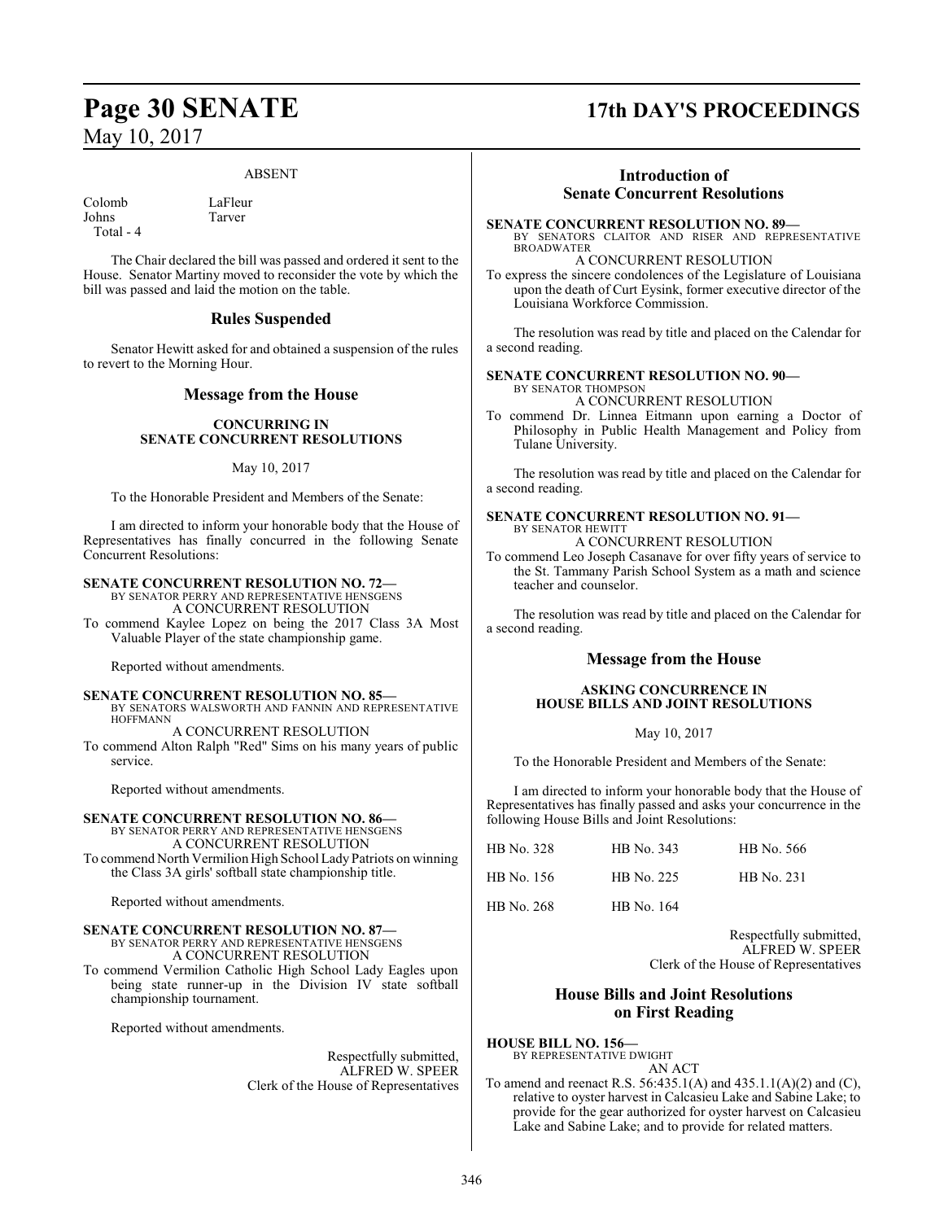#### ABSENT

Colomb LaFleur<br>Iohns Tarver Total - 4

Tarver

The Chair declared the bill was passed and ordered it sent to the House. Senator Martiny moved to reconsider the vote by which the bill was passed and laid the motion on the table.

## **Rules Suspended**

Senator Hewitt asked for and obtained a suspension of the rules to revert to the Morning Hour.

### **Message from the House**

#### **CONCURRING IN SENATE CONCURRENT RESOLUTIONS**

#### May 10, 2017

To the Honorable President and Members of the Senate:

I am directed to inform your honorable body that the House of Representatives has finally concurred in the following Senate Concurrent Resolutions:

#### **SENATE CONCURRENT RESOLUTION NO. 72—**

- BY SENATOR PERRY AND REPRESENTATIVE HENSGENS A CONCURRENT RESOLUTION
- To commend Kaylee Lopez on being the 2017 Class 3A Most Valuable Player of the state championship game.

Reported without amendments.

**SENATE CONCURRENT RESOLUTION NO. 85—** BY SENATORS WALSWORTH AND FANNIN AND REPRESENTATIVE HOFFMANN A CONCURRENT RESOLUTION

To commend Alton Ralph "Red" Sims on his many years of public service.

Reported without amendments.

#### **SENATE CONCURRENT RESOLUTION NO. 86—**

BY SENATOR PERRY AND REPRESENTATIVE HENSGENS A CONCURRENT RESOLUTION To commend North Vermilion High School Lady Patriots on winning the Class 3A girls' softball state championship title.

Reported without amendments.

#### **SENATE CONCURRENT RESOLUTION NO. 87—**

BY SENATOR PERRY AND REPRESENTATIVE HENSGENS A CONCURRENT RESOLUTION

To commend Vermilion Catholic High School Lady Eagles upon being state runner-up in the Division IV state softball championship tournament.

Reported without amendments.

Respectfully submitted, ALFRED W. SPEER Clerk of the House of Representatives

# **Page 30 SENATE 17th DAY'S PROCEEDINGS**

## **Introduction of Senate Concurrent Resolutions**

**SENATE CONCURRENT RESOLUTION NO. 89—** BY SENATORS CLAITOR AND RISER AND REPRESENTATIVE BROADWATER

A CONCURRENT RESOLUTION

To express the sincere condolences of the Legislature of Louisiana upon the death of Curt Eysink, former executive director of the Louisiana Workforce Commission.

The resolution was read by title and placed on the Calendar for a second reading.

**SENATE CONCURRENT RESOLUTION NO. 90—** BY SENATOR THOMPSON A CONCURRENT RESOLUTION

To commend Dr. Linnea Eitmann upon earning a Doctor of Philosophy in Public Health Management and Policy from Tulane University.

The resolution was read by title and placed on the Calendar for a second reading.

#### **SENATE CONCURRENT RESOLUTION NO. 91—** BY SENATOR HEWITT A CONCURRENT RESOLUTION

To commend Leo Joseph Casanave for over fifty years of service to the St. Tammany Parish School System as a math and science teacher and counselor.

The resolution was read by title and placed on the Calendar for a second reading.

#### **Message from the House**

#### **ASKING CONCURRENCE IN HOUSE BILLS AND JOINT RESOLUTIONS**

#### May 10, 2017

To the Honorable President and Members of the Senate:

I am directed to inform your honorable body that the House of Representatives has finally passed and asks your concurrence in the following House Bills and Joint Resolutions:

| HB No. 328 | HB No. 343 | HB No. 566        |
|------------|------------|-------------------|
| HB No. 156 | HB No. 225 | <b>HB</b> No. 231 |
| HB No. 268 | HB No. 164 |                   |

Respectfully submitted, ALFRED W. SPEER Clerk of the House of Representatives

#### **House Bills and Joint Resolutions on First Reading**

**HOUSE BILL NO. 156—**

BY REPRESENTATIVE DWIGHT AN ACT

To amend and reenact R.S. 56:435.1(A) and 435.1.1(A)(2) and (C), relative to oyster harvest in Calcasieu Lake and Sabine Lake; to provide for the gear authorized for oyster harvest on Calcasieu Lake and Sabine Lake; and to provide for related matters.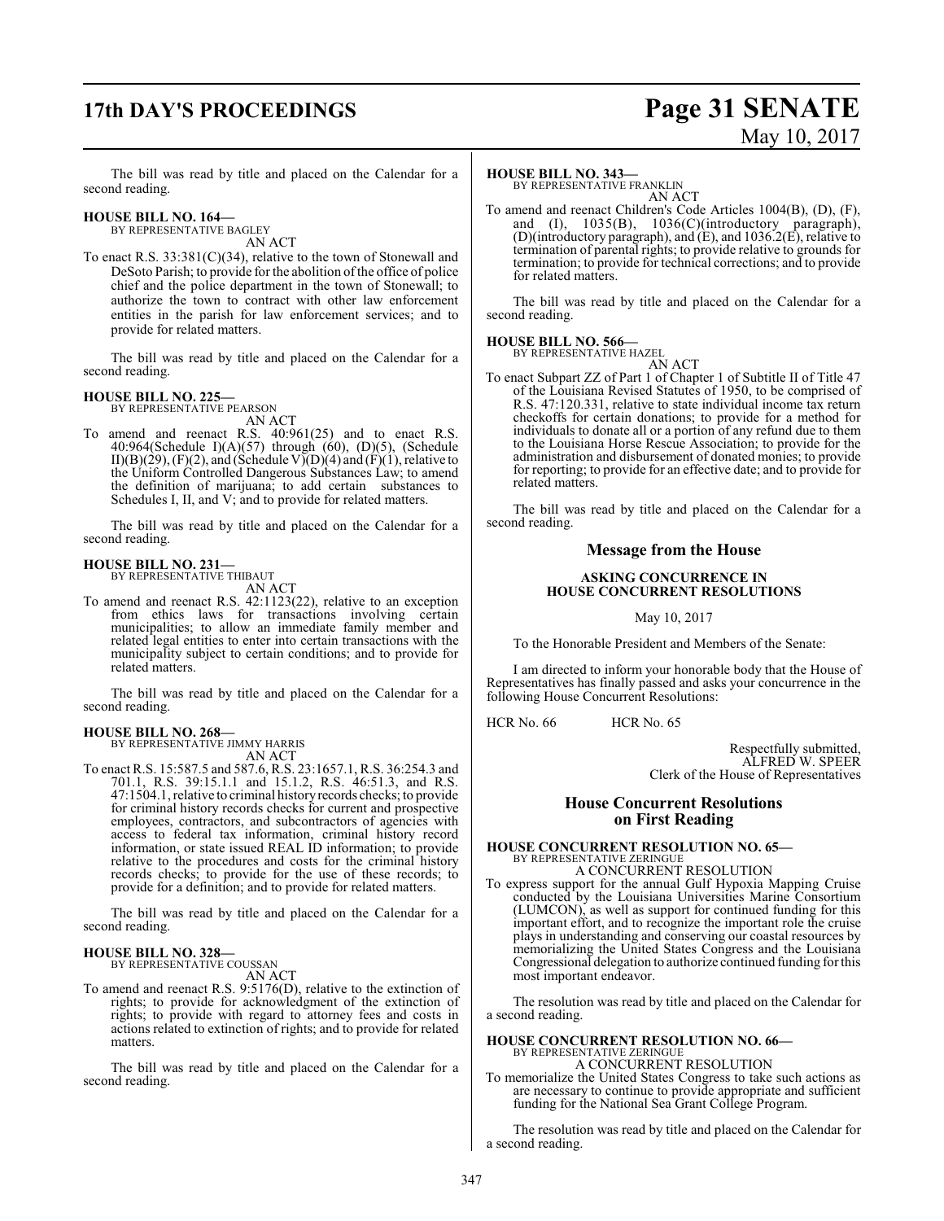# **17th DAY'S PROCEEDINGS Page 31 SENATE**

# May 10, 2017

The bill was read by title and placed on the Calendar for a second reading.

#### **HOUSE BILL NO. 164—** BY REPRESENTATIVE BAGLEY

AN ACT

To enact R.S. 33:381(C)(34), relative to the town of Stonewall and DeSoto Parish; to provide for the abolition of the office of police chief and the police department in the town of Stonewall; to authorize the town to contract with other law enforcement entities in the parish for law enforcement services; and to provide for related matters.

The bill was read by title and placed on the Calendar for a second reading.

#### **HOUSE BILL NO. 225—**

BY REPRESENTATIVE PEARSON

- AN ACT
- To amend and reenact R.S. 40:961(25) and to enact R.S. 40:964(Schedule I)(A)(57) through (60), (D)(5), (Schedule II)(B)(29), (F)(2), and (Schedule V)(D)(4) and (F)(1), relative to the Uniform Controlled Dangerous Substances Law; to amend the definition of marijuana; to add certain substances to Schedules I, II, and V; and to provide for related matters.

The bill was read by title and placed on the Calendar for a second reading.

#### **HOUSE BILL NO. 231—** BY REPRESENTATIVE THIBAUT

AN ACT

To amend and reenact R.S. 42:1123(22), relative to an exception from ethics laws for transactions involving certain municipalities; to allow an immediate family member and related legal entities to enter into certain transactions with the municipality subject to certain conditions; and to provide for related matters.

The bill was read by title and placed on the Calendar for a second reading.

#### **HOUSE BILL NO. 268—**

BY REPRESENTATIVE JIMMY HARRIS AN ACT

To enact R.S. 15:587.5 and 587.6, R.S. 23:1657.1, R.S. 36:254.3 and 701.1, R.S. 39:15.1.1 and 15.1.2, R.S. 46:51.3, and R.S. 47:1504.1, relative to criminal historyrecords checks; to provide for criminal history records checks for current and prospective employees, contractors, and subcontractors of agencies with access to federal tax information, criminal history record information, or state issued REAL ID information; to provide relative to the procedures and costs for the criminal history records checks; to provide for the use of these records; to provide for a definition; and to provide for related matters.

The bill was read by title and placed on the Calendar for a second reading.

#### **HOUSE BILL NO. 328—** BY REPRESENTATIVE COUSSAN

AN ACT

To amend and reenact R.S. 9:5176(D), relative to the extinction of rights; to provide for acknowledgment of the extinction of rights; to provide with regard to attorney fees and costs in actions related to extinction of rights; and to provide for related matters.

The bill was read by title and placed on the Calendar for a second reading.

#### **HOUSE BILL NO. 343—**

BY REPRESENTATIVE FRANKLIN AN ACT

To amend and reenact Children's Code Articles 1004(B), (D), (F), and (I), 1035(B), 1036(C)(introductory paragraph), (D)(introductory paragraph), and (E), and 1036.2(E), relative to termination of parental rights; to provide relative to grounds for termination; to provide for technical corrections; and to provide for related matters.

The bill was read by title and placed on the Calendar for a second reading.

#### **HOUSE BILL NO. 566—** BY REPRESENTATIVE HAZEL



To enact Subpart ZZ of Part 1 of Chapter 1 of Subtitle II of Title 47 of the Louisiana Revised Statutes of 1950, to be comprised of R.S. 47:120.331, relative to state individual income tax return checkoffs for certain donations; to provide for a method for individuals to donate all or a portion of any refund due to them to the Louisiana Horse Rescue Association; to provide for the administration and disbursement of donated monies; to provide for reporting; to provide for an effective date; and to provide for related matters.

The bill was read by title and placed on the Calendar for a second reading.

#### **Message from the House**

#### **ASKING CONCURRENCE IN HOUSE CONCURRENT RESOLUTIONS**

May 10, 2017

To the Honorable President and Members of the Senate:

I am directed to inform your honorable body that the House of Representatives has finally passed and asks your concurrence in the following House Concurrent Resolutions:

HCR No. 66 HCR No. 65

Respectfully submitted, ALFRED W. SPEER Clerk of the House of Representatives

#### **House Concurrent Resolutions on First Reading**

#### **HOUSE CONCURRENT RESOLUTION NO. 65—** BY REPRESENTATIVE ZERINGUE A CONCURRENT RESOLUTION

To express support for the annual Gulf Hypoxia Mapping Cruise conducted by the Louisiana Universities Marine Consortium (LUMCON), as well as support for continued funding for this important effort, and to recognize the important role the cruise plays in understanding and conserving our coastal resources by memorializing the United States Congress and the Louisiana Congressional delegation to authorize continued funding forthis most important endeavor.

The resolution was read by title and placed on the Calendar for a second reading.

## **HOUSE CONCURRENT RESOLUTION NO. 66—** BY REPRESENTATIVE ZERINGUE A CONCURRENT RESOLUTION

To memorialize the United States Congress to take such actions as are necessary to continue to provide appropriate and sufficient funding for the National Sea Grant College Program.

The resolution was read by title and placed on the Calendar for a second reading.